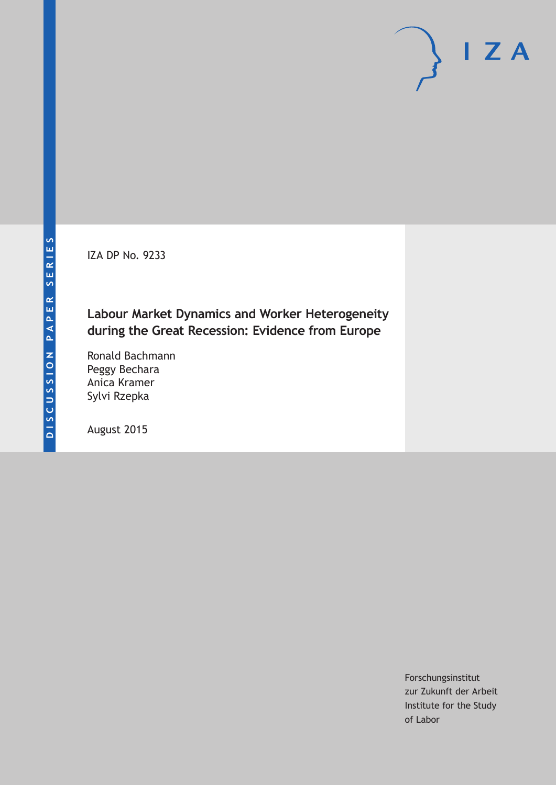IZA DP No. 9233

## **Labour Market Dynamics and Worker Heterogeneity during the Great Recession: Evidence from Europe**

Ronald Bachmann Peggy Bechara Anica Kramer Sylvi Rzepka

August 2015

Forschungsinstitut zur Zukunft der Arbeit Institute for the Study of Labor

 $I Z A$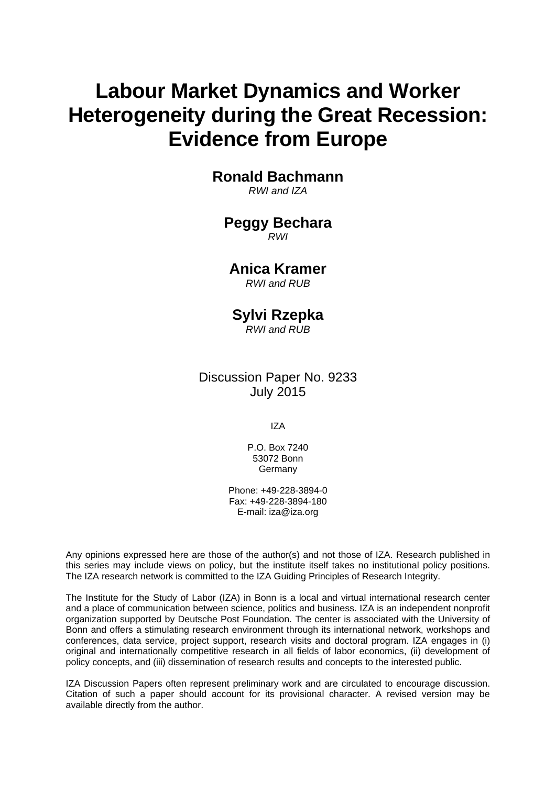## **Labour Market Dynamics and Worker Heterogeneity during the Great Recession: Evidence from Europe**

### **Ronald Bachmann**

*RWI and IZA* 

## **Peggy Bechara**

*RWI* 

### **Anica Kramer**

*RWI and RUB*

### **Sylvi Rzepka**

*RWI and RUB* 

Discussion Paper No. 9233 July 2015

IZA

P.O. Box 7240 53072 Bonn **Germany** 

Phone: +49-228-3894-0 Fax: +49-228-3894-180 E-mail: iza@iza.org

Any opinions expressed here are those of the author(s) and not those of IZA. Research published in this series may include views on policy, but the institute itself takes no institutional policy positions. The IZA research network is committed to the IZA Guiding Principles of Research Integrity.

The Institute for the Study of Labor (IZA) in Bonn is a local and virtual international research center and a place of communication between science, politics and business. IZA is an independent nonprofit organization supported by Deutsche Post Foundation. The center is associated with the University of Bonn and offers a stimulating research environment through its international network, workshops and conferences, data service, project support, research visits and doctoral program. IZA engages in (i) original and internationally competitive research in all fields of labor economics, (ii) development of policy concepts, and (iii) dissemination of research results and concepts to the interested public.

IZA Discussion Papers often represent preliminary work and are circulated to encourage discussion. Citation of such a paper should account for its provisional character. A revised version may be available directly from the author.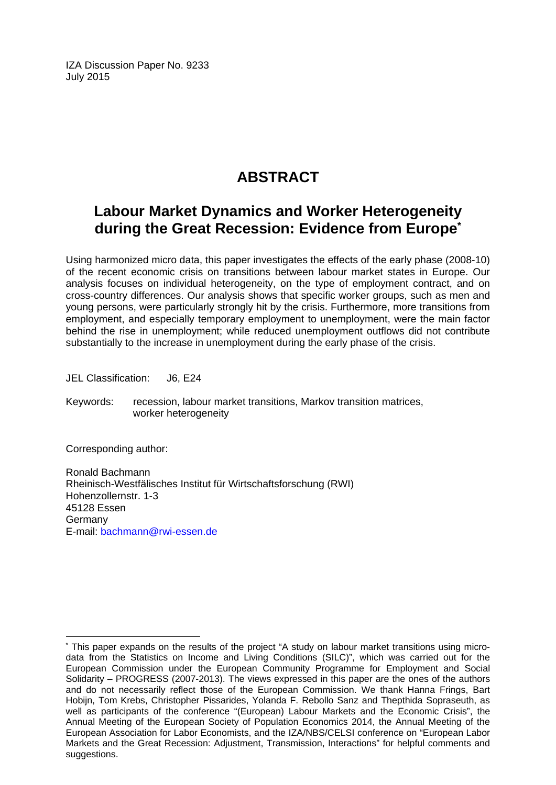IZA Discussion Paper No. 9233 July 2015

## **ABSTRACT**

## **Labour Market Dynamics and Worker Heterogeneity during the Great Recession: Evidence from Europe\***

Using harmonized micro data, this paper investigates the effects of the early phase (2008-10) of the recent economic crisis on transitions between labour market states in Europe. Our analysis focuses on individual heterogeneity, on the type of employment contract, and on cross-country differences. Our analysis shows that specific worker groups, such as men and young persons, were particularly strongly hit by the crisis. Furthermore, more transitions from employment, and especially temporary employment to unemployment, were the main factor behind the rise in unemployment; while reduced unemployment outflows did not contribute substantially to the increase in unemployment during the early phase of the crisis.

JEL Classification: J6, E24

Keywords: recession, labour market transitions, Markov transition matrices, worker heterogeneity

Corresponding author:

Ronald Bachmann Rheinisch-Westfälisches Institut für Wirtschaftsforschung (RWI) Hohenzollernstr. 1-3 45128 Essen Germany E-mail: bachmann@rwi-essen.de

 $\overline{\phantom{a}}$ \* This paper expands on the results of the project "A study on labour market transitions using microdata from the Statistics on Income and Living Conditions (SILC)", which was carried out for the European Commission under the European Community Programme for Employment and Social Solidarity – PROGRESS (2007-2013). The views expressed in this paper are the ones of the authors and do not necessarily reflect those of the European Commission. We thank Hanna Frings, Bart Hobijn, Tom Krebs, Christopher Pissarides, Yolanda F. Rebollo Sanz and Thepthida Sopraseuth, as well as participants of the conference "(European) Labour Markets and the Economic Crisis", the Annual Meeting of the European Society of Population Economics 2014, the Annual Meeting of the European Association for Labor Economists, and the IZA/NBS/CELSI conference on "European Labor Markets and the Great Recession: Adjustment, Transmission, Interactions" for helpful comments and suggestions.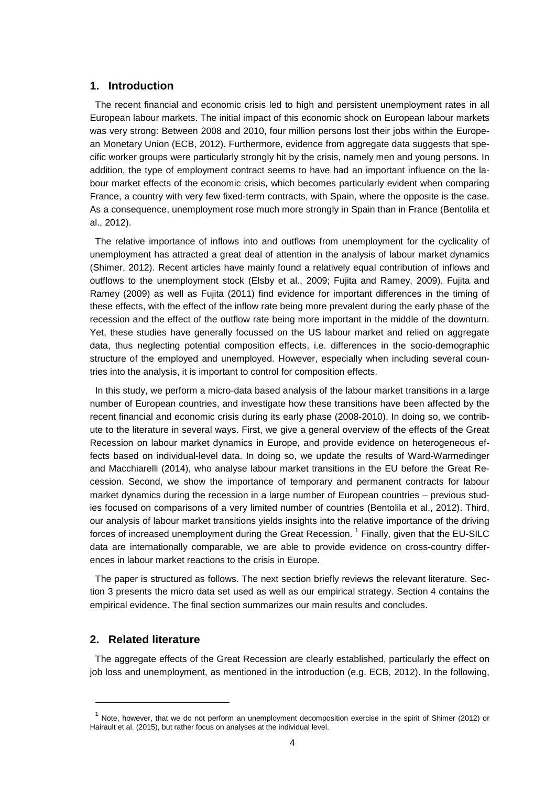#### **1. Introduction**

The recent financial and economic crisis led to high and persistent unemployment rates in all European labour markets. The initial impact of this economic shock on European labour markets was very strong: Between 2008 and 2010, four million persons lost their jobs within the European Monetary Union (ECB, 2012). Furthermore, evidence from aggregate data suggests that specific worker groups were particularly strongly hit by the crisis, namely men and young persons. In addition, the type of employment contract seems to have had an important influence on the labour market effects of the economic crisis, which becomes particularly evident when comparing France, a country with very few fixed-term contracts, with Spain, where the opposite is the case. As a consequence, unemployment rose much more strongly in Spain than in France (Bentolila et al., 2012).

The relative importance of inflows into and outflows from unemployment for the cyclicality of unemployment has attracted a great deal of attention in the analysis of labour market dynamics (Shimer, 2012). Recent articles have mainly found a relatively equal contribution of inflows and outflows to the unemployment stock (Elsby et al., 2009; Fujita and Ramey, 2009). Fujita and Ramey (2009) as well as Fujita (2011) find evidence for important differences in the timing of these effects, with the effect of the inflow rate being more prevalent during the early phase of the recession and the effect of the outflow rate being more important in the middle of the downturn. Yet, these studies have generally focussed on the US labour market and relied on aggregate data, thus neglecting potential composition effects, i.e. differences in the socio-demographic structure of the employed and unemployed. However, especially when including several countries into the analysis, it is important to control for composition effects.

In this study, we perform a micro-data based analysis of the labour market transitions in a large number of European countries, and investigate how these transitions have been affected by the recent financial and economic crisis during its early phase (2008-2010). In doing so, we contribute to the literature in several ways. First, we give a general overview of the effects of the Great Recession on labour market dynamics in Europe, and provide evidence on heterogeneous effects based on individual-level data. In doing so, we update the results of Ward-Warmedinger and Macchiarelli (2014), who analyse labour market transitions in the EU before the Great Recession. Second, we show the importance of temporary and permanent contracts for labour market dynamics during the recession in a large number of European countries – previous studies focused on comparisons of a very limited number of countries (Bentolila et al., 2012). Third, our analysis of labour market transitions yields insights into the relative importance of the driving forces of increased unemployment during the Great Recession.<sup>[1](#page-3-0)</sup> Finally, given that the EU-SILC data are internationally comparable, we are able to provide evidence on cross-country differences in labour market reactions to the crisis in Europe.

The paper is structured as follows. The next section briefly reviews the relevant literature. Section 3 presents the micro data set used as well as our empirical strategy. Section 4 contains the empirical evidence. The final section summarizes our main results and concludes.

#### **2. Related literature**

-

The aggregate effects of the Great Recession are clearly established, particularly the effect on job loss and unemployment, as mentioned in the introduction (e.g. ECB, 2012). In the following,

<span id="page-3-1"></span><span id="page-3-0"></span> $<sup>1</sup>$  Note, however, that we do not perform an unemployment decomposition exercise in the spirit of Shimer (2012) or</sup> Hairault et al. (2015), but rather focus on analyses at the individual level.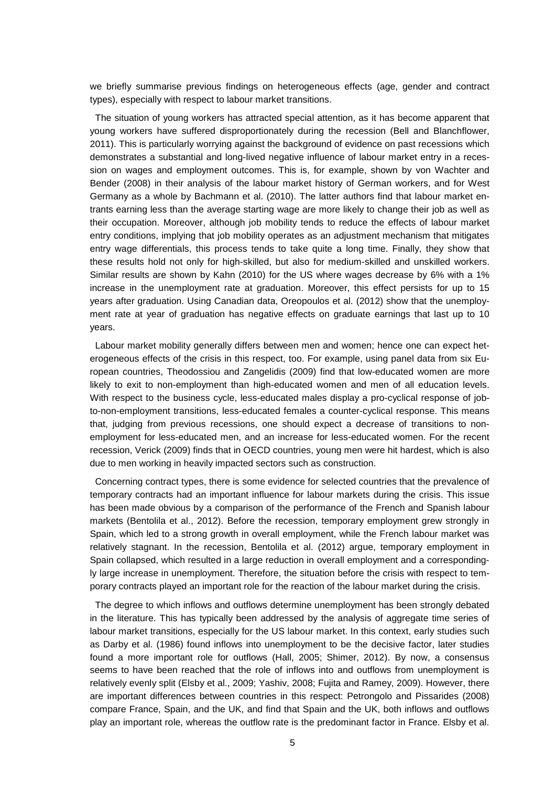we briefly summarise previous findings on heterogeneous effects (age, gender and contract types), especially with respect to labour market transitions.

The situation of young workers has attracted special attention, as it has become apparent that young workers have suffered disproportionately during the recession (Bell and Blanchflower, 2011). This is particularly worrying against the background of evidence on past recessions which demonstrates a substantial and long-lived negative influence of labour market entry in a recession on wages and employment outcomes. This is, for example, shown by von Wachter and Bender (2008) in their analysis of the labour market history of German workers, and for West Germany as a whole by Bachmann et al. (2010). The latter authors find that labour market entrants earning less than the average starting wage are more likely to change their job as well as their occupation. Moreover, although job mobility tends to reduce the effects of labour market entry conditions, implying that job mobility operates as an adjustment mechanism that mitigates entry wage differentials, this process tends to take quite a long time. Finally, they show that these results hold not only for high-skilled, but also for medium-skilled and unskilled workers. Similar results are shown by Kahn (2010) for the US where wages decrease by 6% with a 1% increase in the unemployment rate at graduation. Moreover, this effect persists for up to 15 years after graduation. Using Canadian data, Oreopoulos et al. (2012) show that the unemployment rate at year of graduation has negative effects on graduate earnings that last up to 10 years.

Labour market mobility generally differs between men and women; hence one can expect heterogeneous effects of the crisis in this respect, too. For example, using panel data from six European countries, Theodossiou and Zangelidis (2009) find that low-educated women are more likely to exit to non-employment than high-educated women and men of all education levels. With respect to the business cycle, less-educated males display a pro-cyclical response of jobto-non-employment transitions, less-educated females a counter-cyclical response. This means that, judging from previous recessions, one should expect a decrease of transitions to nonemployment for less-educated men, and an increase for less-educated women. For the recent recession, Verick (2009) finds that in OECD countries, young men were hit hardest, which is also due to men working in heavily impacted sectors such as construction.

Concerning contract types, there is some evidence for selected countries that the prevalence of temporary contracts had an important influence for labour markets during the crisis. This issue has been made obvious by a comparison of the performance of the French and Spanish labour markets (Bentolila et al., 2012). Before the recession, temporary employment grew strongly in Spain, which led to a strong growth in overall employment, while the French labour market was relatively stagnant. In the recession, Bentolila et al. (2012) argue, temporary employment in Spain collapsed, which resulted in a large reduction in overall employment and a correspondingly large increase in unemployment. Therefore, the situation before the crisis with respect to temporary contracts played an important role for the reaction of the labour market during the crisis.

The degree to which inflows and outflows determine unemployment has been strongly debated in the literature. This has typically been addressed by the analysis of aggregate time series of labour market transitions, especially for the US labour market. In this context, early studies such as Darby et al. (1986) found inflows into unemployment to be the decisive factor, later studies found a more important role for outflows (Hall, 2005; Shimer, 2012). By now, a consensus seems to have been reached that the role of inflows into and outflows from unemployment is relatively evenly split (Elsby et al., 2009; Yashiv, 2008; Fujita and Ramey, 2009). However, there are important differences between countries in this respect: Petrongolo and Pissarides (2008) compare France, Spain, and the UK, and find that Spain and the UK, both inflows and outflows play an important role, whereas the outflow rate is the predominant factor in France. Elsby et al.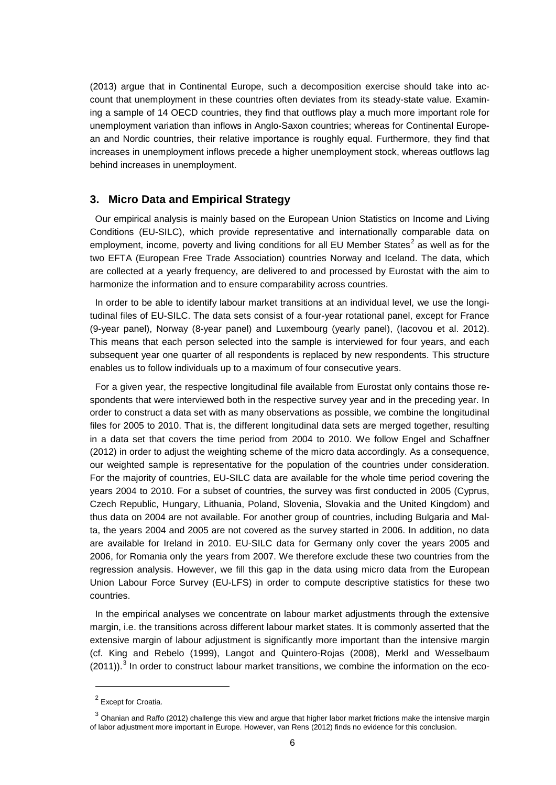(2013) argue that in Continental Europe, such a decomposition exercise should take into account that unemployment in these countries often deviates from its steady-state value. Examining a sample of 14 OECD countries, they find that outflows play a much more important role for unemployment variation than inflows in Anglo-Saxon countries; whereas for Continental European and Nordic countries, their relative importance is roughly equal. Furthermore, they find that increases in unemployment inflows precede a higher unemployment stock, whereas outflows lag behind increases in unemployment.

#### **3. Micro Data and Empirical Strategy**

Our empirical analysis is mainly based on the European Union Statistics on Income and Living Conditions (EU-SILC), which provide representative and internationally comparable data on employment, income, poverty and living conditions for all EU Member States<sup>[2](#page-3-1)</sup> as well as for the two EFTA (European Free Trade Association) countries Norway and Iceland. The data, which are collected at a yearly frequency, are delivered to and processed by Eurostat with the aim to harmonize the information and to ensure comparability across countries.

In order to be able to identify labour market transitions at an individual level, we use the longitudinal files of EU-SILC. The data sets consist of a four-year rotational panel, except for France (9-year panel), Norway (8-year panel) and Luxembourg (yearly panel), (Iacovou et al. 2012). This means that each person selected into the sample is interviewed for four years, and each subsequent year one quarter of all respondents is replaced by new respondents. This structure enables us to follow individuals up to a maximum of four consecutive years.

For a given year, the respective longitudinal file available from Eurostat only contains those respondents that were interviewed both in the respective survey year and in the preceding year. In order to construct a data set with as many observations as possible, we combine the longitudinal files for 2005 to 2010. That is, the different longitudinal data sets are merged together, resulting in a data set that covers the time period from 2004 to 2010. We follow Engel and Schaffner (2012) in order to adjust the weighting scheme of the micro data accordingly. As a consequence, our weighted sample is representative for the population of the countries under consideration. For the majority of countries, EU-SILC data are available for the whole time period covering the years 2004 to 2010. For a subset of countries, the survey was first conducted in 2005 (Cyprus, Czech Republic, Hungary, Lithuania, Poland, Slovenia, Slovakia and the United Kingdom) and thus data on 2004 are not available. For another group of countries, including Bulgaria and Malta, the years 2004 and 2005 are not covered as the survey started in 2006. In addition, no data are available for Ireland in 2010. EU-SILC data for Germany only cover the years 2005 and 2006, for Romania only the years from 2007. We therefore exclude these two countries from the regression analysis. However, we fill this gap in the data using micro data from the European Union Labour Force Survey (EU-LFS) in order to compute descriptive statistics for these two countries.

In the empirical analyses we concentrate on labour market adjustments through the extensive margin, i.e. the transitions across different labour market states. It is commonly asserted that the extensive margin of labour adjustment is significantly more important than the intensive margin (cf. King and Rebelo (1999), Langot and Quintero-Rojas (2008), Merkl and Wesselbaum  $(2011)$ ).<sup>[3](#page-5-0)</sup> In order to construct labour market transitions, we combine the information on the eco-

-

<span id="page-5-1"></span><sup>2</sup> Except for Croatia.

<span id="page-5-0"></span> $3$  Ohanian and Raffo (2012) challenge this view and argue that higher labor market frictions make the intensive margin of labor adjustment more important in Europe. However, van Rens (2012) finds no evidence for this conclusion.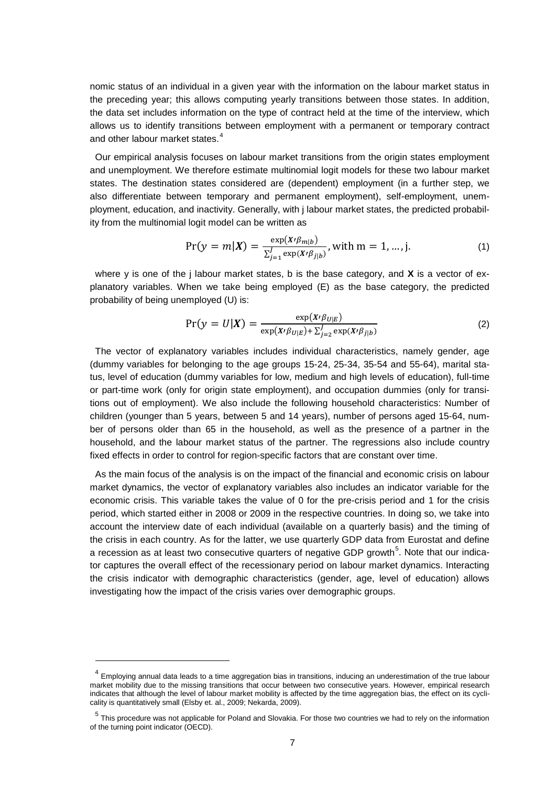nomic status of an individual in a given year with the information on the labour market status in the preceding year; this allows computing yearly transitions between those states. In addition, the data set includes information on the type of contract held at the time of the interview, which allows us to identify transitions between employment with a permanent or temporary contract and other labour market states.<sup>[4](#page-5-1)</sup>

Our empirical analysis focuses on labour market transitions from the origin states employment and unemployment. We therefore estimate multinomial logit models for these two labour market states. The destination states considered are (dependent) employment (in a further step, we also differentiate between temporary and permanent employment), self-employment, unemployment, education, and inactivity. Generally, with j labour market states, the predicted probability from the multinomial logit model can be written as

$$
\Pr(y = m | X) = \frac{\exp(x \cdot \beta_{m|b})}{\sum_{j=1}^{J} \exp(x \cdot \beta_{j|b})}, \text{with } m = 1, ..., j.
$$
 (1)

where y is one of the j labour market states, b is the base category, and **X** is a vector of explanatory variables. When we take being employed (E) as the base category, the predicted probability of being unemployed (U) is:

$$
Pr(y = U|X) = \frac{\exp(X \cdot \beta_{U|E})}{\exp(X \cdot \beta_{U|E}) + \sum_{j=2}^{J} \exp(X \cdot \beta_{j|b})}
$$
(2)

The vector of explanatory variables includes individual characteristics, namely gender, age (dummy variables for belonging to the age groups 15-24, 25-34, 35-54 and 55-64), marital status, level of education (dummy variables for low, medium and high levels of education), full-time or part-time work (only for origin state employment), and occupation dummies (only for transitions out of employment). We also include the following household characteristics: Number of children (younger than 5 years, between 5 and 14 years), number of persons aged 15-64, number of persons older than 65 in the household, as well as the presence of a partner in the household, and the labour market status of the partner. The regressions also include country fixed effects in order to control for region-specific factors that are constant over time.

As the main focus of the analysis is on the impact of the financial and economic crisis on labour market dynamics, the vector of explanatory variables also includes an indicator variable for the economic crisis. This variable takes the value of 0 for the pre-crisis period and 1 for the crisis period, which started either in 2008 or 2009 in the respective countries. In doing so, we take into account the interview date of each individual (available on a quarterly basis) and the timing of the crisis in each country. As for the latter, we use quarterly GDP data from Eurostat and define a recession as at least two consecutive quarters of negative GDP growth<sup>[5](#page-6-0)</sup>. Note that our indicator captures the overall effect of the recessionary period on labour market dynamics. Interacting the crisis indicator with demographic characteristics (gender, age, level of education) allows investigating how the impact of the crisis varies over demographic groups.

-

<sup>&</sup>lt;sup>4</sup> Employing annual data leads to a time aggregation bias in transitions, inducing an underestimation of the true labour market mobility due to the missing transitions that occur between two consecutive years. However, empirical research indicates that although the level of labour market mobility is affected by the time aggregation bias, the effect on its cyclicality is quantitatively small (Elsby et. al., 2009; Nekarda, 2009).

<span id="page-6-1"></span><span id="page-6-0"></span> $<sup>5</sup>$  This procedure was not applicable for Poland and Slovakia. For those two countries we had to rely on the information</sup> of the turning point indicator (OECD).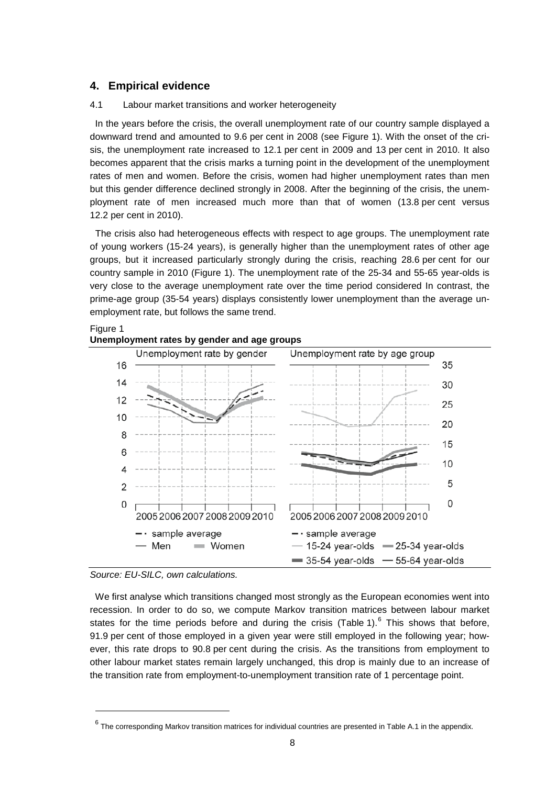#### **4. Empirical evidence**

#### 4.1 Labour market transitions and worker heterogeneity

In the years before the crisis, the overall unemployment rate of our country sample displayed a downward trend and amounted to 9.6 per cent in 2008 (see Figure 1). With the onset of the crisis, the unemployment rate increased to 12.1 per cent in 2009 and 13 per cent in 2010. It also becomes apparent that the crisis marks a turning point in the development of the unemployment rates of men and women. Before the crisis, women had higher unemployment rates than men but this gender difference declined strongly in 2008. After the beginning of the crisis, the unemployment rate of men increased much more than that of women (13.8 per cent versus 12.2 per cent in 2010).

The crisis also had heterogeneous effects with respect to age groups. The unemployment rate of young workers (15-24 years), is generally higher than the unemployment rates of other age groups, but it increased particularly strongly during the crisis, reaching 28.6 per cent for our country sample in 2010 (Figure 1). The unemployment rate of the 25-34 and 55-65 year-olds is very close to the average unemployment rate over the time period considered In contrast, the prime-age group (35-54 years) displays consistently lower unemployment than the average unemployment rate, but follows the same trend.





*Source: EU-SILC, own calculations.*

-

We first analyse which transitions changed most strongly as the European economies went into recession. In order to do so, we compute Markov transition matrices between labour market states for the time periods before and during the crisis (Table 1).<sup>[6](#page-6-1)</sup> This shows that before, 91.9 per cent of those employed in a given year were still employed in the following year; however, this rate drops to 90.8 per cent during the crisis. As the transitions from employment to other labour market states remain largely unchanged, this drop is mainly due to an increase of the transition rate from employment-to-unemployment transition rate of 1 percentage point.

<span id="page-7-0"></span> $6$  The corresponding Markov transition matrices for individual countries are presented in Table A.1 in the appendix.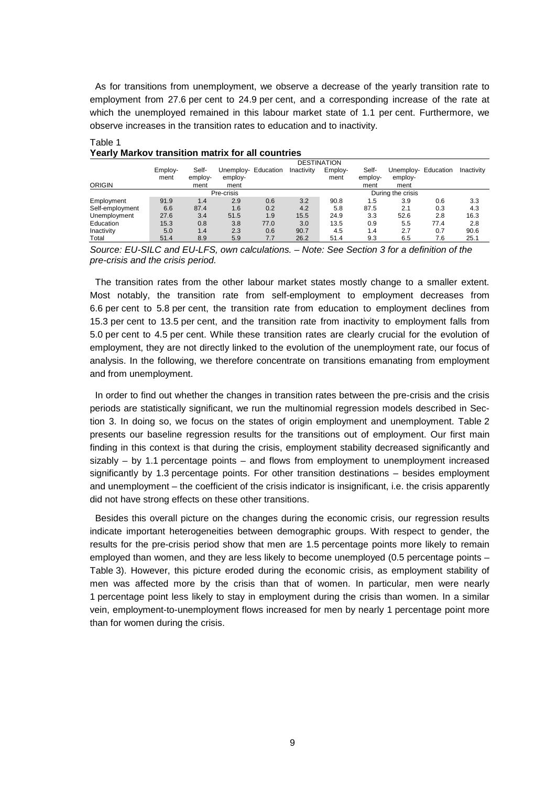As for transitions from unemployment, we observe a decrease of the yearly transition rate to employment from 27.6 per cent to 24.9 per cent, and a corresponding increase of the rate at which the unemployed remained in this labour market state of 1.1 per cent. Furthermore, we observe increases in the transition rates to education and to inactivity.

|                 | <b>DESTINATION</b> |                  |                                |      |            |                   |                  |                                |      |            |
|-----------------|--------------------|------------------|--------------------------------|------|------------|-------------------|------------------|--------------------------------|------|------------|
|                 | Employ-<br>ment    | Self-<br>employ- | Unemploy- Education<br>employ- |      | Inactivity | Employ-<br>ment   | Self-<br>employ- | Unemploy- Education<br>employ- |      | Inactivity |
| <b>ORIGIN</b>   |                    | ment             | ment                           |      |            |                   | ment             | ment                           |      |            |
|                 | Pre-crisis         |                  |                                |      |            | During the crisis |                  |                                |      |            |
| Employment      | 91.9               | 1.4              | 2.9                            | 0.6  | 3.2        | 90.8              | 1.5              | 3.9                            | 0.6  | 3.3        |
| Self-employment | 6.6                | 87.4             | 1.6                            | 0.2  | 4.2        | 5.8               | 87.5             | 2.1                            | 0.3  | 4.3        |
| Unemployment    | 27.6               | 3.4              | 51.5                           | 1.9  | 15.5       | 24.9              | 3.3              | 52.6                           | 2.8  | 16.3       |
| Education       | 15.3               | 0.8              | 3.8                            | 77.0 | 3.0        | 13.5              | 0.9              | 5.5                            | 77.4 | 2.8        |
| Inactivity      | 5.0                | 1.4              | 2.3                            | 0.6  | 90.7       | 4.5               | 1.4              | 2.7                            | 0.7  | 90.6       |
| Total           | 51.4               | 8.9              | 5.9                            | 7.7  | 26.2       | 51.4              | 9.3              | 6.5                            | 7.6  | 25.1       |

#### **Yearly Markov transition matrix for all countries**

Table 1

*Source: EU-SILC and EU-LFS, own calculations. – Note: See Section 3 for a definition of the pre-crisis and the crisis period.*

The transition rates from the other labour market states mostly change to a smaller extent. Most notably, the transition rate from self-employment to employment decreases from 6.6 per cent to 5.8 per cent, the transition rate from education to employment declines from 15.3 per cent to 13.5 per cent, and the transition rate from inactivity to employment falls from 5.0 per cent to 4.5 per cent. While these transition rates are clearly crucial for the evolution of employment, they are not directly linked to the evolution of the unemployment rate, our focus of analysis. In the following, we therefore concentrate on transitions emanating from employment and from unemployment.

In order to find out whether the changes in transition rates between the pre-crisis and the crisis periods are statistically significant, we run the multinomial regression models described in Section 3. In doing so, we focus on the states of origin employment and unemployment. Table 2 presents our baseline regression results for the transitions out of employment. Our first main finding in this context is that during the crisis, employment stability decreased significantly and sizably  $-$  by 1.1 percentage points  $-$  and flows from employment to unemployment increased significantly by 1.3 percentage points. For other transition destinations – besides employment and unemployment – the coefficient of the crisis indicator is insignificant, i.e. the crisis apparently did not have strong effects on these other transitions.

Besides this overall picture on the changes during the economic crisis, our regression results indicate important heterogeneities between demographic groups. With respect to gender, the results for the pre-crisis period show that men are 1.5 percentage points more likely to remain employed than women, and they are less likely to become unemployed (0.5 percentage points – Table 3). However, this picture eroded during the economic crisis, as employment stability of men was affected more by the crisis than that of women. In particular, men were nearly 1 percentage point less likely to stay in employment during the crisis than women. In a similar vein, employment-to-unemployment flows increased for men by nearly 1 percentage point more than for women during the crisis.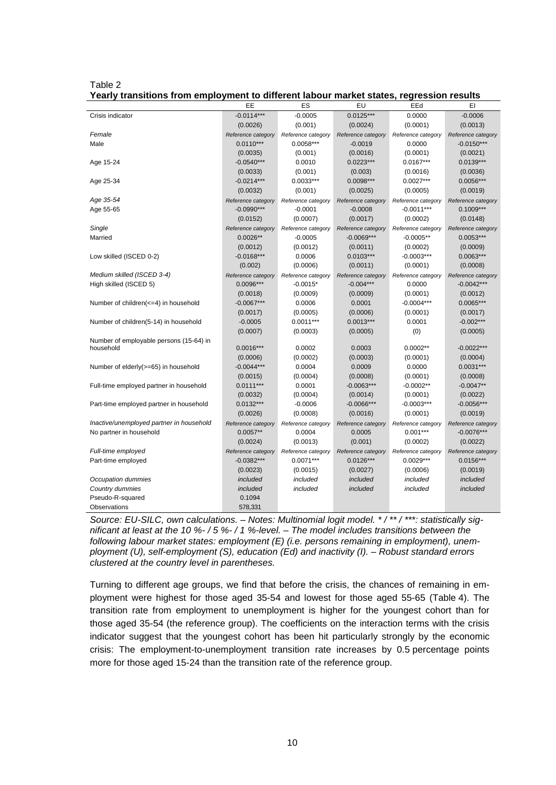|                                          | EE                                 | ES                                | EU                 | EEd                | EI                 |
|------------------------------------------|------------------------------------|-----------------------------------|--------------------|--------------------|--------------------|
| Crisis indicator                         | $-0.0114***$                       | $-0.0005$                         | $0.0125***$        | 0.0000             | $-0.0006$          |
|                                          | (0.0026)                           | (0.001)                           | (0.0024)           | (0.0001)           | (0.0013)           |
| Female                                   | Reference category                 | Reference category                | Reference category | Reference category | Reference category |
| Male                                     | $0.0110***$                        | $0.0058***$                       | $-0.0019$          | 0.0000             | $-0.0150***$       |
|                                          | (0.0035)                           | (0.001)                           | (0.0016)           | (0.0001)           | (0.0021)           |
| Age 15-24                                | $-0.0540***$                       | 0.0010                            | $0.0223***$        | $0.0167***$        | $0.0139***$        |
|                                          | (0.0033)                           | (0.001)                           | (0.003)            | (0.0016)           | (0.0036)           |
| Age 25-34                                | $-0.0214***$                       | $0.0033***$                       | $0.0098***$        | $0.0027***$        | 0.0056***          |
|                                          | (0.0032)                           | (0.001)                           | (0.0025)           | (0.0005)           | (0.0019)           |
| Age 35-54                                | Reference category                 | Reference category                | Reference category | Reference category | Reference category |
| Age 55-65                                | $-0.0990***$                       | $-0.0001$                         | $-0.0008$          | $-0.0011***$       | $0.1009***$        |
|                                          | (0.0152)                           | (0.0007)                          | (0.0017)           | (0.0002)           | (0.0148)           |
| Single                                   | Reference category                 | Reference category                | Reference category | Reference category | Reference category |
| Married                                  | $0.0026**$                         | $-0.0005$                         | $-0.0069***$       | $-0.0005**$        | $0.0053***$        |
|                                          | (0.0012)                           | (0.0012)                          | (0.0011)           | (0.0002)           | (0.0009)           |
| Low skilled (ISCED 0-2)                  | $-0.0168***$                       | 0.0006                            | $0.0103***$        | $-0.0003***$       | 0.0063***          |
|                                          | (0.002)                            | (0.0006)                          | (0.0011)           | (0.0001)           | (0.0008)           |
| Medium skilled (ISCED 3-4)               | Reference category                 | Reference category                | Reference category | Reference category | Reference category |
| High skilled (ISCED 5)                   | 0.0096***                          | $-0.0015*$                        | $-0.004***$        | 0.0000             | $-0.0042***$       |
|                                          | (0.0018)                           | (0.0009)                          | (0.0009)           | (0.0001)           | (0.0012)           |
| Number of children(<=4) in household     | $-0.0067***$                       | 0.0006                            | 0.0001             | $-0.0004***$       | $0.0065***$        |
|                                          | (0.0017)                           | (0.0005)                          | (0.0006)           | (0.0001)           | (0.0017)           |
| Number of children(5-14) in household    | $-0.0005$                          | $0.0011***$                       | $0.0013***$        | 0.0001             | $-0.002***$        |
|                                          | (0.0007)                           | (0.0003)                          | (0.0005)           | (0)                | (0.0005)           |
| Number of employable persons (15-64) in  |                                    |                                   |                    |                    |                    |
| household                                | $0.0016***$                        | 0.0002                            | 0.0003             | $0.0002**$         | $-0.0022***$       |
|                                          | (0.0006)                           | (0.0002)                          | (0.0003)           | (0.0001)           | (0.0004)           |
| Number of elderly(>=65) in household     | $-0.0044***$                       | 0.0004                            | 0.0009             | 0.0000             | $0.0031***$        |
|                                          | (0.0015)                           | (0.0004)                          | (0.0008)           | (0.0001)           | (0.0008)           |
| Full-time employed partner in household  | $0.0111***$                        | 0.0001                            | $-0.0063***$       | $-0.0002**$        | $-0.0047**$        |
|                                          | (0.0032)                           | (0.0004)                          | (0.0014)           | (0.0001)           | (0.0022)           |
| Part-time employed partner in household  | $0.0132***$                        | $-0.0006$                         | $-0.0066***$       | $-0.0003***$       | $-0.0056***$       |
|                                          | (0.0026)                           | (0.0008)                          | (0.0016)           | (0.0001)           | (0.0019)           |
| Inactive/unemployed partner in household | Reference category                 | Reference category                | Reference category | Reference category | Reference category |
| No partner in household                  | $0.0057**$                         | 0.0004                            | 0.0005             | $0.001***$         | $-0.0076***$       |
|                                          | (0.0024)                           | (0.0013)                          | (0.001)            | (0.0002)           | (0.0022)           |
| Full-time employed                       | Reference category<br>$-0.0382***$ | Reference category<br>$0.0071***$ | Reference category | Reference category | Reference category |
| Part-time employed                       |                                    |                                   | $0.0126***$        | $0.0029***$        | $0.0156***$        |
|                                          | (0.0023)                           | (0.0015)                          | (0.0027)           | (0.0006)           | (0.0019)           |
| Occupation dummies                       | included                           | included                          | included           | included           | included           |
| Country dummies                          | included<br>0.1094                 | included                          | included           | included           | included           |
| Pseudo-R-squared                         |                                    |                                   |                    |                    |                    |
| Observations                             | 578,331                            |                                   |                    |                    |                    |

| Table 2 |                                                                                          |  |
|---------|------------------------------------------------------------------------------------------|--|
|         | Yearly transitions from employment to different labour market states, regression results |  |

*Source: EU-SILC, own calculations. – Notes: Multinomial logit model. \* / \*\* / \*\*\*: statistically significant at least at the 10 %- / 5 %- / 1 %-level. – The model includes transitions between the following labour market states: employment (E) (i.e. persons remaining in employment), unemployment (U), self-employment (S), education (Ed) and inactivity (I). – Robust standard errors clustered at the country level in parentheses.*

Turning to different age groups, we find that before the crisis, the chances of remaining in employment were highest for those aged 35-54 and lowest for those aged 55-65 (Table 4). The transition rate from employment to unemployment is higher for the youngest cohort than for those aged 35-54 (the reference group). The coefficients on the interaction terms with the crisis indicator suggest that the youngest cohort has been hit particularly strongly by the economic crisis: The employment-to-unemployment transition rate increases by 0.5 percentage points more for those aged 15-24 than the transition rate of the reference group.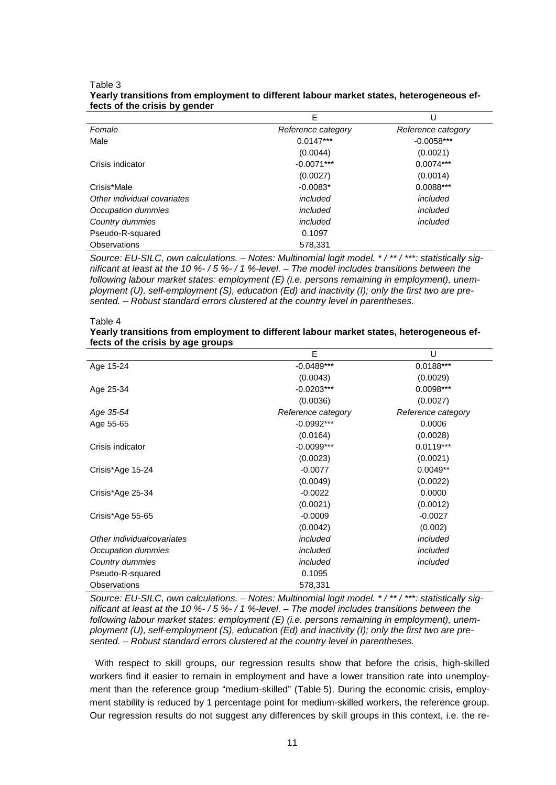|                             | E                  | U                  |
|-----------------------------|--------------------|--------------------|
| Female                      | Reference category | Reference category |
| Male                        | $0.0147***$        | $-0.0058***$       |
|                             | (0.0044)           | (0.0021)           |
| Crisis indicator            | $-0.0071***$       | $0.0074***$        |
|                             | (0.0027)           | (0.0014)           |
| Crisis*Male                 | $-0.0083*$         | $0.0088***$        |
| Other individual covariates | included           | included           |
| Occupation dummies          | included           | included           |
| Country dummies             | included           | included           |
| Pseudo-R-squared            | 0.1097             |                    |
| <b>Observations</b>         | 578,331            |                    |

#### Table 3 **Yearly transitions from employment to different labour market states, heterogeneous effects of the crisis by gender**

*Source: EU-SILC, own calculations. – Notes: Multinomial logit model. \* / \*\* / \*\*\*: statistically significant at least at the 10 %- / 5 %- / 1 %-level. – The model includes transitions between the following labour market states: employment (E) (i.e. persons remaining in employment), unemployment (U), self-employment (S), education (Ed) and inactivity (I); only the first two are presented. – Robust standard errors clustered at the country level in parentheses.*

#### Table 4

#### **Yearly transitions from employment to different labour market states, heterogeneous effects of the crisis by age groups**

|                            | Е                  | U                  |
|----------------------------|--------------------|--------------------|
| Age 15-24                  | $-0.0489***$       | 0.0188***          |
|                            | (0.0043)           | (0.0029)           |
| Age 25-34                  | $-0.0203***$       | 0.0098***          |
|                            | (0.0036)           | (0.0027)           |
| Age 35-54                  | Reference category | Reference category |
| Age 55-65                  | $-0.0992***$       | 0.0006             |
|                            | (0.0164)           | (0.0028)           |
| Crisis indicator           | $-0.0099***$       | $0.0119***$        |
|                            | (0.0023)           | (0.0021)           |
| Crisis*Age 15-24           | $-0.0077$          | $0.0049**$         |
|                            | (0.0049)           | (0.0022)           |
| Crisis*Age 25-34           | $-0.0022$          | 0.0000             |
|                            | (0.0021)           | (0.0012)           |
| Crisis*Age 55-65           | $-0.0009$          | $-0.0027$          |
|                            | (0.0042)           | (0.002)            |
| Other individualcovariates | included           | included           |
| Occupation dummies         | included           | included           |
| Country dummies            | included           | included           |
| Pseudo-R-squared           | 0.1095             |                    |
| Observations               | 578,331            |                    |

*Source: EU-SILC, own calculations. – Notes: Multinomial logit model. \* / \*\* / \*\*\*: statistically significant at least at the 10 %- / 5 %- / 1 %-level. – The model includes transitions between the following labour market states: employment (E) (i.e. persons remaining in employment), unemployment (U), self-employment (S), education (Ed) and inactivity (I); only the first two are presented. – Robust standard errors clustered at the country level in parentheses.*

With respect to skill groups, our regression results show that before the crisis, high-skilled workers find it easier to remain in employment and have a lower transition rate into unemployment than the reference group "medium-skilled" (Table 5). During the economic crisis, employment stability is reduced by 1 percentage point for medium-skilled workers, the reference group. Our regression results do not suggest any differences by skill groups in this context, i.e. the re-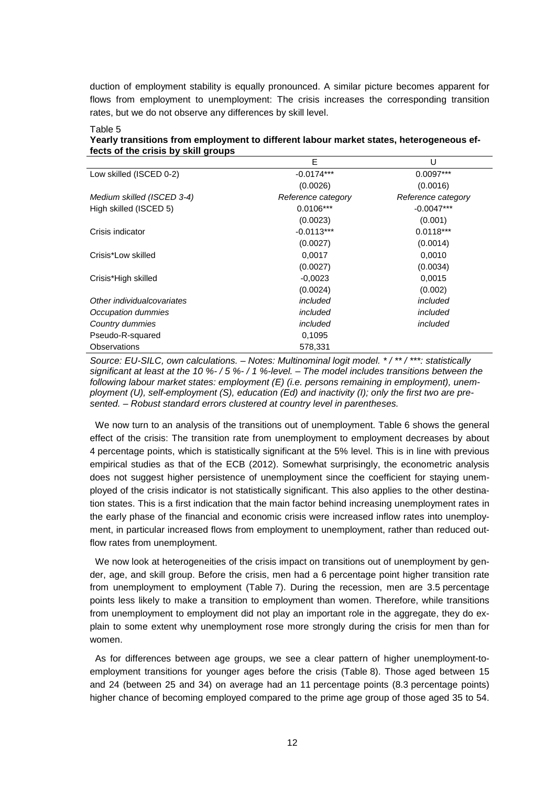duction of employment stability is equally pronounced. A similar picture becomes apparent for flows from employment to unemployment: The crisis increases the corresponding transition rates, but we do not observe any differences by skill level.

#### Table 5

**Yearly transitions from employment to different labour market states, heterogeneous effects of the crisis by skill groups**

|                            | Е                  | U                  |
|----------------------------|--------------------|--------------------|
| Low skilled (ISCED 0-2)    | $-0.0174***$       | $0.0097***$        |
|                            | (0.0026)           | (0.0016)           |
| Medium skilled (ISCED 3-4) | Reference category | Reference category |
| High skilled (ISCED 5)     | $0.0106***$        | $-0.0047***$       |
|                            | (0.0023)           | (0.001)            |
| Crisis indicator           | $-0.0113***$       | $0.0118***$        |
|                            | (0.0027)           | (0.0014)           |
| Crisis*Low skilled         | 0,0017             | 0,0010             |
|                            | (0.0027)           | (0.0034)           |
| Crisis*High skilled        | $-0.0023$          | 0.0015             |
|                            | (0.0024)           | (0.002)            |
| Other individualcovariates | included           | included           |
| Occupation dummies         | included           | included           |
| Country dummies            | included           | included           |
| Pseudo-R-squared           | 0,1095             |                    |
| Observations               | 578,331            |                    |

*Source: EU-SILC, own calculations. – Notes: Multinominal logit model. \* / \*\* / \*\*\*: statistically significant at least at the 10 %- / 5 %- / 1 %-level. – The model includes transitions between the following labour market states: employment (E) (i.e. persons remaining in employment), unemployment (U), self-employment (S), education (Ed) and inactivity (I); only the first two are presented. – Robust standard errors clustered at country level in parentheses.*

We now turn to an analysis of the transitions out of unemployment. Table 6 shows the general effect of the crisis: The transition rate from unemployment to employment decreases by about 4 percentage points, which is statistically significant at the 5% level. This is in line with previous empirical studies as that of the ECB (2012). Somewhat surprisingly, the econometric analysis does not suggest higher persistence of unemployment since the coefficient for staying unemployed of the crisis indicator is not statistically significant. This also applies to the other destination states. This is a first indication that the main factor behind increasing unemployment rates in the early phase of the financial and economic crisis were increased inflow rates into unemployment, in particular increased flows from employment to unemployment, rather than reduced outflow rates from unemployment.

We now look at heterogeneities of the crisis impact on transitions out of unemployment by gender, age, and skill group. Before the crisis, men had a 6 percentage point higher transition rate from unemployment to employment (Table 7). During the recession, men are 3.5 percentage points less likely to make a transition to employment than women. Therefore, while transitions from unemployment to employment did not play an important role in the aggregate, they do explain to some extent why unemployment rose more strongly during the crisis for men than for women.

As for differences between age groups, we see a clear pattern of higher unemployment-toemployment transitions for younger ages before the crisis (Table 8). Those aged between 15 and 24 (between 25 and 34) on average had an 11 percentage points (8.3 percentage points) higher chance of becoming employed compared to the prime age group of those aged 35 to 54.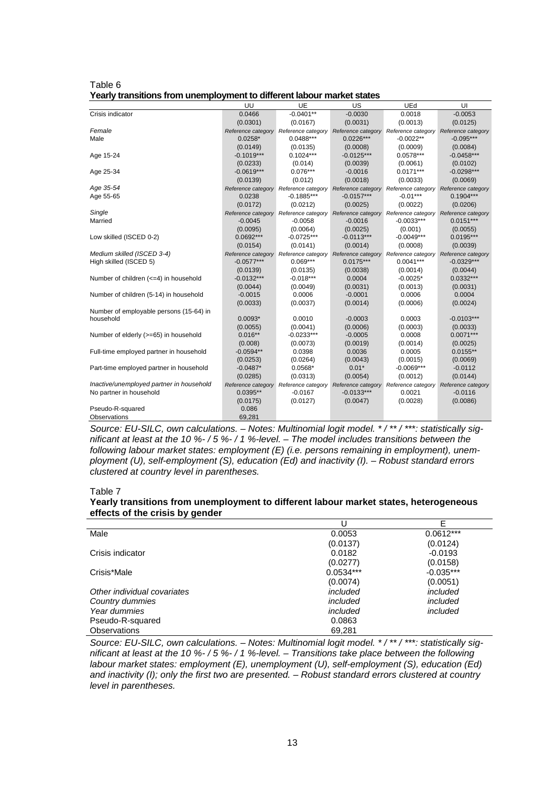| Table 6 |                                                                        |
|---------|------------------------------------------------------------------------|
|         | Yearly transitions from unemployment to different labour market states |

|                                          | UU                 | UE                 | US                 | UEd                | UI                 |
|------------------------------------------|--------------------|--------------------|--------------------|--------------------|--------------------|
| Crisis indicator                         | 0.0466             | $-0.0401**$        | $-0.0030$          | 0.0018             | $-0.0053$          |
|                                          | (0.0301)           | (0.0167)           | (0.0031)           | (0.0013)           | (0.0125)           |
| Female                                   | Reference category | Reference category | Reference category | Reference category | Reference category |
| Male                                     | $0.0258*$          | $0.0488***$        | $0.0226***$        | $-0.0022**$        | $-0.095***$        |
|                                          | (0.0149)           | (0.0135)           | (0.0008)           | (0.0009)           | (0.0084)           |
| Age 15-24                                | $-0.1019***$       | $0.1024***$        | $-0.0125***$       | $0.0578***$        | $-0.0458***$       |
|                                          | (0.0233)           | (0.014)            | (0.0039)           | (0.0061)           | (0.0102)           |
| Age 25-34                                | $-0.0619***$       | $0.076***$         | $-0.0016$          | $0.0171***$        | $-0.0298***$       |
|                                          | (0.0139)           | (0.012)            | (0.0018)           | (0.0033)           | (0.0069)           |
| Age 35-54                                | Reference category | Reference category | Reference category | Reference category | Reference category |
| Age 55-65                                | 0.0238             | $-0.1885***$       | $-0.0157***$       | $-0.01***$         | $0.1904***$        |
|                                          | (0.0172)           | (0.0212)           | (0.0025)           | (0.0022)           | (0.0206)           |
| Single                                   | Reference category | Reference category | Reference category | Reference category | Reference category |
| Married                                  | $-0.0045$          | $-0.0058$          | $-0.0016$          | $-0.0033***$       | $0.0151***$        |
|                                          | (0.0095)           | (0.0064)           | (0.0025)           | (0.001)            | (0.0055)           |
| Low skilled (ISCED 0-2)                  | $0.0692***$        | $-0.0725***$       | $-0.0113***$       | $-0.0049***$       | $0.0195***$        |
|                                          | (0.0154)           | (0.0141)           | (0.0014)           | (0.0008)           | (0.0039)           |
| Medium skilled (ISCED 3-4)               | Reference category | Reference category | Reference category | Reference category | Reference category |
| High skilled (ISCED 5)                   | $-0.0577***$       | $0.069***$         | $0.0175***$        | $0.0041***$        | $-0.0329***$       |
|                                          | (0.0139)           | (0.0135)           | (0.0038)           | (0.0014)           | (0.0044)           |
| Number of children (<=4) in household    | $-0.0132***$       | $-0.018***$        | 0.0004             | $-0.0025*$         | $0.0332***$        |
|                                          | (0.0044)           | (0.0049)           | (0.0031)           | (0.0013)           | (0.0031)           |
| Number of children (5-14) in household   | $-0.0015$          | 0.0006             | $-0.0001$          | 0.0006             | 0.0004             |
|                                          | (0.0033)           | (0.0037)           | (0.0014)           | (0.0006)           | (0.0024)           |
| Number of employable persons (15-64) in  |                    |                    |                    |                    |                    |
| household                                | $0.0093*$          | 0.0010             | $-0.0003$          | 0.0003             | $-0.0103***$       |
|                                          | (0.0055)           | (0.0041)           | (0.0006)           | (0.0003)           | (0.0033)           |
| Number of elderly (>=65) in household    | $0.016**$          | $-0.0233***$       | $-0.0005$          | 0.0008             | $0.0071***$        |
|                                          | (0.008)            | (0.0073)           | (0.0019)           | (0.0014)           | (0.0025)           |
| Full-time employed partner in household  | $-0.0594**$        | 0.0398             | 0.0036             | 0.0005             | $0.0155**$         |
|                                          | (0.0253)           | (0.0264)           | (0.0043)           | (0.0015)           | (0.0069)           |
| Part-time employed partner in household  | $-0.0487*$         | $0.0568*$          | $0.01*$            | $-0.0069***$       | $-0.0112$          |
|                                          | (0.0285)           | (0.0313)           | (0.0054)           | (0.0012)           | (0.0144)           |
| Inactive/unemployed partner in household | Reference category | Reference category | Reference category | Reference category | Reference category |
| No partner in household                  | $0.0395**$         | $-0.0167$          | $-0.0133***$       | 0.0021             | $-0.0116$          |
|                                          | (0.0175)           | (0.0127)           | (0.0047)           | (0.0028)           | (0.0086)           |
| Pseudo-R-squared                         | 0.086              |                    |                    |                    |                    |
| Observations                             | 69,281             |                    |                    |                    |                    |

*Source: EU-SILC, own calculations. – Notes: Multinomial logit model. \* / \*\* / \*\*\*: statistically significant at least at the 10 %- / 5 %- / 1 %-level. – The model includes transitions between the following labour market states: employment (E) (i.e. persons remaining in employment), unemployment (U), self-employment (S), education (Ed) and inactivity (I). – Robust standard errors clustered at country level in parentheses.*

Table 7

#### **Yearly transitions from unemployment to different labour market states, heterogeneous effects of the crisis by gender**

|                             |             | F           |
|-----------------------------|-------------|-------------|
| Male                        | 0.0053      | $0.0612***$ |
|                             | (0.0137)    | (0.0124)    |
| Crisis indicator            | 0.0182      | $-0.0193$   |
|                             | (0.0277)    | (0.0158)    |
| Crisis*Male                 | $0.0534***$ | $-0.035***$ |
|                             | (0.0074)    | (0.0051)    |
| Other individual covariates | included    | included    |
| Country dummies             | included    | included    |
| Year dummies                | included    | included    |
| Pseudo-R-squared            | 0.0863      |             |
| <b>Observations</b>         | 69.281      |             |

*Source: EU-SILC, own calculations. – Notes: Multinomial logit model. \* / \*\* / \*\*\*: statistically significant at least at the 10 %- / 5 %- / 1 %-level. – Transitions take place between the following labour market states: employment (E), unemployment (U), self-employment (S), education (Ed) and inactivity (I); only the first two are presented. – Robust standard errors clustered at country level in parentheses.*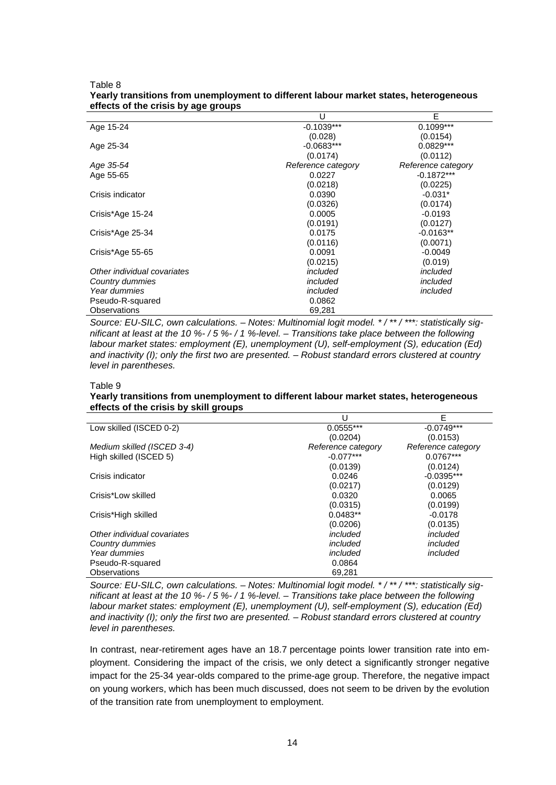|                             | U                  | E                  |
|-----------------------------|--------------------|--------------------|
| Age 15-24                   | $-0.1039***$       | $0.1099***$        |
|                             | (0.028)            | (0.0154)           |
| Age 25-34                   | $-0.0683***$       | $0.0829***$        |
|                             | (0.0174)           | (0.0112)           |
| Age 35-54                   | Reference category | Reference category |
| Age 55-65                   | 0.0227             | $-0.1872***$       |
|                             | (0.0218)           | (0.0225)           |
| Crisis indicator            | 0.0390             | $-0.031*$          |
|                             | (0.0326)           | (0.0174)           |
| Crisis*Age 15-24            | 0.0005             | $-0.0193$          |
|                             | (0.0191)           | (0.0127)           |
| Crisis*Age 25-34            | 0.0175             | $-0.0163**$        |
|                             | (0.0116)           | (0.0071)           |
| Crisis*Age 55-65            | 0.0091             | $-0.0049$          |
|                             | (0.0215)           | (0.019)            |
| Other individual covariates | included           | included           |
| Country dummies             | included           | included           |
| Year dummies                | included           | included           |
| Pseudo-R-squared            | 0.0862             |                    |
| Observations                | 69,281             |                    |

Table 8 **Yearly transitions from unemployment to different labour market states, heterogeneous effects of the crisis by age groups**

*Source: EU-SILC, own calculations. – Notes: Multinomial logit model. \* / \*\* / \*\*\*: statistically significant at least at the 10 %- / 5 %- / 1 %-level. – Transitions take place between the following labour market states: employment (E), unemployment (U), self-employment (S), education (Ed) and inactivity (I); only the first two are presented. – Robust standard errors clustered at country level in parentheses.*

#### Table 9

#### **Yearly transitions from unemployment to different labour market states, heterogeneous effects of the crisis by skill groups**

|                             | U                  | E                  |
|-----------------------------|--------------------|--------------------|
| Low skilled (ISCED 0-2)     | $0.0555***$        | $-0.0749***$       |
|                             | (0.0204)           | (0.0153)           |
| Medium skilled (ISCED 3-4)  | Reference category | Reference category |
| High skilled (ISCED 5)      | $-0.077***$        | $0.0767***$        |
|                             | (0.0139)           | (0.0124)           |
| Crisis indicator            | 0.0246             | $-0.0395***$       |
|                             | (0.0217)           | (0.0129)           |
| Crisis*Low skilled          | 0.0320             | 0.0065             |
|                             | (0.0315)           | (0.0199)           |
| Crisis*High skilled         | $0.0483**$         | $-0.0178$          |
|                             | (0.0206)           | (0.0135)           |
| Other individual covariates | included           | included           |
| Country dummies             | included           | included           |
| Year dummies                | included           | included           |
| Pseudo-R-squared            | 0.0864             |                    |
| Observations                | 69.281             |                    |

*Source: EU-SILC, own calculations. – Notes: Multinomial logit model. \* / \*\* / \*\*\*: statistically significant at least at the 10 %- / 5 %- / 1 %-level. – Transitions take place between the following labour market states: employment (E), unemployment (U), self-employment (S), education (Ed) and inactivity (I); only the first two are presented. – Robust standard errors clustered at country level in parentheses.*

In contrast, near-retirement ages have an 18.7 percentage points lower transition rate into employment. Considering the impact of the crisis, we only detect a significantly stronger negative impact for the 25-34 year-olds compared to the prime-age group. Therefore, the negative impact on young workers, which has been much discussed, does not seem to be driven by the evolution of the transition rate from unemployment to employment.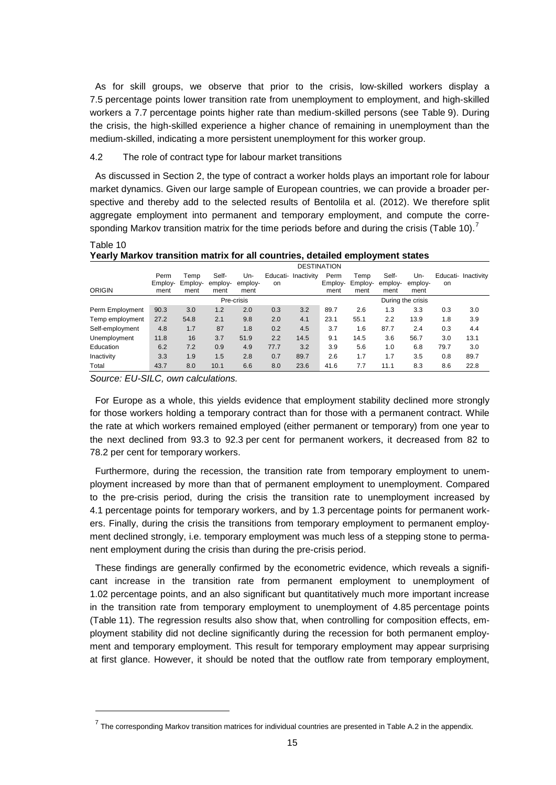As for skill groups, we observe that prior to the crisis, low-skilled workers display a 7.5 percentage points lower transition rate from unemployment to employment, and high-skilled workers a 7.7 percentage points higher rate than medium-skilled persons (see Table 9). During the crisis, the high-skilled experience a higher chance of remaining in unemployment than the medium-skilled, indicating a more persistent unemployment for this worker group.

#### 4.2 The role of contract type for labour market transitions

As discussed in Section 2, the type of contract a worker holds plays an important role for labour market dynamics. Given our large sample of European countries, we can provide a broader perspective and thereby add to the selected results of Bentolila et al. (2012). We therefore split aggregate employment into permanent and temporary employment, and compute the corre-sponding Markov transition matrix for the time periods before and during the crisis (Table 10).<sup>[7](#page-7-0)</sup>

Table 10

<span id="page-14-0"></span>-

**Yearly Markov transition matrix for all countries, detailed employment states**

|                 | <b>DESTINATION</b>      |                         |                          |                        |      |                     |                         |                         |                          |                        |      |                     |
|-----------------|-------------------------|-------------------------|--------------------------|------------------------|------|---------------------|-------------------------|-------------------------|--------------------------|------------------------|------|---------------------|
| <b>ORIGIN</b>   | Perm<br>Employ-<br>ment | Temp<br>Employ-<br>ment | Self-<br>employ-<br>ment | Un-<br>employ-<br>ment | on   | Educati- Inactivity | Perm<br>Employ-<br>ment | Temp<br>Employ-<br>ment | Self-<br>employ-<br>ment | Un-<br>employ-<br>ment | on   | Educati- Inactivity |
|                 |                         |                         |                          | Pre-crisis             |      |                     |                         |                         |                          | During the crisis      |      |                     |
| Perm Employment | 90.3                    | 3.0                     | 1.2                      | 2.0                    | 0.3  | 3.2                 | 89.7                    | 2.6                     | 1.3                      | 3.3                    | 0.3  | 3.0                 |
| Temp employment | 27.2                    | 54.8                    | 2.1                      | 9.8                    | 2.0  | 4.1                 | 23.1                    | 55.1                    | 2.2                      | 13.9                   | 1.8  | 3.9                 |
| Self-employment | 4.8                     | 1.7                     | 87                       | 1.8                    | 0.2  | 4.5                 | 3.7                     | 1.6                     | 87.7                     | 2.4                    | 0.3  | 4.4                 |
| Unemployment    | 11.8                    | 16                      | 3.7                      | 51.9                   | 2.2  | 14.5                | 9.1                     | 14.5                    | 3.6                      | 56.7                   | 3.0  | 13.1                |
| Education       | 6.2                     | 7.2                     | 0.9                      | 4.9                    | 77.7 | 3.2                 | 3.9                     | 5.6                     | 1.0                      | 6.8                    | 79.7 | 3.0                 |
| Inactivity      | 3.3                     | 1.9                     | 1.5                      | 2.8                    | 0.7  | 89.7                | 2.6                     | 1.7                     | 1.7                      | 3.5                    | 0.8  | 89.7                |
| Total           | 43.7                    | 8.0                     | 10.1                     | 6.6                    | 8.0  | 23.6                | 41.6                    | 7.7                     | 11.1                     | 8.3                    | 8.6  | 22.8                |

*Source: EU-SILC, own calculations.*

For Europe as a whole, this yields evidence that employment stability declined more strongly for those workers holding a temporary contract than for those with a permanent contract. While the rate at which workers remained employed (either permanent or temporary) from one year to the next declined from 93.3 to 92.3 per cent for permanent workers, it decreased from 82 to 78.2 per cent for temporary workers.

Furthermore, during the recession, the transition rate from temporary employment to unemployment increased by more than that of permanent employment to unemployment. Compared to the pre-crisis period, during the crisis the transition rate to unemployment increased by 4.1 percentage points for temporary workers, and by 1.3 percentage points for permanent workers. Finally, during the crisis the transitions from temporary employment to permanent employment declined strongly, i.e. temporary employment was much less of a stepping stone to permanent employment during the crisis than during the pre-crisis period.

These findings are generally confirmed by the econometric evidence, which reveals a significant increase in the transition rate from permanent employment to unemployment of 1.02 percentage points, and an also significant but quantitatively much more important increase in the transition rate from temporary employment to unemployment of 4.85 percentage points (Table 11). The regression results also show that, when controlling for composition effects, employment stability did not decline significantly during the recession for both permanent employment and temporary employment. This result for temporary employment may appear surprising at first glance. However, it should be noted that the outflow rate from temporary employment,

 $<sup>7</sup>$  The corresponding Markov transition matrices for individual countries are presented in Table A.2 in the appendix.</sup>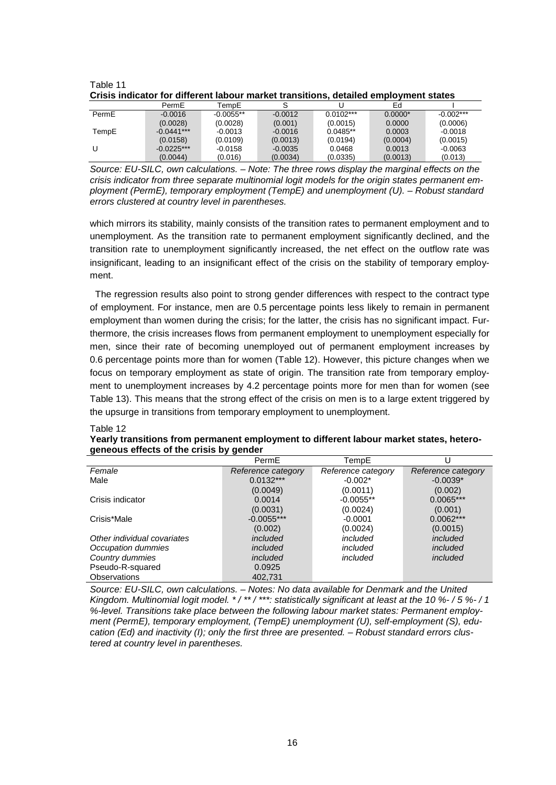| Crisis indicator for different labour market transitions, detailed employment states |              |             |           |             |           |             |
|--------------------------------------------------------------------------------------|--------------|-------------|-----------|-------------|-----------|-------------|
|                                                                                      | PermE        | TempE       |           |             | Ed        |             |
| PermE                                                                                | $-0.0016$    | $-0.0055**$ | $-0.0012$ | $0.0102***$ | $0.0000*$ | $-0.002***$ |
|                                                                                      | (0.0028)     | (0.0028)    | (0.001)   | (0.0015)    | 0.0000    | (0.0006)    |
| TempE                                                                                | $-0.0441***$ | $-0.0013$   | $-0.0016$ | $0.0485**$  | 0.0003    | $-0.0018$   |
|                                                                                      | (0.0158)     | (0.0109)    | (0.0013)  | (0.0194)    | (0.0004)  | (0.0015)    |
|                                                                                      | $-0.0225***$ | $-0.0158$   | $-0.0035$ | 0.0468      | 0.0013    | $-0.0063$   |
|                                                                                      | (0.0044)     | (0.016)     | (0.0034)  | (0.0335)    | (0.0013)  | (0.013)     |

| Crisis indicator for different labour market transitions, detailed employment states |  |  |  |  |  |
|--------------------------------------------------------------------------------------|--|--|--|--|--|
| Table 11                                                                             |  |  |  |  |  |

*Source: EU-SILC, own calculations. – Note: The three rows display the marginal effects on the crisis indicator from three separate multinomial logit models for the origin states permanent employment (PermE), temporary employment (TempE) and unemployment (U). – Robust standard errors clustered at country level in parentheses.*

which mirrors its stability, mainly consists of the transition rates to permanent employment and to unemployment. As the transition rate to permanent employment significantly declined, and the transition rate to unemployment significantly increased, the net effect on the outflow rate was insignificant, leading to an insignificant effect of the crisis on the stability of temporary employment.

The regression results also point to strong gender differences with respect to the contract type of employment. For instance, men are 0.5 percentage points less likely to remain in permanent employment than women during the crisis; for the latter, the crisis has no significant impact. Furthermore, the crisis increases flows from permanent employment to unemployment especially for men, since their rate of becoming unemployed out of permanent employment increases by 0.6 percentage points more than for women (Table 12). However, this picture changes when we focus on temporary employment as state of origin. The transition rate from temporary employment to unemployment increases by 4.2 percentage points more for men than for women (see Table 13). This means that the strong effect of the crisis on men is to a large extent triggered by the upsurge in transitions from temporary employment to unemployment.

| geneous enects of the chais by genuer |                    |                    |                    |  |  |
|---------------------------------------|--------------------|--------------------|--------------------|--|--|
|                                       | PermE              | TempE              |                    |  |  |
| Female                                | Reference category | Reference category | Reference category |  |  |
| Male                                  | $0.0132***$        | $-0.002*$          | $-0.0039*$         |  |  |
|                                       | (0.0049)           | (0.0011)           | (0.002)            |  |  |
| Crisis indicator                      | 0.0014             | $-0.0055**$        | $0.0065***$        |  |  |
|                                       | (0.0031)           | (0.0024)           | (0.001)            |  |  |
| Crisis*Male                           | $-0.0055***$       | $-0.0001$          | $0.0062***$        |  |  |
|                                       | (0.002)            | (0.0024)           | (0.0015)           |  |  |
| Other individual covariates           | included           | included           | included           |  |  |
| Occupation dummies                    | included           | included           | included           |  |  |
| Country dummies                       | included           | included           | included           |  |  |
| Pseudo-R-squared                      | 0.0925             |                    |                    |  |  |
| <b>Observations</b>                   | 402.731            |                    |                    |  |  |

#### Table 12 **Yearly transitions from permanent employment to different labour market states, heterogeneous effects of the crisis by gender**

*Source: EU-SILC, own calculations. – Notes: No data available for Denmark and the United Kingdom. Multinomial logit model. \* / \*\* / \*\*\*: statistically significant at least at the 10 %- / 5 %- / 1 %-level. Transitions take place between the following labour market states: Permanent employment (PermE), temporary employment, (TempE) unemployment (U), self-employment (S), education (Ed) and inactivity (I); only the first three are presented. – Robust standard errors clustered at country level in parentheses.*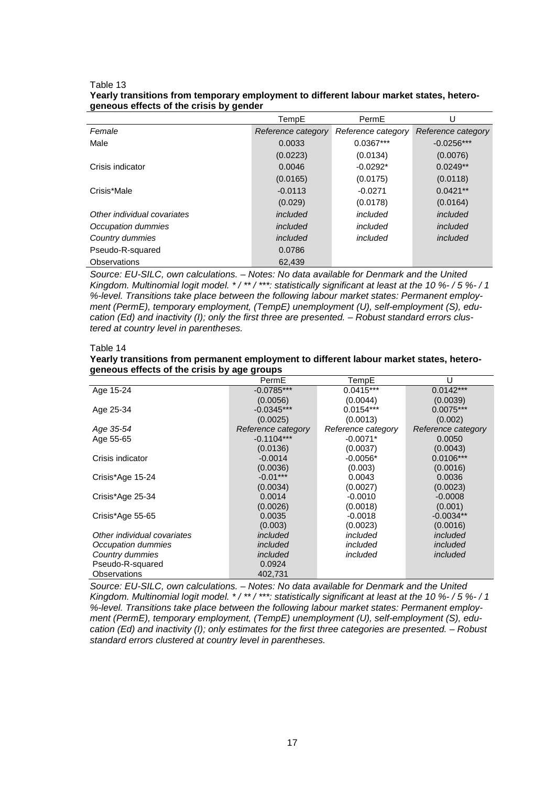|                             | TempE              | PermE              |                    |
|-----------------------------|--------------------|--------------------|--------------------|
| Female                      | Reference category | Reference category | Reference category |
| Male                        | 0.0033             | $0.0367***$        | $-0.0256***$       |
|                             | (0.0223)           | (0.0134)           | (0.0076)           |
| Crisis indicator            | 0.0046             | $-0.0292*$         | $0.0249**$         |
|                             | (0.0165)           | (0.0175)           | (0.0118)           |
| Crisis*Male                 | $-0.0113$          | $-0.0271$          | $0.0421**$         |
|                             | (0.029)            | (0.0178)           | (0.0164)           |
| Other individual covariates | included           | included           | included           |
| Occupation dummies          | included           | included           | included           |
| Country dummies             | included           | included           | included           |
| Pseudo-R-squared            | 0.0786             |                    |                    |
| Observations                | 62.439             |                    |                    |

#### Table 13 **Yearly transitions from temporary employment to different labour market states, heterogeneous effects of the crisis by gender**

*Source: EU-SILC, own calculations. – Notes: No data available for Denmark and the United Kingdom. Multinomial logit model. \* / \*\* / \*\*\*: statistically significant at least at the 10 %- / 5 %- / 1 %-level. Transitions take place between the following labour market states: Permanent employment (PermE), temporary employment, (TempE) unemployment (U), self-employment (S), education (Ed) and inactivity (I); only the first three are presented. – Robust standard errors clustered at country level in parentheses.*

#### Table 14

#### **Yearly transitions from permanent employment to different labour market states, heterogeneous effects of the crisis by age groups**

|                             | PermE              | TempE              | U                  |
|-----------------------------|--------------------|--------------------|--------------------|
| Age 15-24                   | $-0.0785***$       | $0.0415***$        | $0.0142***$        |
|                             | (0.0056)           | (0.0044)           | (0.0039)           |
| Age 25-34                   | $-0.0345***$       | $0.0154***$        | $0.0075***$        |
|                             | (0.0025)           | (0.0013)           | (0.002)            |
| Age 35-54                   | Reference category | Reference category | Reference category |
| Age 55-65                   | $-0.1104***$       | $-0.0071*$         | 0.0050             |
|                             | (0.0136)           | (0.0037)           | (0.0043)           |
| Crisis indicator            | $-0.0014$          | $-0.0056*$         | $0.0106***$        |
|                             | (0.0036)           | (0.003)            | (0.0016)           |
| Crisis*Age 15-24            | $-0.01***$         | 0.0043             | 0.0036             |
|                             | (0.0034)           | (0.0027)           | (0.0023)           |
| Crisis*Age 25-34            | 0.0014             | $-0.0010$          | $-0.0008$          |
|                             | (0.0026)           | (0.0018)           | (0.001)            |
| Crisis*Age 55-65            | 0.0035             | $-0.0018$          | $-0.0034**$        |
|                             | (0.003)            | (0.0023)           | (0.0016)           |
| Other individual covariates | included           | included           | included           |
| Occupation dummies          | included           | included           | included           |
| Country dummies             | included           | included           | included           |
| Pseudo-R-squared            | 0.0924             |                    |                    |
| Observations                | 402,731            |                    |                    |

*Source: EU-SILC, own calculations. – Notes: No data available for Denmark and the United Kingdom. Multinomial logit model. \* / \*\* / \*\*\*: statistically significant at least at the 10 %- / 5 %- / 1 %-level. Transitions take place between the following labour market states: Permanent employment (PermE), temporary employment, (TempE) unemployment (U), self-employment (S), education (Ed) and inactivity (I); only estimates for the first three categories are presented. – Robust standard errors clustered at country level in parentheses.*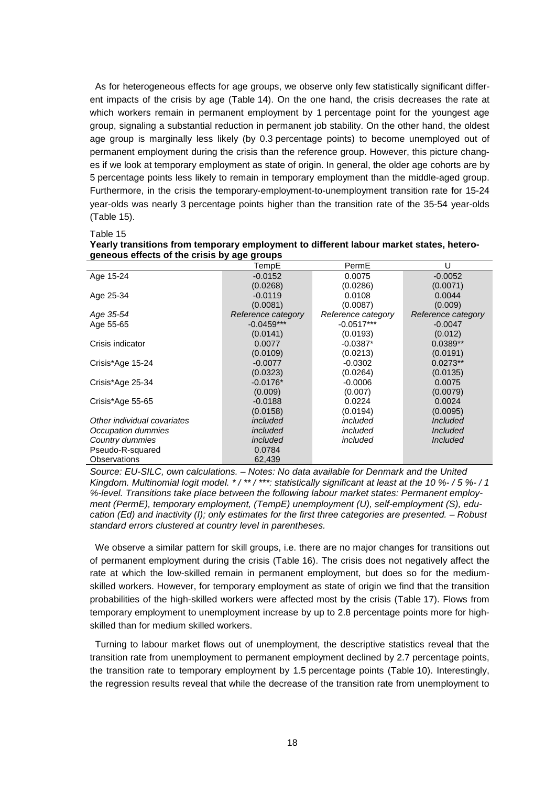As for heterogeneous effects for age groups, we observe only few statistically significant different impacts of the crisis by age (Table 14). On the one hand, the crisis decreases the rate at which workers remain in permanent employment by 1 percentage point for the youngest age group, signaling a substantial reduction in permanent job stability. On the other hand, the oldest age group is marginally less likely (by 0.3 percentage points) to become unemployed out of permanent employment during the crisis than the reference group. However, this picture changes if we look at temporary employment as state of origin. In general, the older age cohorts are by 5 percentage points less likely to remain in temporary employment than the middle-aged group. Furthermore, in the crisis the temporary-employment-to-unemployment transition rate for 15-24 year-olds was nearly 3 percentage points higher than the transition rate of the 35-54 year-olds (Table 15).

Table 15

| Yearly transitions from temporary employment to different labour market states, hetero- |
|-----------------------------------------------------------------------------------------|
| geneous effects of the crisis by age groups                                             |

|                             | TempE              | PermE              | U                  |
|-----------------------------|--------------------|--------------------|--------------------|
| Age 15-24                   | $-0.0152$          | 0.0075             | $-0.0052$          |
|                             | (0.0268)           | (0.0286)           | (0.0071)           |
| Age 25-34                   | $-0.0119$          | 0.0108             | 0.0044             |
|                             | (0.0081)           | (0.0087)           | (0.009)            |
| Age 35-54                   | Reference category | Reference category | Reference category |
| Age 55-65                   | $-0.0459***$       | $-0.0517***$       | $-0.0047$          |
|                             | (0.0141)           | (0.0193)           | (0.012)            |
| Crisis indicator            | 0.0077             | $-0.0387*$         | $0.0389**$         |
|                             | (0.0109)           | (0.0213)           | (0.0191)           |
| Crisis*Age 15-24            | $-0.0077$          | $-0.0302$          | $0.0273**$         |
|                             | (0.0323)           | (0.0264)           | (0.0135)           |
| Crisis*Age 25-34            | $-0.0176*$         | $-0.0006$          | 0.0075             |
|                             | (0.009)            | (0.007)            | (0.0079)           |
| Crisis*Age 55-65            | $-0.0188$          | 0.0224             | 0.0024             |
|                             | (0.0158)           | (0.0194)           | (0.0095)           |
| Other individual covariates | included           | included           | <b>Included</b>    |
| Occupation dummies          | included           | included           | <i>Included</i>    |
| Country dummies             | included           | included           | <i>Included</i>    |
| Pseudo-R-squared            | 0.0784             |                    |                    |
| <b>Observations</b>         | 62,439             |                    |                    |

*Source: EU-SILC, own calculations. – Notes: No data available for Denmark and the United Kingdom. Multinomial logit model. \* / \*\* / \*\*\*: statistically significant at least at the 10 %- / 5 %- / 1 %-level. Transitions take place between the following labour market states: Permanent employment (PermE), temporary employment, (TempE) unemployment (U), self-employment (S), education (Ed) and inactivity (I); only estimates for the first three categories are presented. – Robust standard errors clustered at country level in parentheses.*

We observe a similar pattern for skill groups, i.e. there are no major changes for transitions out of permanent employment during the crisis (Table 16). The crisis does not negatively affect the rate at which the low-skilled remain in permanent employment, but does so for the mediumskilled workers. However, for temporary employment as state of origin we find that the transition probabilities of the high-skilled workers were affected most by the crisis (Table 17). Flows from temporary employment to unemployment increase by up to 2.8 percentage points more for highskilled than for medium skilled workers.

Turning to labour market flows out of unemployment, the descriptive statistics reveal that the transition rate from unemployment to permanent employment declined by 2.7 percentage points, the transition rate to temporary employment by 1.5 percentage points (Table 10). Interestingly, the regression results reveal that while the decrease of the transition rate from unemployment to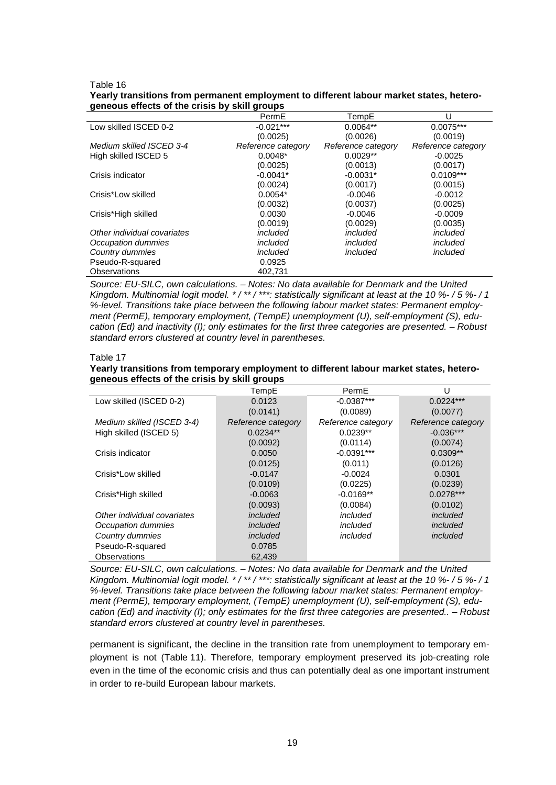#### **Yearly transitions from permanent employment to different labour market states, heterogeneous effects of the crisis by skill groups** PermE TempE U<br>-0.021\*\*\* 0.0064\*\* 0.0075\*\* Low skilled ISCED 0-2 -0.021\*\*\* 0.0064\*\* 0.0064\*\* 0.0075)  $(0.0019)$ *Medium skilled ISCED 3-4 Reference category Reference category Reference category*

| Medium skilled ISCED 3-4    | Reference category | Reference category | Reference category |
|-----------------------------|--------------------|--------------------|--------------------|
| High skilled ISCED 5        | $0.0048*$          | $0.0029**$         | $-0.0025$          |
|                             | (0.0025)           | (0.0013)           | (0.0017)           |
| Crisis indicator            | $-0.0041*$         | $-0.0031*$         | $0.0109***$        |
|                             | (0.0024)           | (0.0017)           | (0.0015)           |
| Crisis*Low skilled          | $0.0054*$          | $-0.0046$          | $-0.0012$          |
|                             | (0.0032)           | (0.0037)           | (0.0025)           |
| Crisis*High skilled         | 0.0030             | $-0.0046$          | $-0.0009$          |
|                             | (0.0019)           | (0.0029)           | (0.0035)           |
| Other individual covariates | included           | included           | included           |
| Occupation dummies          | included           | included           | included           |
| Country dummies             | included           | included           | included           |
| Pseudo-R-squared            | 0.0925             |                    |                    |
| Observations                | 402.731            |                    |                    |

*Source: EU-SILC, own calculations. – Notes: No data available for Denmark and the United Kingdom. Multinomial logit model. \* / \*\* / \*\*\*: statistically significant at least at the 10 %- / 5 %- / 1 %-level. Transitions take place between the following labour market states: Permanent employment (PermE), temporary employment, (TempE) unemployment (U), self-employment (S), education (Ed) and inactivity (I); only estimates for the first three categories are presented. – Robust standard errors clustered at country level in parentheses.*

#### Table 17

Table 16

#### **Yearly transitions from temporary employment to different labour market states, heterogeneous effects of the crisis by skill groups**

|                             | TempE              | PermE              | U                  |
|-----------------------------|--------------------|--------------------|--------------------|
| Low skilled (ISCED 0-2)     | 0.0123             | $-0.0387***$       | $0.0224***$        |
|                             | (0.0141)           | (0.0089)           | (0.0077)           |
| Medium skilled (ISCED 3-4)  | Reference category | Reference category | Reference category |
| High skilled (ISCED 5)      | $0.0234**$         | $0.0239**$         | $-0.036***$        |
|                             | (0.0092)           | (0.0114)           | (0.0074)           |
| Crisis indicator            | 0.0050             | $-0.0391***$       | $0.0309**$         |
|                             | (0.0125)           | (0.011)            | (0.0126)           |
| Crisis*Low skilled          | $-0.0147$          | $-0.0024$          | 0.0301             |
|                             | (0.0109)           | (0.0225)           | (0.0239)           |
| Crisis*High skilled         | $-0.0063$          | $-0.0169**$        | $0.0278***$        |
|                             | (0.0093)           | (0.0084)           | (0.0102)           |
| Other individual covariates | included           | included           | included           |
| Occupation dummies          | included           | included           | included           |
| Country dummies             | included           | included           | included           |
| Pseudo-R-squared            | 0.0785             |                    |                    |
| Observations                | 62.439             |                    |                    |

*Source: EU-SILC, own calculations. – Notes: No data available for Denmark and the United Kingdom. Multinomial logit model. \* / \*\* / \*\*\*: statistically significant at least at the 10 %- / 5 %- / 1 %-level. Transitions take place between the following labour market states: Permanent employment (PermE), temporary employment, (TempE) unemployment (U), self-employment (S), education (Ed) and inactivity (I); only estimates for the first three categories are presented.. – Robust standard errors clustered at country level in parentheses.*

permanent is significant, the decline in the transition rate from unemployment to temporary employment is not (Table 11). Therefore, temporary employment preserved its job-creating role even in the time of the economic crisis and thus can potentially deal as one important instrument in order to re-build European labour markets.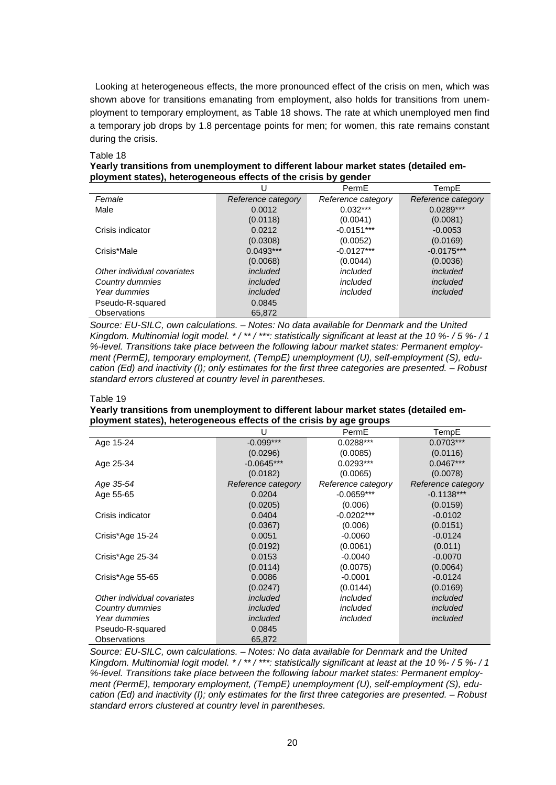Looking at heterogeneous effects, the more pronounced effect of the crisis on men, which was shown above for transitions emanating from employment, also holds for transitions from unemployment to temporary employment, as Table 18 shows. The rate at which unemployed men find a temporary job drops by 1.8 percentage points for men; for women, this rate remains constant during the crisis.

#### Table 18

#### **Yearly transitions from unemployment to different labour market states (detailed employment states), heterogeneous effects of the crisis by gender**

|                             |                    | PermE              | TempE              |
|-----------------------------|--------------------|--------------------|--------------------|
| Female                      | Reference category | Reference category | Reference category |
| Male                        | 0.0012             | $0.032***$         | $0.0289***$        |
|                             | (0.0118)           | (0.0041)           | (0.0081)           |
| Crisis indicator            | 0.0212             | $-0.0151***$       | $-0.0053$          |
|                             | (0.0308)           | (0.0052)           | (0.0169)           |
| Crisis*Male                 | $0.0493***$        | $-0.0127***$       | $-0.0175***$       |
|                             | (0.0068)           | (0.0044)           | (0.0036)           |
| Other individual covariates | included           | included           | included           |
| Country dummies             | included           | included           | included           |
| Year dummies                | included           | included           | included           |
| Pseudo-R-squared            | 0.0845             |                    |                    |
| Observations                | 65.872             |                    |                    |

*Source: EU-SILC, own calculations. – Notes: No data available for Denmark and the United Kingdom. Multinomial logit model. \* / \*\* / \*\*\*: statistically significant at least at the 10 %- / 5 %- / 1 %-level. Transitions take place between the following labour market states: Permanent employment (PermE), temporary employment, (TempE) unemployment (U), self-employment (S), education (Ed) and inactivity (I); only estimates for the first three categories are presented. – Robust standard errors clustered at country level in parentheses.*

#### Table 19

#### **Yearly transitions from unemployment to different labour market states (detailed employment states), heterogeneous effects of the crisis by age groups**

|                             | U                  | PermE              | TempE              |
|-----------------------------|--------------------|--------------------|--------------------|
| Age 15-24                   | $-0.099***$        | $0.0288***$        | $0.0703***$        |
|                             | (0.0296)           | (0.0085)           | (0.0116)           |
| Age 25-34                   | $-0.0645***$       | $0.0293***$        | $0.0467***$        |
|                             | (0.0182)           | (0.0065)           | (0.0078)           |
| Age 35-54                   | Reference category | Reference category | Reference category |
| Age 55-65                   | 0.0204             | $-0.0659***$       | $-0.1138***$       |
|                             | (0.0205)           | (0.006)            | (0.0159)           |
| Crisis indicator            | 0.0404             | $-0.0202***$       | $-0.0102$          |
|                             | (0.0367)           | (0.006)            | (0.0151)           |
| Crisis*Age 15-24            | 0.0051             | $-0.0060$          | $-0.0124$          |
|                             | (0.0192)           | (0.0061)           | (0.011)            |
| Crisis*Age 25-34            | 0.0153             | $-0.0040$          | $-0.0070$          |
|                             | (0.0114)           | (0.0075)           | (0.0064)           |
| Crisis*Age 55-65            | 0.0086             | $-0.0001$          | $-0.0124$          |
|                             | (0.0247)           | (0.0144)           | (0.0169)           |
| Other individual covariates | included           | included           | included           |
| Country dummies             | included           | included           | included           |
| Year dummies                | included           | included           | included           |
| Pseudo-R-squared            | 0.0845             |                    |                    |
| Observations                | 65,872             |                    |                    |

*Source: EU-SILC, own calculations. – Notes: No data available for Denmark and the United Kingdom. Multinomial logit model. \* / \*\* / \*\*\*: statistically significant at least at the 10 %- / 5 %- / 1 %-level. Transitions take place between the following labour market states: Permanent employment (PermE), temporary employment, (TempE) unemployment (U), self-employment (S), education (Ed) and inactivity (I); only estimates for the first three categories are presented. – Robust standard errors clustered at country level in parentheses.*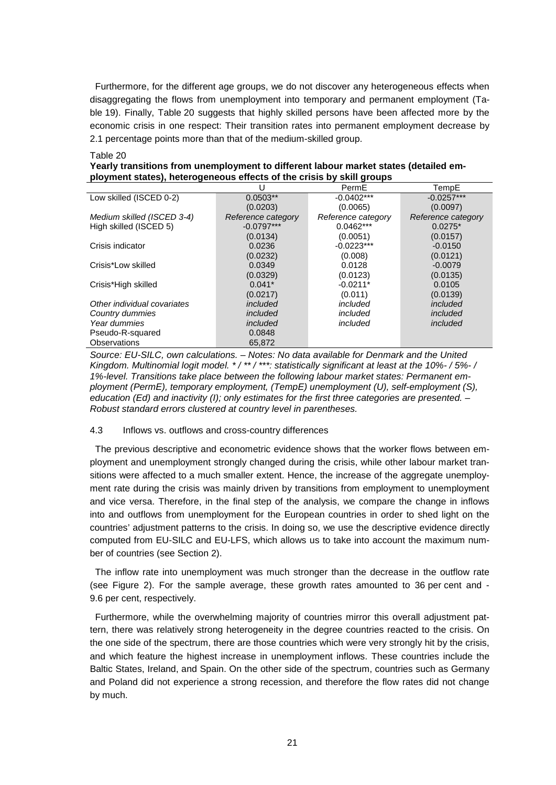Furthermore, for the different age groups, we do not discover any heterogeneous effects when disaggregating the flows from unemployment into temporary and permanent employment (Table 19). Finally, Table 20 suggests that highly skilled persons have been affected more by the economic crisis in one respect: Their transition rates into permanent employment decrease by 2.1 percentage points more than that of the medium-skilled group.

#### Table 20

#### **Yearly transitions from unemployment to different labour market states (detailed employment states), heterogeneous effects of the crisis by skill groups**

|                             | U                  | PermE              | TempE              |
|-----------------------------|--------------------|--------------------|--------------------|
| Low skilled (ISCED 0-2)     | $0.0503**$         | $-0.0402***$       | $-0.0257***$       |
|                             | (0.0203)           | (0.0065)           | (0.0097)           |
| Medium skilled (ISCED 3-4)  | Reference category | Reference category | Reference category |
| High skilled (ISCED 5)      | $-0.0797***$       | $0.0462***$        | $0.0275*$          |
|                             | (0.0134)           | (0.0051)           | (0.0157)           |
| Crisis indicator            | 0.0236             | $-0.0223***$       | $-0.0150$          |
|                             | (0.0232)           | (0.008)            | (0.0121)           |
| Crisis*Low skilled          | 0.0349             | 0.0128             | $-0.0079$          |
|                             | (0.0329)           | (0.0123)           | (0.0135)           |
| Crisis*High skilled         | $0.041*$           | $-0.0211*$         | 0.0105             |
|                             | (0.0217)           | (0.011)            | (0.0139)           |
| Other individual covariates | included           | included           | included           |
| Country dummies             | included           | included           | included           |
| Year dummies                | included           | included           | included           |
| Pseudo-R-squared            | 0.0848             |                    |                    |
| Observations                | 65.872             |                    |                    |

*Source: EU-SILC, own calculations. – Notes: No data available for Denmark and the United Kingdom. Multinomial logit model. \* / \*\* / \*\*\*: statistically significant at least at the 10%- / 5%- / 1%-level. Transitions take place between the following labour market states: Permanent employment (PermE), temporary employment, (TempE) unemployment (U), self-employment (S), education (Ed) and inactivity (I); only estimates for the first three categories are presented. – Robust standard errors clustered at country level in parentheses.*

#### 4.3 Inflows vs. outflows and cross-country differences

The previous descriptive and econometric evidence shows that the worker flows between employment and unemployment strongly changed during the crisis, while other labour market transitions were affected to a much smaller extent. Hence, the increase of the aggregate unemployment rate during the crisis was mainly driven by transitions from employment to unemployment and vice versa. Therefore, in the final step of the analysis, we compare the change in inflows into and outflows from unemployment for the European countries in order to shed light on the countries' adjustment patterns to the crisis. In doing so, we use the descriptive evidence directly computed from EU-SILC and EU-LFS, which allows us to take into account the maximum number of countries (see Section 2).

The inflow rate into unemployment was much stronger than the decrease in the outflow rate (see Figure 2). For the sample average, these growth rates amounted to 36 per cent and - 9.6 per cent, respectively.

Furthermore, while the overwhelming majority of countries mirror this overall adjustment pattern, there was relatively strong heterogeneity in the degree countries reacted to the crisis. On the one side of the spectrum, there are those countries which were very strongly hit by the crisis, and which feature the highest increase in unemployment inflows. These countries include the Baltic States, Ireland, and Spain. On the other side of the spectrum, countries such as Germany and Poland did not experience a strong recession, and therefore the flow rates did not change by much.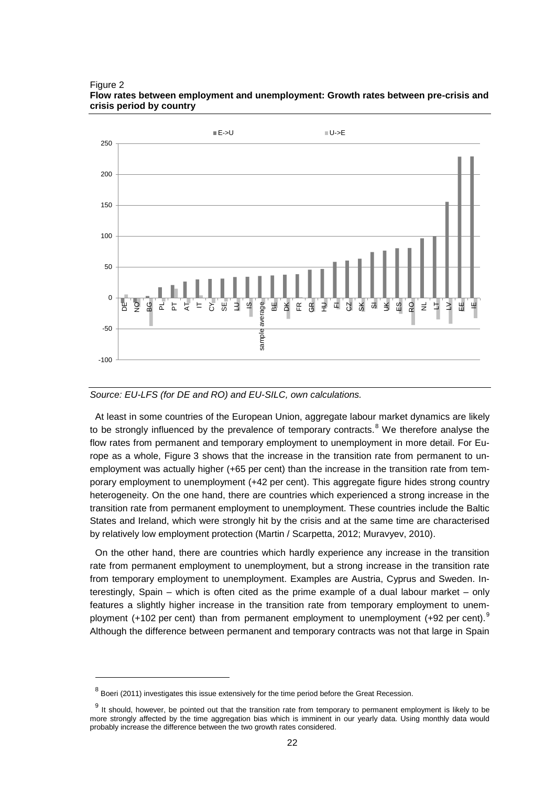#### Figure 2 **Flow rates between employment and unemployment: Growth rates between pre-crisis and crisis period by country**



*Source: EU-LFS (for DE and RO) and EU-SILC, own calculations.*

At least in some countries of the European Union, aggregate labour market dynamics are likely to be strongly influenced by the prevalence of temporary contracts.<sup>[8](#page-14-0)</sup> We therefore analyse the flow rates from permanent and temporary employment to unemployment in more detail. For Europe as a whole, Figure 3 shows that the increase in the transition rate from permanent to unemployment was actually higher (+65 per cent) than the increase in the transition rate from temporary employment to unemployment (+42 per cent). This aggregate figure hides strong country heterogeneity. On the one hand, there are countries which experienced a strong increase in the transition rate from permanent employment to unemployment. These countries include the Baltic States and Ireland, which were strongly hit by the crisis and at the same time are characterised by relatively low employment protection (Martin / Scarpetta, 2012; Muravyev, 2010).

On the other hand, there are countries which hardly experience any increase in the transition rate from permanent employment to unemployment, but a strong increase in the transition rate from temporary employment to unemployment. Examples are Austria, Cyprus and Sweden. Interestingly, Spain – which is often cited as the prime example of a dual labour market – only features a slightly higher increase in the transition rate from temporary employment to unem-ployment (+102 per cent) than from permanent employment to unemployment (+[9](#page-21-0)2 per cent).<sup>9</sup> Although the difference between permanent and temporary contracts was not that large in Spain

-

<sup>8</sup> Boeri (2011) investigates this issue extensively for the time period before the Great Recession.

<span id="page-21-1"></span><span id="page-21-0"></span><sup>&</sup>lt;sup>9</sup> It should, however, be pointed out that the transition rate from temporary to permanent employment is likely to be more strongly affected by the time aggregation bias which is imminent in our yearly data. Using monthly data would probably increase the difference between the two growth rates considered.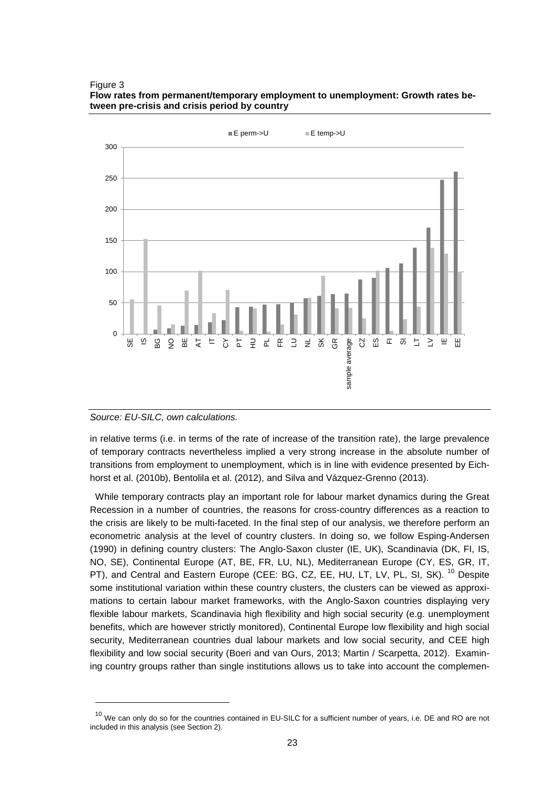Figure 3

#### **Flow rates from permanent/temporary employment to unemployment: Growth rates between pre-crisis and crisis period by country**



*Source: EU-SILC, own calculations.*

-

in relative terms (i.e. in terms of the rate of increase of the transition rate), the large prevalence of temporary contracts nevertheless implied a very strong increase in the absolute number of transitions from employment to unemployment, which is in line with evidence presented by Eichhorst et al. (2010b), Bentolila et al. (2012), and Silva and Vázquez-Grenno (2013).

While temporary contracts play an important role for labour market dynamics during the Great Recession in a number of countries, the reasons for cross-country differences as a reaction to the crisis are likely to be multi-faceted. In the final step of our analysis, we therefore perform an econometric analysis at the level of country clusters. In doing so, we follow Esping-Andersen (1990) in defining country clusters: The Anglo-Saxon cluster (IE, UK), Scandinavia (DK, FI, IS, NO, SE), Continental Europe (AT, BE, FR, LU, NL), Mediterranean Europe (CY, ES, GR, IT, PT), and Central and Eastern Europe (CEE: BG, CZ, EE, HU, LT, LV, PL, SI, SK). <sup>[10](#page-21-1)</sup> Despite some institutional variation within these country clusters, the clusters can be viewed as approximations to certain labour market frameworks, with the Anglo-Saxon countries displaying very flexible labour markets, Scandinavia high flexibility and high social security (e.g. unemployment benefits, which are however strictly monitored), Continental Europe low flexibility and high social security, Mediterranean countries dual labour markets and low social security, and CEE high flexibility and low social security (Boeri and van Ours, 2013; Martin / Scarpetta, 2012). Examining country groups rather than single institutions allows us to take into account the complemen-

<span id="page-22-0"></span><sup>&</sup>lt;sup>10</sup> We can only do so for the countries contained in EU-SILC for a sufficient number of years, i.e. DE and RO are not included in this analysis (see Section 2).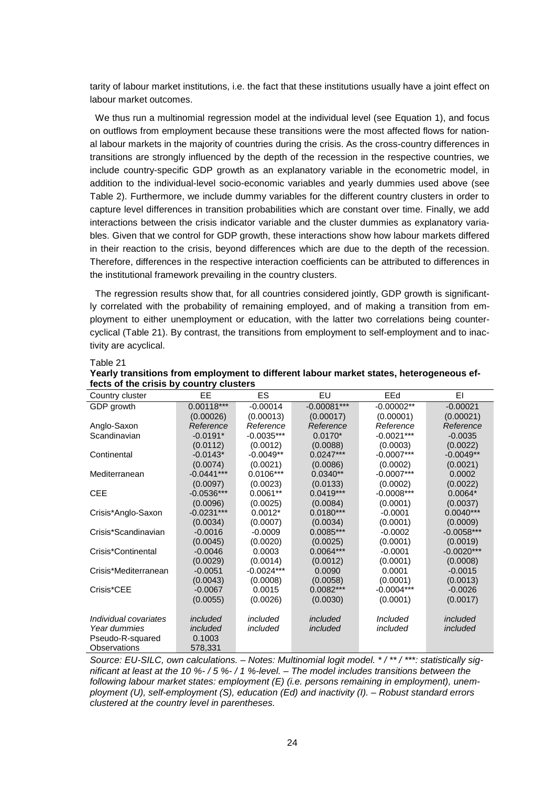tarity of labour market institutions, i.e. the fact that these institutions usually have a joint effect on labour market outcomes.

We thus run a multinomial regression model at the individual level (see Equation 1), and focus on outflows from employment because these transitions were the most affected flows for national labour markets in the majority of countries during the crisis. As the cross-country differences in transitions are strongly influenced by the depth of the recession in the respective countries, we include country-specific GDP growth as an explanatory variable in the econometric model, in addition to the individual-level socio-economic variables and yearly dummies used above (see Table 2). Furthermore, we include dummy variables for the different country clusters in order to capture level differences in transition probabilities which are constant over time. Finally, we add interactions between the crisis indicator variable and the cluster dummies as explanatory variables. Given that we control for GDP growth, these interactions show how labour markets differed in their reaction to the crisis, beyond differences which are due to the depth of the recession. Therefore, differences in the respective interaction coefficients can be attributed to differences in the institutional framework prevailing in the country clusters.

The regression results show that, for all countries considered jointly, GDP growth is significantly correlated with the probability of remaining employed, and of making a transition from employment to either unemployment or education, with the latter two correlations being countercyclical (Table 21). By contrast, the transitions from employment to self-employment and to inactivity are acyclical.

| fects of the crisis by country clusters |              |              |               |              |              |
|-----------------------------------------|--------------|--------------|---------------|--------------|--------------|
| Country cluster                         | EE           | ES.          | EU            | EEd          | FΙ           |
| GDP growth                              | $0.00118***$ | $-0.00014$   | $-0.00081***$ | $-0.00002**$ | $-0.00021$   |
|                                         | (0.00026)    | (0.00013)    | (0.00017)     | (0.00001)    | (0.00021)    |
| Anglo-Saxon                             | Reference    | Reference    | Reference     | Reference    | Reference    |
| Scandinavian                            | $-0.0191*$   | $-0.0035***$ | $0.0170*$     | $-0.0021***$ | $-0.0035$    |
|                                         | (0.0112)     | (0.0012)     | (0.0088)      | (0.0003)     | (0.0022)     |
| Continental                             | $-0.0143*$   | $-0.0049**$  | $0.0247***$   | $-0.0007***$ | $-0.0049**$  |
|                                         | (0.0074)     | (0.0021)     | (0.0086)      | (0.0002)     | (0.0021)     |
| Mediterranean                           | $-0.0441***$ | $0.0106***$  | $0.0340**$    | $-0.0007***$ | 0.0002       |
|                                         | (0.0097)     | (0.0023)     | (0.0133)      | (0.0002)     | (0.0022)     |
| <b>CEE</b>                              | $-0.0536***$ | $0.0061**$   | $0.0419***$   | $-0.0008***$ | $0.0064*$    |
|                                         | (0.0096)     | (0.0025)     | (0.0084)      | (0.0001)     | (0.0037)     |
| Crisis*Anglo-Saxon                      | $-0.0231***$ | $0.0012*$    | $0.0180***$   | $-0.0001$    | $0.0040***$  |
|                                         | (0.0034)     | (0.0007)     | (0.0034)      | (0.0001)     | (0.0009)     |
| Crisis*Scandinavian                     | $-0.0016$    | $-0.0009$    | 0.0085***     | $-0.0002$    | $-0.0058***$ |
|                                         | (0.0045)     | (0.0020)     | (0.0025)      | (0.0001)     | (0.0019)     |
| Crisis*Continental                      | $-0.0046$    | 0.0003       | $0.0064***$   | $-0.0001$    | $-0.0020***$ |
|                                         | (0.0029)     | (0.0014)     | (0.0012)      | (0.0001)     | (0.0008)     |
| Crisis*Mediterranean                    | $-0.0051$    | $-0.0024***$ | 0.0090        | 0.0001       | $-0.0015$    |
|                                         | (0.0043)     | (0.0008)     | (0.0058)      | (0.0001)     | (0.0013)     |
| Crisis*CEE                              | $-0.0067$    | 0.0015       | $0.0082***$   | $-0.0004***$ | $-0.0026$    |
|                                         | (0.0055)     | (0.0026)     | (0.0030)      | (0.0001)     | (0.0017)     |
|                                         |              |              |               |              |              |
| Individual covariates                   | included     | included     | included      | Included     | included     |
| Year dummies                            | included     | included     | included      | included     | included     |
| Pseudo-R-squared                        | 0.1003       |              |               |              |              |
| Observations                            | 578,331      |              |               |              |              |

Table 21

| Yearly transitions from employment to different labour market states, heterogeneous ef- |  |
|-----------------------------------------------------------------------------------------|--|
| fects of the crisis by country clusters                                                 |  |

*Source: EU-SILC, own calculations. – Notes: Multinomial logit model. \* / \*\* / \*\*\*: statistically significant at least at the 10 %- / 5 %- / 1 %-level. – The model includes transitions between the following labour market states: employment (E) (i.e. persons remaining in employment), unemployment (U), self-employment (S), education (Ed) and inactivity (I). – Robust standard errors clustered at the country level in parentheses.*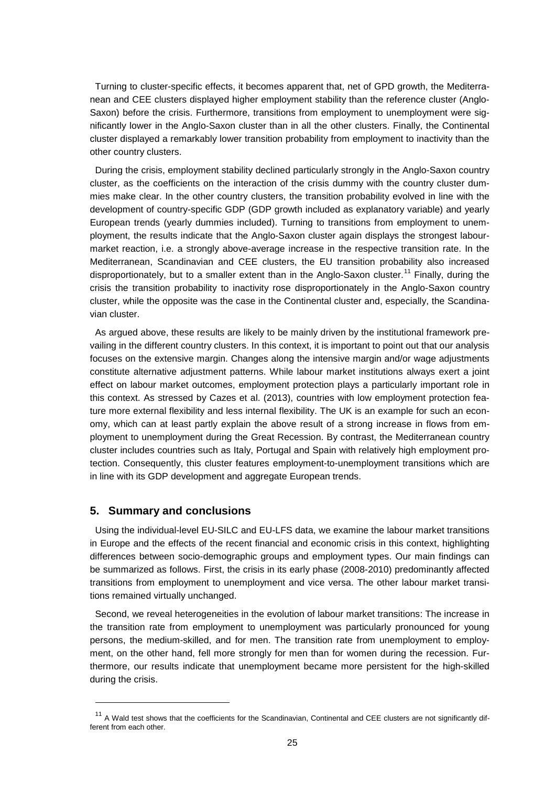Turning to cluster-specific effects, it becomes apparent that, net of GPD growth, the Mediterranean and CEE clusters displayed higher employment stability than the reference cluster (Anglo-Saxon) before the crisis. Furthermore, transitions from employment to unemployment were significantly lower in the Anglo-Saxon cluster than in all the other clusters. Finally, the Continental cluster displayed a remarkably lower transition probability from employment to inactivity than the other country clusters.

During the crisis, employment stability declined particularly strongly in the Anglo-Saxon country cluster, as the coefficients on the interaction of the crisis dummy with the country cluster dummies make clear. In the other country clusters, the transition probability evolved in line with the development of country-specific GDP (GDP growth included as explanatory variable) and yearly European trends (yearly dummies included). Turning to transitions from employment to unemployment, the results indicate that the Anglo-Saxon cluster again displays the strongest labourmarket reaction, i.e. a strongly above-average increase in the respective transition rate. In the Mediterranean, Scandinavian and CEE clusters, the EU transition probability also increased disproportionately, but to a smaller extent than in the Anglo-Saxon cluster.<sup>[11](#page-22-0)</sup> Finally, during the crisis the transition probability to inactivity rose disproportionately in the Anglo-Saxon country cluster, while the opposite was the case in the Continental cluster and, especially, the Scandinavian cluster.

As argued above, these results are likely to be mainly driven by the institutional framework prevailing in the different country clusters. In this context, it is important to point out that our analysis focuses on the extensive margin. Changes along the intensive margin and/or wage adjustments constitute alternative adjustment patterns. While labour market institutions always exert a joint effect on labour market outcomes, employment protection plays a particularly important role in this context. As stressed by Cazes et al. (2013), countries with low employment protection feature more external flexibility and less internal flexibility. The UK is an example for such an economy, which can at least partly explain the above result of a strong increase in flows from employment to unemployment during the Great Recession. By contrast, the Mediterranean country cluster includes countries such as Italy, Portugal and Spain with relatively high employment protection. Consequently, this cluster features employment-to-unemployment transitions which are in line with its GDP development and aggregate European trends.

#### **5. Summary and conclusions**

-

Using the individual-level EU-SILC and EU-LFS data, we examine the labour market transitions in Europe and the effects of the recent financial and economic crisis in this context, highlighting differences between socio-demographic groups and employment types. Our main findings can be summarized as follows. First, the crisis in its early phase (2008-2010) predominantly affected transitions from employment to unemployment and vice versa. The other labour market transitions remained virtually unchanged.

Second, we reveal heterogeneities in the evolution of labour market transitions: The increase in the transition rate from employment to unemployment was particularly pronounced for young persons, the medium-skilled, and for men. The transition rate from unemployment to employment, on the other hand, fell more strongly for men than for women during the recession. Furthermore, our results indicate that unemployment became more persistent for the high-skilled during the crisis.

 $11$  A Wald test shows that the coefficients for the Scandinavian, Continental and CEE clusters are not significantly different from each other.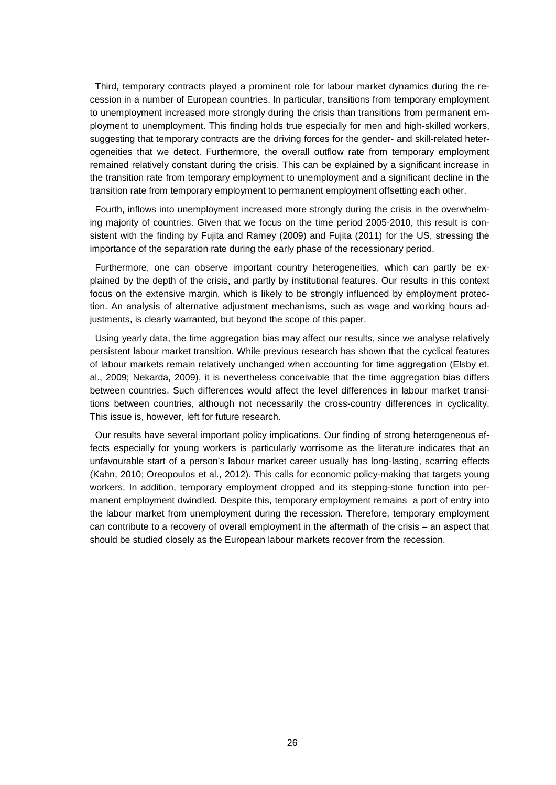Third, temporary contracts played a prominent role for labour market dynamics during the recession in a number of European countries. In particular, transitions from temporary employment to unemployment increased more strongly during the crisis than transitions from permanent employment to unemployment. This finding holds true especially for men and high-skilled workers, suggesting that temporary contracts are the driving forces for the gender- and skill-related heterogeneities that we detect. Furthermore, the overall outflow rate from temporary employment remained relatively constant during the crisis. This can be explained by a significant increase in the transition rate from temporary employment to unemployment and a significant decline in the transition rate from temporary employment to permanent employment offsetting each other.

Fourth, inflows into unemployment increased more strongly during the crisis in the overwhelming majority of countries. Given that we focus on the time period 2005-2010, this result is consistent with the finding by Fujita and Ramey (2009) and Fujita (2011) for the US, stressing the importance of the separation rate during the early phase of the recessionary period.

Furthermore, one can observe important country heterogeneities, which can partly be explained by the depth of the crisis, and partly by institutional features. Our results in this context focus on the extensive margin, which is likely to be strongly influenced by employment protection. An analysis of alternative adjustment mechanisms, such as wage and working hours adjustments, is clearly warranted, but beyond the scope of this paper.

Using yearly data, the time aggregation bias may affect our results, since we analyse relatively persistent labour market transition. While previous research has shown that the cyclical features of labour markets remain relatively unchanged when accounting for time aggregation (Elsby et. al., 2009; Nekarda, 2009), it is nevertheless conceivable that the time aggregation bias differs between countries. Such differences would affect the level differences in labour market transitions between countries, although not necessarily the cross-country differences in cyclicality. This issue is, however, left for future research.

Our results have several important policy implications. Our finding of strong heterogeneous effects especially for young workers is particularly worrisome as the literature indicates that an unfavourable start of a person's labour market career usually has long-lasting, scarring effects (Kahn, 2010; Oreopoulos et al., 2012). This calls for economic policy-making that targets young workers. In addition, temporary employment dropped and its stepping-stone function into permanent employment dwindled. Despite this, temporary employment remains a port of entry into the labour market from unemployment during the recession. Therefore, temporary employment can contribute to a recovery of overall employment in the aftermath of the crisis – an aspect that should be studied closely as the European labour markets recover from the recession.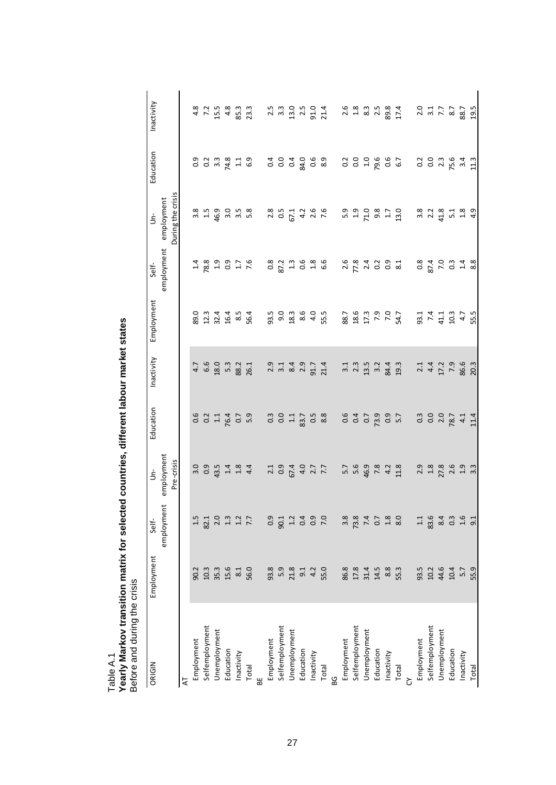| ORIGIN         | Employment    | Self-                                            | $\dot{5}$                                                                                                                                                                   | Education                         | Inactivity                       | Employment                | Self-                                                                                                                      | $\overline{5}$                                     | Education                         | Inactivity                |
|----------------|---------------|--------------------------------------------------|-----------------------------------------------------------------------------------------------------------------------------------------------------------------------------|-----------------------------------|----------------------------------|---------------------------|----------------------------------------------------------------------------------------------------------------------------|----------------------------------------------------|-----------------------------------|---------------------------|
|                |               | employment                                       | employment<br>Pre-crisis                                                                                                                                                    |                                   |                                  |                           | employment                                                                                                                 | During the crisis<br>employment                    |                                   |                           |
| ₹              |               |                                                  |                                                                                                                                                                             |                                   |                                  |                           |                                                                                                                            |                                                    |                                   |                           |
| Employment     | 90.2          | 1.5                                              |                                                                                                                                                                             |                                   | 4.7                              | 89.0                      | 1.4                                                                                                                        |                                                    |                                   |                           |
| Selfemployment | 10.3          | 82.1                                             | 2<br>2 9 7 4 8 4<br>2 9 7 4 8 4                                                                                                                                             | 0 0 1 1 4 7<br>0 0 1 1 0 7        |                                  |                           | 78.8                                                                                                                       | $3.5$<br>$1.5$                                     | 0.2 m<br>0.2 m<br>0.3 m<br>2.4 1. | 4 N 15<br>4 N 15          |
| Unemployment   | 35.3          | 2.0                                              |                                                                                                                                                                             |                                   | $6.6$<br>18.0                    |                           |                                                                                                                            | 46.9                                               |                                   |                           |
| Education      | 15.6          |                                                  |                                                                                                                                                                             |                                   |                                  | 12 3 4 5 5<br>13 4 5 6 7  |                                                                                                                            |                                                    |                                   | 4.8                       |
| Inactivity     | 8.1           | $\begin{array}{c} 1.3 \\ 1.2 \\ 7.7 \end{array}$ |                                                                                                                                                                             |                                   | $5.\overline{3}$<br>88.2         |                           |                                                                                                                            | 3.5                                                |                                   | 85.3                      |
| Total          | 56.0          |                                                  |                                                                                                                                                                             | 5.9                               | 26.1                             |                           |                                                                                                                            | 5.8                                                | 6.9                               | 23.3                      |
| BE             |               |                                                  |                                                                                                                                                                             |                                   |                                  |                           |                                                                                                                            |                                                    |                                   |                           |
| Employment     | 93.8          | 0.9                                              |                                                                                                                                                                             |                                   |                                  |                           |                                                                                                                            |                                                    |                                   |                           |
| Selfemployment | 5.9           | 90.1                                             |                                                                                                                                                                             |                                   | $2.9$<br>$3.1$                   | 93.5<br>9.0               |                                                                                                                            | $2.8$<br>0.5<br>67.1                               |                                   | $2.5$<br>3.3              |
| Unemployment   | 21.8          | 1.2                                              |                                                                                                                                                                             |                                   | 8.4                              | 18.3                      |                                                                                                                            |                                                    |                                   |                           |
| Education      | 9.1           |                                                  | 2<br>2024<br>2027<br>2027                                                                                                                                                   | 8<br>0 0 1 1 2 9 8<br>0 0 1 8 9 8 | 2.9                              | 8.6                       | 8<br>8 7 3 4 9 8 9<br>8 7 3 4 9 8 9                                                                                        |                                                    | 304988                            | $13.0$<br>$2.5$<br>$91.4$ |
| Inactivity     | $4.2$<br>55.0 | 0.00000                                          |                                                                                                                                                                             |                                   | 91.7<br>21.4                     | $4.0$<br>55.5             |                                                                                                                            | $4.06$<br>$7.6$<br>$7.6$                           |                                   |                           |
| Total          |               |                                                  |                                                                                                                                                                             |                                   |                                  |                           |                                                                                                                            |                                                    |                                   |                           |
| 9G             |               |                                                  |                                                                                                                                                                             |                                   |                                  |                           |                                                                                                                            |                                                    |                                   |                           |
| Employment     | 86.8          | 3.8                                              |                                                                                                                                                                             |                                   |                                  |                           |                                                                                                                            |                                                    |                                   | 2.6                       |
| Selfemployment | 17.8          | 73.8                                             |                                                                                                                                                                             |                                   |                                  | 88.7<br>18.6              |                                                                                                                            |                                                    |                                   |                           |
| Unemployment   |               | 7.4                                              |                                                                                                                                                                             |                                   |                                  |                           |                                                                                                                            |                                                    |                                   |                           |
| Education      | 31.4<br>14.5  | $0.7$<br>$1.8$<br>$8.0$                          | 1<br>1<br>1<br>1<br>1<br>1<br>2<br>1<br>2<br>1<br>2<br>1<br>2<br>1<br>2<br>1<br>2<br>1<br>1<br>1<br>1<br>1<br>1<br>1<br>1<br>1<br>1<br>1<br>1<br>1<br>1<br>1<br>1<br>1<br>1 | 8<br>8 4 7 9 9<br>8 9 9 9         | n 2 1 1 2 3 1<br>1 2 1 2 2 4 0   | $17.3$<br>$7.9$<br>$54.7$ | $\begin{array}{c} 0.8 & 4 & 0 & 0 & 0 \\ 0.8 & 4 & 0 & 0 & 0 \\ 0.8 & 0.8 & 0 & 0 & 0 \\ 0 & 0 & 0 & 0 & 0 \\ \end{array}$ | 5.9<br>5.9<br>5.9<br>5.9<br>5.9<br>5.9<br>5.9<br>2 |                                   | 2.3<br>2.3<br>2.5         |
| Inactivity     | 8.8           |                                                  |                                                                                                                                                                             |                                   |                                  |                           |                                                                                                                            |                                                    |                                   | 89.8                      |
| Total          | 55.3          |                                                  | 11.8                                                                                                                                                                        | 5.7                               |                                  |                           |                                                                                                                            |                                                    |                                   | 17.4                      |
|                |               |                                                  |                                                                                                                                                                             |                                   |                                  |                           |                                                                                                                            |                                                    |                                   |                           |
| Employment     | 93.5          | 1.1                                              |                                                                                                                                                                             |                                   |                                  |                           |                                                                                                                            |                                                    |                                   |                           |
| Selfemployment | 10.2          | 83.6                                             | a a a a a a a<br>a a a a a a a                                                                                                                                              | 0.3                               | $2.1$<br>$4.2$<br>$7.9$<br>$7.9$ | 93.1<br>93.1<br>41.1      | 0 2 2 0 3 4 8<br>0 4 0 3 4 8                                                                                               | $3.8$<br>2.2                                       | 2032432<br>203254                 | $2.3 \div 7.7$            |
| Unemployment   | 44.6          | 8.4                                              |                                                                                                                                                                             |                                   |                                  |                           |                                                                                                                            | 41.8                                               |                                   |                           |
| Education      | 10.4          | $0.\overline{3}$                                 |                                                                                                                                                                             | 2.0<br>78.7                       |                                  | 10.3                      |                                                                                                                            |                                                    |                                   | 8.7<br>88.7<br>19.5       |
| Inactivity     | 5.59          | 1.6                                              |                                                                                                                                                                             | $4.1$<br>11.4                     | 86.6<br>20.3                     | 4.7<br>55.5               |                                                                                                                            | $1, 8, 9$<br>$1, 8, 9$                             |                                   |                           |
| Total          |               | 9.1                                              |                                                                                                                                                                             |                                   |                                  |                           |                                                                                                                            |                                                    |                                   |                           |

Table A.1<br>Yearly Markov transition matrix for selected countries, different labour market states<br>Before and during the crisis **Yearly Markov transition matrix for selected countries, different labour market states**  Before and during the crisis Table A.1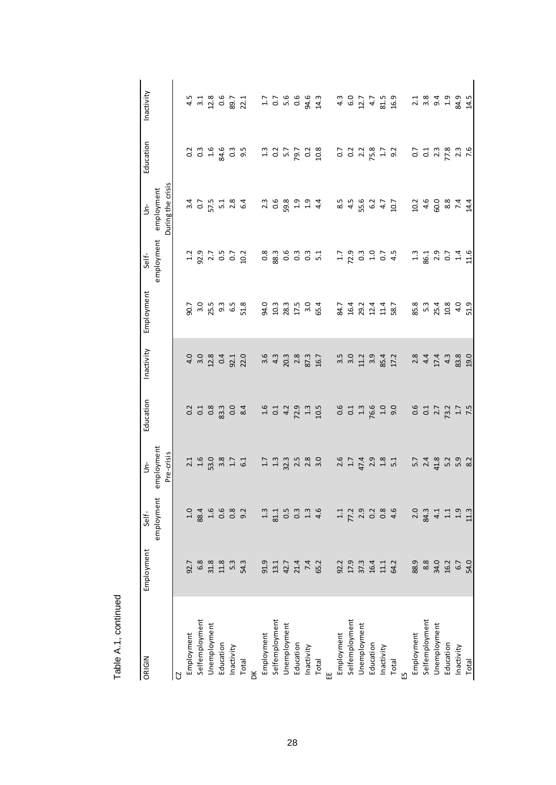| ORIGIN               | Employment                                                           | Self-                                            | $\dot{\mathbf{5}}$         | Education                                                             | Inactivity                                                  | Employment                       | Self-   | $\dot{\mathbf{5}}$                                                                                                                           | Education                           | Inactivity                                            |
|----------------------|----------------------------------------------------------------------|--------------------------------------------------|----------------------------|-----------------------------------------------------------------------|-------------------------------------------------------------|----------------------------------|---------|----------------------------------------------------------------------------------------------------------------------------------------------|-------------------------------------|-------------------------------------------------------|
|                      |                                                                      | employment                                       | employment                 |                                                                       |                                                             |                                  |         | employment employment                                                                                                                        |                                     |                                                       |
|                      |                                                                      |                                                  | Pre-crisis                 |                                                                       |                                                             |                                  |         | During the crisis                                                                                                                            |                                     |                                                       |
|                      |                                                                      |                                                  |                            |                                                                       |                                                             |                                  |         |                                                                                                                                              |                                     |                                                       |
| Employment           | 92.7                                                                 | 1.0                                              |                            |                                                                       | 4.0                                                         | 90.7                             |         |                                                                                                                                              | 0.2                                 | 4.5                                                   |
| Selfemployment       | 6.8                                                                  | 88.4                                             | 2160 x 1161<br>2160 x 1161 | $\frac{2}{3}$ $\frac{1}{3}$ $\frac{8}{3}$ $\frac{3}{3}$ $\frac{3}{5}$ |                                                             |                                  | 1397552 | 1<br>1<br>1<br>1<br>1<br>1<br>1<br>2<br>1<br>2<br>1<br>2<br>1<br>2<br>1<br>2<br>1<br>1<br>2<br>1<br>1<br>1<br>1<br>1<br>1<br>1<br>1<br>1<br> |                                     |                                                       |
| Unemployment         |                                                                      |                                                  |                            |                                                                       | $3.0$<br>$2.3$<br>$3.1$<br>$3.2$<br>$3.2$                   | 3.5                              |         |                                                                                                                                              | 3<br>0 4 5<br>0 3                   | 3.1<br>2.8<br>2.0<br>2.2<br>2.1<br>2.9<br>2.1         |
| Education            | $31.8$<br>$11.8$<br>$5.3$                                            | $10082$<br>$10003$                               |                            |                                                                       |                                                             |                                  |         |                                                                                                                                              |                                     |                                                       |
| Inactivity           |                                                                      |                                                  |                            |                                                                       |                                                             | 9.3<br>6.5                       |         |                                                                                                                                              |                                     |                                                       |
| Total                | 54.3                                                                 |                                                  |                            | $\overline{8.4}$                                                      |                                                             | 51.8                             |         |                                                                                                                                              | 9.5                                 |                                                       |
| $\breve{\mathsf{p}}$ |                                                                      |                                                  |                            |                                                                       |                                                             |                                  |         |                                                                                                                                              |                                     |                                                       |
| Employment           |                                                                      | 1.3                                              |                            |                                                                       |                                                             |                                  |         |                                                                                                                                              |                                     |                                                       |
| Selfemployment       |                                                                      | 81.1                                             | 173, 7580                  | $1.6$<br>0.1                                                          |                                                             |                                  |         | $2.3$<br>0.6                                                                                                                                 | $1377728$<br>$157738$               | 177666631<br>105654                                   |
| Unemployment         |                                                                      | 0.5                                              |                            |                                                                       |                                                             |                                  |         |                                                                                                                                              |                                     |                                                       |
| Education            |                                                                      |                                                  |                            |                                                                       |                                                             |                                  |         | $59.8$<br>$1.9$                                                                                                                              |                                     |                                                       |
| Inactivity           |                                                                      | $0.3$ $0.3$ $4.6$                                |                            |                                                                       |                                                             |                                  |         | $1.9$<br>$4.4$                                                                                                                               |                                     |                                                       |
| Total                |                                                                      |                                                  |                            |                                                                       |                                                             | 65.4                             |         |                                                                                                                                              |                                     |                                                       |
| 巴<br>巴               |                                                                      |                                                  |                            |                                                                       |                                                             |                                  |         |                                                                                                                                              |                                     |                                                       |
| Employment           |                                                                      |                                                  |                            |                                                                       |                                                             |                                  |         |                                                                                                                                              |                                     | 4.3                                                   |
| Selfemployment       | $3.3$<br>$3.5$<br>$3.5$<br>$3.4$<br>$1.2$<br>$3.5$<br>$4.1$<br>$3.2$ |                                                  | $2.54981$<br>$2.74981$     |                                                                       | 3.0<br>3.0<br>3.0<br>4.0<br>3.0<br>3.0<br>2.0<br>2.0<br>2.0 | 8<br>8 10 2 1 1 8<br>8 1 2 1 1 8 |         | 8 4 5 6 7 7 7<br>8 4 7 6 7 7 7                                                                                                               | 0 2 2 8 7<br>0 2 2 8 7<br>0 2 7 8 7 | $0.77$<br>$0.77$<br>$0.9$<br>$0.77$<br>$0.9$<br>$0.9$ |
| Unemployment         |                                                                      |                                                  |                            |                                                                       |                                                             |                                  |         |                                                                                                                                              |                                     |                                                       |
| Education            |                                                                      |                                                  |                            |                                                                       |                                                             |                                  |         |                                                                                                                                              |                                     |                                                       |
| Inactivity           |                                                                      |                                                  |                            |                                                                       |                                                             |                                  |         |                                                                                                                                              |                                     |                                                       |
| Total                |                                                                      |                                                  |                            |                                                                       |                                                             |                                  |         |                                                                                                                                              | 9.2                                 |                                                       |
| S                    |                                                                      |                                                  |                            |                                                                       |                                                             |                                  |         |                                                                                                                                              |                                     |                                                       |
| Employment           | 88.9                                                                 |                                                  |                            |                                                                       |                                                             |                                  |         |                                                                                                                                              |                                     |                                                       |
| Selfemployment       | $8.8\,$                                                              | $2.0$<br>84.3                                    | $5.7$<br>$2.4$<br>$4.8$    |                                                                       |                                                             |                                  |         | $10.3$<br>$4.6$<br>$60$                                                                                                                      |                                     | $2.384$<br>$3.4$                                      |
| Unemployment         | 34.0                                                                 | 4.1                                              |                            |                                                                       |                                                             |                                  |         |                                                                                                                                              |                                     |                                                       |
| Education            |                                                                      |                                                  |                            |                                                                       |                                                             | 85.3<br>53.4<br>85.38            |         |                                                                                                                                              |                                     | 1.9                                                   |
| Inactivity           | 16.2<br>6.7<br>54.0                                                  | $\begin{array}{c} 1.1 \\ 1.9 \\ 1.3 \end{array}$ | 5.3<br>5.9<br>8.2          |                                                                       |                                                             | $4.0$<br>51.9                    |         | 8<br>8<br>9<br>8<br>7<br>4<br>2                                                                                                              |                                     | 84.5<br>14.5                                          |
| Total                |                                                                      |                                                  |                            |                                                                       |                                                             |                                  |         |                                                                                                                                              |                                     |                                                       |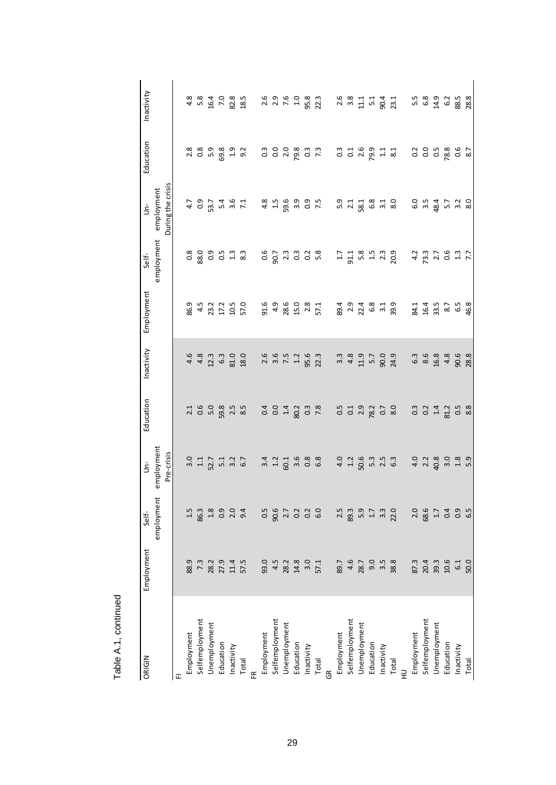| ORIGIN                     | Employment                          | Self-                                            | $\dot{\mathbf{5}}$                        | Education                  | Inactivity                     | Employment                                         | Self-                                | $\dot{\vec{5}}$                              | Education                      | Inactivity                                      |
|----------------------------|-------------------------------------|--------------------------------------------------|-------------------------------------------|----------------------------|--------------------------------|----------------------------------------------------|--------------------------------------|----------------------------------------------|--------------------------------|-------------------------------------------------|
|                            |                                     | employment                                       | employment                                |                            |                                |                                                    |                                      | employment employment                        |                                |                                                 |
|                            |                                     |                                                  | Pre-crisis                                |                            |                                |                                                    |                                      | During the crisis                            |                                |                                                 |
| 프                          |                                     |                                                  |                                           |                            |                                |                                                    |                                      |                                              |                                |                                                 |
| Employment                 | 88.9                                | 1.5                                              |                                           | 2.1                        |                                | 86.9                                               |                                      |                                              |                                | 4.8                                             |
| Selfemployment             | 7.3                                 | 86.3                                             |                                           |                            |                                |                                                    |                                      |                                              |                                |                                                 |
| Unemployment               |                                     |                                                  |                                           |                            |                                |                                                    |                                      |                                              |                                |                                                 |
| Education                  | 28.2<br>20.3<br>20.4<br>57.5        | $28904$<br>$1004$                                |                                           | ဖ ဝ ∞ ပ n n<br>ဝ n n က လ ဆ | 4 4 1 4 5 6 9<br>4 4 1 6 9 9 9 |                                                    | 8 8 9 9 19 11 20<br>8 8 9 9 11 2     |                                              |                                | 5<br>5 5 6 7 8 9<br>5 9 9 9 9                   |
| Inactivity                 |                                     |                                                  |                                           |                            |                                |                                                    |                                      |                                              |                                |                                                 |
| Total                      |                                     |                                                  | $3.7777$<br>$5.7777$                      |                            |                                | $4.5$<br>$2.2$<br>$2.2$<br>$2.5$<br>$2.5$<br>$5.0$ |                                      | $40W$ $W$ $W$ $C$<br>$A$ $D$ $C$ $A$ $C$ $C$ | 8 8 9 8 9 9 2<br>8 9 9 9 9 9 2 |                                                 |
| $\widetilde{E}$            |                                     |                                                  |                                           |                            |                                |                                                    |                                      |                                              |                                |                                                 |
| Employment                 |                                     |                                                  |                                           |                            |                                |                                                    |                                      |                                              |                                |                                                 |
| Selfemployment             | 93.0<br>4.5                         | $0.5$<br>90.6                                    |                                           |                            |                                |                                                    |                                      |                                              |                                |                                                 |
| Unemployment               | $28.2$<br>$24.8$<br>$3.0$<br>$57.1$ |                                                  |                                           | 0.012.02.2019              |                                |                                                    |                                      |                                              |                                |                                                 |
| Education                  |                                     |                                                  |                                           |                            |                                |                                                    |                                      |                                              |                                |                                                 |
| Inactivity                 |                                     |                                                  |                                           |                            |                                |                                                    |                                      |                                              |                                |                                                 |
| <b>Total</b>               |                                     |                                                  |                                           |                            |                                | 91.4<br>8.9.9<br>9.1<br>9.1<br>9.1<br>9.1<br>9.1   |                                      |                                              |                                |                                                 |
| $\widetilde{\mathfrak{s}}$ |                                     |                                                  |                                           |                            |                                |                                                    |                                      |                                              |                                |                                                 |
| Employment                 |                                     | $2.5$<br>89.3                                    |                                           |                            |                                |                                                    |                                      |                                              |                                |                                                 |
| Selfemployment             | 89.7<br>4.6<br>28.7                 |                                                  |                                           |                            |                                |                                                    |                                      |                                              |                                |                                                 |
| Unemployment               |                                     |                                                  |                                           |                            |                                |                                                    |                                      |                                              |                                |                                                 |
| Education                  |                                     |                                                  |                                           |                            |                                |                                                    |                                      |                                              |                                |                                                 |
| Inactivity                 | $9.5$<br>$3.5$                      | 5.3<br>5.3<br>5.0<br>22.0                        |                                           |                            | 3.3.9.17 S 31<br>3.4.11 S 31   | 8<br>8 2 3 4 8 5 9<br>8 9 2 8 9                    |                                      |                                              |                                |                                                 |
| Total                      | 38.8                                |                                                  | $4.19$ $5.50$ $5.50$ $5.50$               | 533858                     |                                |                                                    | $1.789$ $1.389$<br>$1.389$<br>$1.39$ |                                              | 0. 5 4 6 9 5 5 8               |                                                 |
| $\frac{1}{2}$              |                                     |                                                  |                                           |                            |                                |                                                    |                                      |                                              |                                |                                                 |
| Employment                 |                                     | 2.0                                              |                                           |                            |                                |                                                    |                                      |                                              |                                |                                                 |
| Selfemployment             | 87.3<br>20.3<br>20.6                | 68.6                                             | $\frac{1}{4}$ $\frac{1}{2}$ $\frac{1}{2}$ |                            |                                |                                                    |                                      | $0.57$<br>$0.54$                             |                                |                                                 |
| Unemployment               |                                     | 1.7                                              |                                           |                            |                                |                                                    |                                      |                                              |                                |                                                 |
| Education                  |                                     |                                                  |                                           |                            |                                |                                                    |                                      |                                              |                                |                                                 |
| Inactivity                 | $6.1$<br>50.0                       | $\begin{array}{c} 0.7 \\ 0.7 \\ 0.0 \end{array}$ | 0<br>0<br>1<br>0<br>1<br>5<br>9           | 3 3 4 5 6 8<br>3 5 7 9 8 9 |                                |                                                    | $47.76$<br>$47.76$<br>$47.7$         | $5.7$ 3.0                                    | 205867                         | n ∞ o o o o o o<br>n ∞ o d ∞ ∞ ∞<br>n ∞ d ∞ ∞ ∞ |
| Total                      |                                     |                                                  |                                           |                            |                                |                                                    |                                      |                                              |                                |                                                 |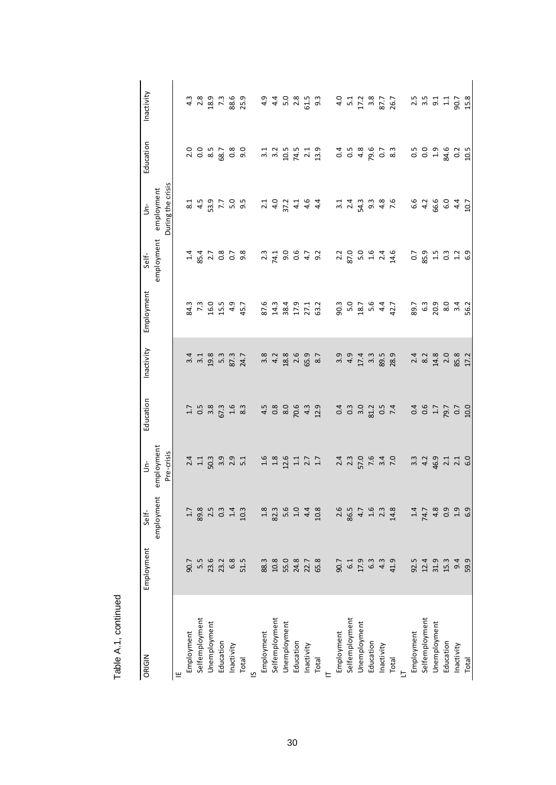| ORIGIN         | Employment    | Self-            | $\dot{\mathsf S}$                                                                          | Education                           | Inactivity                              | Employment                        | Self-                            | $\dot{\mathbf{5}}$              | Education                                               | Inactivity                                                                                                                                      |
|----------------|---------------|------------------|--------------------------------------------------------------------------------------------|-------------------------------------|-----------------------------------------|-----------------------------------|----------------------------------|---------------------------------|---------------------------------------------------------|-------------------------------------------------------------------------------------------------------------------------------------------------|
|                |               | employment       | employment<br>Pre-crisis                                                                   |                                     |                                         |                                   | employment                       | During the crisis<br>employment |                                                         |                                                                                                                                                 |
| 쁘              |               |                  |                                                                                            |                                     |                                         |                                   |                                  |                                 |                                                         |                                                                                                                                                 |
| Employment     | 90.7          | 1.7              |                                                                                            |                                     | 3.4                                     |                                   |                                  |                                 |                                                         |                                                                                                                                                 |
| Selfemployment | 5.5           | 89.8             |                                                                                            | 1<br>10 20 30 40<br>10 30 40        | n 9 9 9 9 9<br>9 9 9 9 9 1<br>8 1 9 9 1 | 84.3<br>7.13 Li 9.9<br>8.13 Li 9. | 4 4 1 2 8 1 2 8<br>4 5 7 8 1 9 9 |                                 | 2.0 8.7<br>2.0 8.7                                      | $4$ $\frac{3}{2}$ $\frac{3}{2}$ $\frac{3}{2}$ $\frac{3}{2}$ $\frac{3}{2}$ $\frac{3}{2}$ $\frac{3}{2}$ $\frac{3}{2}$ $\frac{3}{2}$ $\frac{3}{2}$ |
| Unemployment   |               | 2.5              |                                                                                            |                                     |                                         |                                   |                                  |                                 |                                                         |                                                                                                                                                 |
| Education      | 23.6<br>23.2  | $0.\overline{3}$ |                                                                                            |                                     |                                         |                                   |                                  |                                 |                                                         |                                                                                                                                                 |
| Inactivity     | 6.8           | $1.4$<br>10.3    |                                                                                            |                                     |                                         |                                   |                                  |                                 |                                                         |                                                                                                                                                 |
| Total          | 51.5          |                  |                                                                                            |                                     |                                         | 45.7                              |                                  |                                 | 0.8                                                     |                                                                                                                                                 |
|                |               |                  |                                                                                            |                                     |                                         |                                   |                                  |                                 |                                                         |                                                                                                                                                 |
| Employment     | 88.3          | 1.8              |                                                                                            |                                     |                                         | 87.6                              |                                  |                                 |                                                         | 4.9                                                                                                                                             |
| Selfemployment | 10.8          | 82.3             |                                                                                            |                                     | $3.8$<br>$4.2$                          |                                   |                                  |                                 |                                                         |                                                                                                                                                 |
| Unemployment   | 55.0          | 5.6              | $1.8$ $0.8$ $0.1$ $1.7$ $1.7$                                                              |                                     | 18.8<br>2.6<br>65.9<br>8.7              |                                   |                                  |                                 | $\frac{3}{3}$ $\frac{3}{2}$ $\frac{3}{4}$ $\frac{5}{5}$ | 408000000                                                                                                                                       |
| Education      | 24.8          | 1.0              |                                                                                            |                                     |                                         |                                   |                                  |                                 |                                                         |                                                                                                                                                 |
| Inactivity     | 22.7<br>65.8  | 4.4              |                                                                                            | $4.\overline{3}$<br>12.9            |                                         |                                   |                                  |                                 | $2.1$<br>$13.9$                                         |                                                                                                                                                 |
| Total          |               | 10.8             |                                                                                            |                                     |                                         |                                   |                                  |                                 |                                                         |                                                                                                                                                 |
|                |               |                  |                                                                                            |                                     |                                         |                                   |                                  |                                 |                                                         |                                                                                                                                                 |
| Employment     | 90.7          | 2.6              |                                                                                            |                                     | 3.9                                     | 90.3                              |                                  |                                 |                                                         |                                                                                                                                                 |
| Selfemployment | 6.1           | 86.5             |                                                                                            |                                     |                                         |                                   |                                  |                                 | $0.4$<br>$0.4$<br>$0.8$                                 |                                                                                                                                                 |
| Unemployment   | 17.9          | 4.7              |                                                                                            |                                     |                                         |                                   |                                  |                                 |                                                         |                                                                                                                                                 |
| Education      | 6.3           | $1.6$<br>2.3     | 1<br>1<br>1<br>1<br>1<br>1<br>1<br>1<br>1<br>1<br>1<br>1<br>1<br>1<br>1<br>1<br>1<br>1<br> |                                     |                                         |                                   |                                  | u qu w w w w<br>u qu w w w w    | $79.6$<br>0.7<br>8.3                                    | $4.5$ $1, 2, 8$<br>$5, 7, 8$<br>$5, 7, 8$<br>$5, 7, 7$                                                                                          |
| Inactivity     | 4.3           |                  |                                                                                            |                                     |                                         |                                   |                                  |                                 |                                                         |                                                                                                                                                 |
| Total          | 41.9          | 14.8             |                                                                                            |                                     |                                         |                                   |                                  |                                 |                                                         |                                                                                                                                                 |
| Ь              |               |                  |                                                                                            |                                     |                                         |                                   |                                  |                                 |                                                         |                                                                                                                                                 |
| Employment     | 92.5          | 1.4              |                                                                                            |                                     |                                         |                                   |                                  |                                 |                                                         |                                                                                                                                                 |
| Selfemployment | 12.4          | 74.7             |                                                                                            |                                     |                                         |                                   | $0.7$<br>85.9                    |                                 | s g g<br>S g g                                          |                                                                                                                                                 |
| Unemployment   | 31.9          | 4.8              |                                                                                            |                                     |                                         |                                   |                                  | 6 4 6<br>6 4 6                  |                                                         |                                                                                                                                                 |
| Education      | 15.3          | 0.9              |                                                                                            |                                     |                                         |                                   |                                  |                                 |                                                         |                                                                                                                                                 |
| Inactivity     | $9.4$<br>59.9 |                  |                                                                                            | 0.0 1 2 0<br>0.0 1 2 0<br>0.0 1 2 0 | 228082<br>238082                        |                                   | 3<br>3<br>4<br>6<br>6            | 0 4 5<br>0 4 5<br>0 9           | 84.0<br>0.2<br>10.5                                     |                                                                                                                                                 |
| Total          |               | 6.9              |                                                                                            |                                     |                                         |                                   |                                  |                                 |                                                         |                                                                                                                                                 |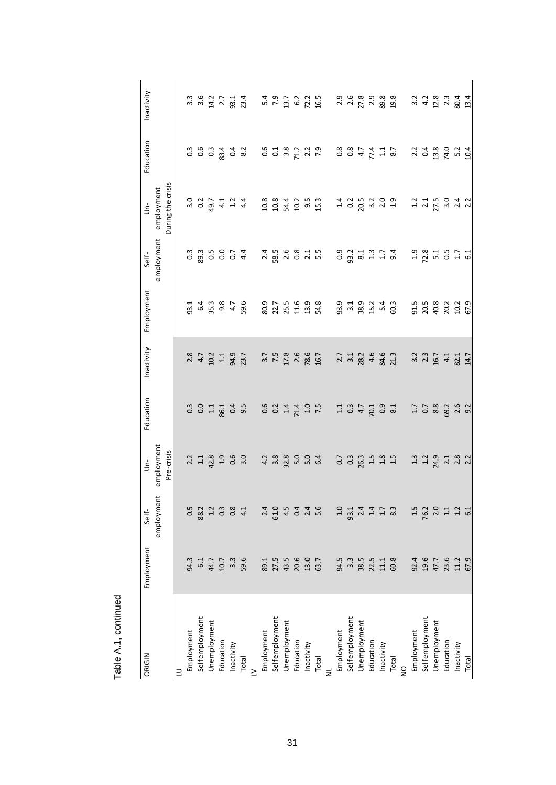| ORIGIN         |                  | Self-            |                                   |                                                                                                                                                                                                                                |                          |                      |                                     |                                                         |                                     |                                                                     |
|----------------|------------------|------------------|-----------------------------------|--------------------------------------------------------------------------------------------------------------------------------------------------------------------------------------------------------------------------------|--------------------------|----------------------|-------------------------------------|---------------------------------------------------------|-------------------------------------|---------------------------------------------------------------------|
|                | Employment       |                  | $\dot{\mathbf{5}}$                | Education                                                                                                                                                                                                                      | Inactivity               | Employment           | Self-                               | $\dot{\mathbf{5}}$                                      | Education                           | Inactivity                                                          |
|                |                  | employment       | employment<br>Pre-crisis          |                                                                                                                                                                                                                                |                          |                      | employment                          | During the crisis<br>employment                         |                                     |                                                                     |
|                |                  |                  |                                   |                                                                                                                                                                                                                                |                          |                      |                                     |                                                         |                                     |                                                                     |
| Employment     | 94.3             | 0.5              |                                   |                                                                                                                                                                                                                                | 2.8                      |                      | $0.\overline{3}$                    |                                                         |                                     |                                                                     |
| Selfemployment | 6.1              | 88.2             |                                   |                                                                                                                                                                                                                                |                          |                      |                                     |                                                         |                                     |                                                                     |
| Unemployment   | 4.7              | 1.2              |                                   |                                                                                                                                                                                                                                |                          |                      |                                     |                                                         |                                     |                                                                     |
| Education      | 10.7             | $0.\overline{3}$ | 2 1 2 3 9 9<br>2 1 2 9 9 9        |                                                                                                                                                                                                                                | $4.7$<br>10.2<br>1.1     |                      | $800074$<br>$00074$                 | 30000000000000                                          |                                     |                                                                     |
| Inactivity     | $3.\overline{3}$ | 0.8              |                                   |                                                                                                                                                                                                                                | 94.9                     |                      |                                     |                                                         |                                     |                                                                     |
| Total          | 59.6             | 4.1              | 3.0                               |                                                                                                                                                                                                                                | 23.7                     |                      |                                     |                                                         | 0.00 m 4 4 2<br>0.00 m 4 4 2        |                                                                     |
|                |                  |                  |                                   |                                                                                                                                                                                                                                |                          |                      |                                     |                                                         |                                     |                                                                     |
| Employment     | 89.1             | 2.4              | 4.2                               |                                                                                                                                                                                                                                |                          | 80.9                 |                                     |                                                         |                                     |                                                                     |
| Selfemployment | 27.5             | 61.0             | 3.8                               | $\begin{array}{c} 0 & 0 & 0 \\ 0 & 0 & 1 \\ 0 & 0 & 0 \\ 0 & 0 & 0 \\ \end{array}$                                                                                                                                             | $3.7$<br>7.5<br>17.8     | 22.7                 |                                     | 23<br>23<br>24<br>25<br>25<br>25<br>25<br>25<br>25      | 0.0 m<br>0.0 m 7.0 m<br>0.0 m 7.0 m | 5.4<br>7.9<br>5.2<br>9<br>2<br>9<br>2<br>2<br>9<br>2<br>9<br>2<br>9 |
| Unemployment   |                  | 4.5              | 32.8                              |                                                                                                                                                                                                                                |                          | 25.5<br>11.6         |                                     |                                                         |                                     |                                                                     |
| Education      | $43.5$<br>$20.6$ | 0.4              | 5.0                               |                                                                                                                                                                                                                                | 2.6                      |                      |                                     |                                                         |                                     |                                                                     |
| Inactivity     | $13.0\,$         |                  | 5.0                               |                                                                                                                                                                                                                                | 78.6                     | 13.9                 |                                     |                                                         |                                     |                                                                     |
| Total          | 63.7             | $2.4$<br>5.6     | 6.4                               |                                                                                                                                                                                                                                | 16.7                     | 54.8                 |                                     |                                                         |                                     |                                                                     |
|                |                  |                  |                                   |                                                                                                                                                                                                                                |                          |                      |                                     |                                                         |                                     |                                                                     |
| Employment     | 94.5             | $1.0\,$          |                                   |                                                                                                                                                                                                                                |                          |                      |                                     |                                                         |                                     |                                                                     |
| Selfemployment | $3.\overline{3}$ | 93.1             |                                   |                                                                                                                                                                                                                                |                          |                      |                                     |                                                         |                                     |                                                                     |
| Unemployment   | 38.5             | 2.4              |                                   |                                                                                                                                                                                                                                |                          |                      |                                     |                                                         |                                     |                                                                     |
| Education      | 22.5             | $1.4$<br>$1.7$   | 0 3 3 4 5<br>0 9 8 4 5<br>0 9 9 5 |                                                                                                                                                                                                                                |                          |                      | 0<br>0 3 4 5 5 7 4<br>0 9 2 4 5 7 4 | 1300000000                                              |                                     |                                                                     |
| Inactivity     | $11.1$<br>$60.8$ |                  |                                   |                                                                                                                                                                                                                                |                          |                      |                                     |                                                         |                                     |                                                                     |
| Total          |                  | $8.\overline{3}$ | 1.5                               | $13.540$ $8.50$ $8.50$                                                                                                                                                                                                         | 21.3                     | 60.3                 |                                     |                                                         | 0.8 8 7 4 4 5 6<br>0.8 7 4 4 7 8    |                                                                     |
| $\frac{1}{2}$  |                  |                  |                                   |                                                                                                                                                                                                                                |                          |                      |                                     |                                                         |                                     |                                                                     |
| Employment     | 92.4             | 1.5              |                                   |                                                                                                                                                                                                                                |                          |                      |                                     |                                                         |                                     |                                                                     |
| Selfemployment | 19.6             | 76.2             |                                   |                                                                                                                                                                                                                                | $3.3$<br>$2.3$<br>$16.7$ | 91.5<br>20.5         |                                     | $\frac{1}{2}$ $\frac{1}{2}$ $\frac{1}{2}$ $\frac{1}{2}$ |                                     |                                                                     |
| Unemployment   | 47.7             | 2.0              |                                   |                                                                                                                                                                                                                                |                          | 40.8                 |                                     |                                                         |                                     |                                                                     |
| Education      | 23.6             | 1.1              | $1.39$<br>$1.39$<br>$2.1$         |                                                                                                                                                                                                                                |                          |                      |                                     | 3.0                                                     |                                     |                                                                     |
| Inactivity     | $11.2$<br>$67.9$ | $1.3$<br>$6.1$   | $2.8$<br>2.2                      | $7, 7, 8, 7, 6, 7, 6, 7, 6, 7, 6, 7, 6, 7, 6, 7, 6, 7, 6, 7, 6, 7, 6, 7, 6, 7, 6, 7, 6, 7, 6, 7, 6, 7, 6, 7, 6, 7, 6, 7, 6, 7, 6, 7, 6, 7, 6, 7, 6, 7, 6, 7, 6, 7, 6, 7, 6, 7, 6, 7, 6, 7, 6, 7, 6, 7, 6, 7, 6, 7, 6, 7, 6, 7$ | $4.1$<br>$3.1$<br>$14.7$ | 20.2<br>10.2<br>67.9 | 180000000000000                     | $2.4$<br>2.2                                            | $2.38024$<br>$2.48024$<br>$2.5402$  | 222324<br>2422344                                                   |
| <b>Total</b>   |                  |                  |                                   |                                                                                                                                                                                                                                |                          |                      |                                     |                                                         |                                     |                                                                     |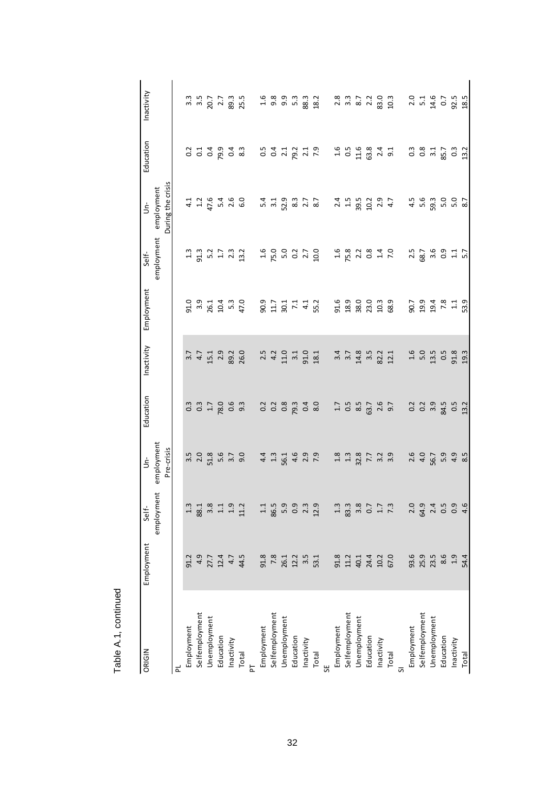| ORIGIN         | Employment           | Self-                             | $\dot{\mathbf{5}}$                         | Education                                 | Inactivity                                                            | Employment                         | Self-                             | $\dot{\mathbf{5}}$                    | Education                         | Inactivity                |
|----------------|----------------------|-----------------------------------|--------------------------------------------|-------------------------------------------|-----------------------------------------------------------------------|------------------------------------|-----------------------------------|---------------------------------------|-----------------------------------|---------------------------|
|                |                      | employment                        | employment                                 |                                           |                                                                       |                                    | employment                        | employment                            |                                   |                           |
|                |                      |                                   | Pre-crisis                                 |                                           |                                                                       |                                    |                                   | During the crisis                     |                                   |                           |
| ᆮ              |                      |                                   |                                            |                                           |                                                                       |                                    |                                   |                                       |                                   |                           |
| Employment     | 91.2                 | 1.3                               |                                            |                                           |                                                                       |                                    |                                   | 4.1                                   |                                   | $3.\overline{3}$          |
| Selfemployment | 4.9                  | 88.1                              | n 0 8 6 1 0<br>5 1 1 1 1 1 1 1             | 3<br>3 3 4 8 9 9<br>3 9 9 9 9             | 7 7 7 1 9 0 0<br>3 4 1 0 9 0 0<br>3 9 0 0                             |                                    | 13 3 4 5 4 5 4<br>3 5 5 7 8 9 5 7 |                                       | 0<br>0 0 0 0 0<br>0 0 0 0 0       |                           |
| Unemployment   |                      |                                   |                                            |                                           |                                                                       |                                    |                                   |                                       |                                   |                           |
| Education      | 27.7<br>12.4<br>4.7  | $3.3$<br>$1.3$<br>$1.3$<br>$11.2$ |                                            |                                           |                                                                       |                                    |                                   | 1 7 1 1 1 0<br>1 7 1 1 0<br>1 7 1 1 0 |                                   | 5.7<br>2.7<br>2.8<br>2.5  |
| Inactivity     |                      |                                   |                                            |                                           |                                                                       |                                    |                                   |                                       |                                   |                           |
| Total          | 44.5                 |                                   |                                            |                                           |                                                                       |                                    |                                   |                                       | 8 <sup>3</sup>                    |                           |
| F              |                      |                                   |                                            |                                           |                                                                       |                                    |                                   |                                       |                                   |                           |
| Employment     | 91.8                 | 1.1                               |                                            |                                           |                                                                       |                                    |                                   |                                       |                                   |                           |
| Selfemployment |                      | 86.5                              |                                            |                                           |                                                                       |                                    |                                   |                                       |                                   | မ & တ<br>႕ တ တ            |
| Unemployment   | 7.8<br>26.1          | 5.9                               |                                            |                                           |                                                                       |                                    |                                   |                                       |                                   |                           |
| Education      | $12.5$<br>$3.5$      | 0.9                               | 4 1 1 1 1 0 0 0<br>4 1 1 0 4 0 1 1         | 338 m 40<br>338 m 40                      | $2.5$<br>$4.2$ $0.1$<br>$0.1$<br>$0.1$<br>$0.1$<br>$0.1$<br>$0.1$     | 90.7<br>50.7<br>50.7<br>4.1<br>4.1 | 15001700                          |                                       | 0 0 1 0 1 1 0<br>0 1 1 0 1 1 0    | 5.3                       |
| Inactivity     |                      | 2.3                               |                                            |                                           |                                                                       |                                    |                                   |                                       |                                   | 88.3                      |
| Total          | 53.1                 | 12.9                              |                                            |                                           |                                                                       | 55.2                               |                                   |                                       |                                   | 18.2                      |
| SE             |                      |                                   |                                            |                                           |                                                                       |                                    |                                   |                                       |                                   |                           |
| Employment     | 91.8                 | 1.3                               | $1.8$                                      |                                           |                                                                       | 91.6                               |                                   | $^{2.4}$                              | 1.6                               |                           |
| Selfemployment | $11.2$               | 83.3                              |                                            |                                           | $\frac{3}{3}$ $\frac{4}{3}$ $\frac{5}{3}$ $\frac{4}{3}$ $\frac{8}{3}$ | 18.9                               | $1.6$<br>75.3                     |                                       |                                   |                           |
| Unemployment   | 40.1                 | 3.8                               |                                            |                                           |                                                                       | 38.0                               |                                   |                                       |                                   |                           |
| Education      |                      | 0.7                               | $130720$<br>$125720$                       | 1<br>1 0 1 1 0 1 0 1<br>1 0 1 0 1 0 1 0 1 |                                                                       |                                    | $0.4$<br>$7.0$<br>$7.0$           | $1.5$ $0.2$ $0.3$ $0.3$ $0.3$         | 5<br>0 1 1 8 9 4 1<br>0 1 8 9 0 1 | 23 32 32 33 34            |
| Inactivity     | 24.4<br>10.2<br>67.0 | $1.7$<br>7.3                      |                                            |                                           | $3.5$<br>$3.2$<br>$12.1$                                              | 23.0<br>10.3                       |                                   |                                       |                                   |                           |
| Total          |                      |                                   |                                            |                                           |                                                                       | 68.9                               |                                   | 4.7                                   |                                   |                           |
| 5              |                      |                                   |                                            |                                           |                                                                       |                                    |                                   |                                       |                                   |                           |
| Employment     | 93.6                 | 2.0                               |                                            |                                           |                                                                       | 90.7                               |                                   | 4.5                                   |                                   |                           |
| Selfemployment | 25.9                 | 64.9                              | $\begin{array}{c} 6 \\ 2 \\ 4 \end{array}$ |                                           | $1.00$<br>$1.00$<br>$1.00$                                            |                                    | 2.5<br>68.7                       | 5.6                                   |                                   | $2.10$<br>$5.16$<br>$4.6$ |
| Unemployment   | 23.5                 | 2.4                               | 56.7                                       |                                           |                                                                       | 9. ។<br>១. 4                       | 3.6                               | 59.3                                  |                                   |                           |
| Education      | 8.6                  | 0.5                               | 5.9                                        |                                           | 0.5                                                                   | 7.8                                | 0.9                               |                                       | 0 8 1 7 8 9 1<br>0 8 1 7 8 9 1    | 0.7                       |
| Inactivity     | 1.9                  | 0.9                               | 4.9                                        | $0.5$<br>13.2                             | 91.8<br>19.3                                                          | $\frac{11}{23.9}$                  | $1.1$<br>$5.7$                    | 5.0<br>5.0<br>8.7                     |                                   | 92.5<br>18.5              |
| Total          | 54.4                 | 4.6                               | $\frac{5}{8}$                              |                                           |                                                                       |                                    |                                   |                                       |                                   |                           |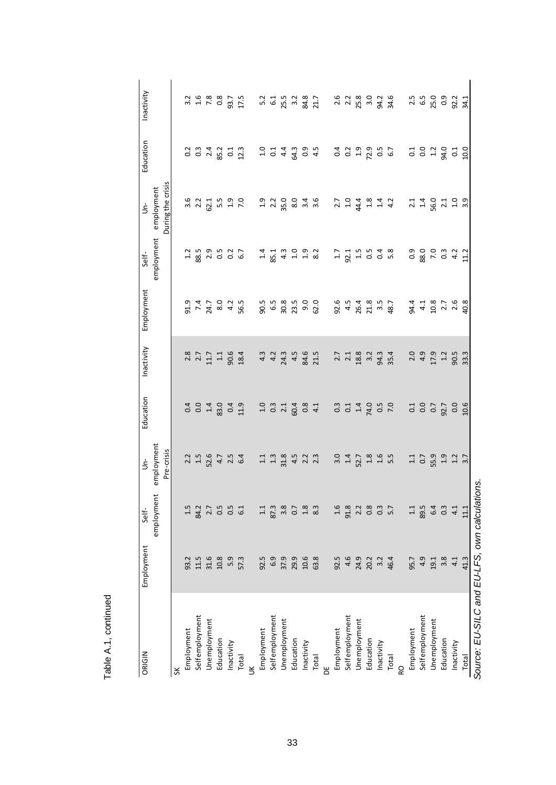| ORIGIN         | Employment | Self-            | Ś                                              | Education                       | Inactivity                                | Employment                         | Self-                                                                                                        | ś                                                                                                                                                                                                                                                                                                                            | Education                | Inactivity                                                                                      |
|----------------|------------|------------------|------------------------------------------------|---------------------------------|-------------------------------------------|------------------------------------|--------------------------------------------------------------------------------------------------------------|------------------------------------------------------------------------------------------------------------------------------------------------------------------------------------------------------------------------------------------------------------------------------------------------------------------------------|--------------------------|-------------------------------------------------------------------------------------------------|
|                |            | employment       | employment<br>Pre-crisis                       |                                 |                                           |                                    | employment                                                                                                   | During the crisis<br>employment                                                                                                                                                                                                                                                                                              |                          |                                                                                                 |
| š              |            |                  |                                                |                                 |                                           |                                    |                                                                                                              |                                                                                                                                                                                                                                                                                                                              |                          |                                                                                                 |
| Employment     | 93.2       | 1.5              |                                                |                                 |                                           |                                    |                                                                                                              |                                                                                                                                                                                                                                                                                                                              |                          |                                                                                                 |
| Selfemployment | 11.5       | 84.2             |                                                |                                 |                                           |                                    |                                                                                                              | 3. 0<br>2. 2<br>62. 1                                                                                                                                                                                                                                                                                                        |                          |                                                                                                 |
| Unemployment   | 31.6       | 2.7              |                                                |                                 |                                           |                                    |                                                                                                              |                                                                                                                                                                                                                                                                                                                              |                          |                                                                                                 |
| Education      | 10.8       | 0.5              | 2156754<br>2156754                             |                                 |                                           | $91.70045$<br>$7.70045$<br>$9.450$ |                                                                                                              |                                                                                                                                                                                                                                                                                                                              |                          |                                                                                                 |
| Inactivity     | 5.9        | 0.5              |                                                |                                 |                                           |                                    |                                                                                                              |                                                                                                                                                                                                                                                                                                                              |                          |                                                                                                 |
| Total          | 57.3       | 61               |                                                | 0<br>0 0 4 0 4 0<br>4 0 4 0 4 0 | $287$<br>$217$<br>$119$<br>$294$<br>$294$ |                                    | $\begin{array}{c}\n 1 & 0 & 0 & 0 & 0 & 0 \\  0 & 0 & 0 & 0 & 0 & 0 \\  0 & 0 & 0 & 0 & 0 & 0\n \end{array}$ |                                                                                                                                                                                                                                                                                                                              |                          | $\begin{array}{c} 3.76 & 0.80 & 0.75 \\ 1.6 & 0.80 & 0.75 \\ 0.80 & 0.75 & 0.75 \\ \end{array}$ |
| š              |            |                  |                                                |                                 |                                           |                                    |                                                                                                              |                                                                                                                                                                                                                                                                                                                              |                          |                                                                                                 |
| Employment     | 92.5       | 1.1              |                                                |                                 |                                           |                                    |                                                                                                              |                                                                                                                                                                                                                                                                                                                              |                          |                                                                                                 |
| Selfemployment | 6.9        | 87.3             |                                                |                                 | $4.3$<br>$4.4$<br>$7.3$                   |                                    | $1.4$ 85.1                                                                                                   |                                                                                                                                                                                                                                                                                                                              |                          |                                                                                                 |
| Unemployment   | 37.9       | 3.8              |                                                |                                 |                                           |                                    |                                                                                                              | $1.9$<br>$2.5$<br>$35.0$                                                                                                                                                                                                                                                                                                     |                          |                                                                                                 |
| Education      | 29.9       | 0.7              |                                                |                                 |                                           |                                    |                                                                                                              |                                                                                                                                                                                                                                                                                                                              |                          |                                                                                                 |
| Inactivity     | 10.6       | 1.8              | 11381423                                       | 1001481                         | $4.5$<br>$4.5$<br>$5.5$                   |                                    | $4.09$<br>$4.19$<br>$8.2$                                                                                    |                                                                                                                                                                                                                                                                                                                              |                          |                                                                                                 |
| Total          | 63.8       | 8.3              |                                                |                                 |                                           |                                    |                                                                                                              |                                                                                                                                                                                                                                                                                                                              |                          |                                                                                                 |
| Ъ              |            |                  |                                                |                                 |                                           |                                    |                                                                                                              |                                                                                                                                                                                                                                                                                                                              |                          |                                                                                                 |
| Employment     | 92.5       | 1.6              |                                                |                                 |                                           | 92.6                               |                                                                                                              |                                                                                                                                                                                                                                                                                                                              |                          |                                                                                                 |
| Selfemployment | 4.6        | 91.8             | $3.0$<br>$1.4$<br>$5.7$<br>$1.8$               |                                 | $2.7$<br>$2.1$<br>$18.8$                  |                                    |                                                                                                              |                                                                                                                                                                                                                                                                                                                              |                          |                                                                                                 |
| Unemployment   | 24.9       | 2.2              |                                                |                                 |                                           |                                    |                                                                                                              |                                                                                                                                                                                                                                                                                                                              |                          |                                                                                                 |
| Education      | 20.2       | 0.8              |                                                | 0.514000                        |                                           | $4.5$<br>26.4<br>21.8              |                                                                                                              |                                                                                                                                                                                                                                                                                                                              |                          |                                                                                                 |
| Inactivity     | 3.2        | $0.\overline{3}$ | $\begin{array}{c}\n 1.5 \\  5.5\n \end{array}$ |                                 |                                           |                                    |                                                                                                              |                                                                                                                                                                                                                                                                                                                              |                          |                                                                                                 |
| Total          | 46.4       | 5.7              |                                                |                                 | 3.3<br>35.4<br>35.4                       | $3.5$<br>48.7                      |                                                                                                              | $\begin{array}{cccccc} 7 & 1 & 4 & 4 & 4 & 4 \\ 9 & 1 & 4 & 4 & 4 & 4 \\ 1 & 1 & 1 & 4 & 4 & 4 \\ 1 & 1 & 1 & 1 & 4 & 4 \\ 1 & 1 & 1 & 1 & 1 & 4 \\ 1 & 1 & 1 & 1 & 1 & 4 \\ 1 & 1 & 1 & 1 & 1 & 1 \\ 1 & 1 & 1 & 1 & 1 & 1 \\ 1 & 1 & 1 & 1 & 1 & 1 \\ 1 & 1 & 1 & 1 & 1 & 1 \\ 1 & 1 & 1 & 1 & 1 & 1 \\ 1 & 1 & 1 & 1 & 1$ | 0012057<br>0012057       |                                                                                                 |
| <b>Q</b>       |            |                  |                                                |                                 |                                           |                                    |                                                                                                              |                                                                                                                                                                                                                                                                                                                              |                          |                                                                                                 |
| Employment     | 95.7       | 1.1              |                                                |                                 |                                           | 94.4                               |                                                                                                              |                                                                                                                                                                                                                                                                                                                              |                          |                                                                                                 |
| Selfemployment | 4.9        | 89.5             | 159927                                         | 0.0<br>0.0<br>0.0<br>0.0<br>0.0 | 2.9.9<br>2.9.9<br>2.9.9                   |                                    | 0.9<br>88<br>7.0                                                                                             | 2140<br>2140<br>2193                                                                                                                                                                                                                                                                                                         | 0 0 1 9 0<br>0 0 1 9 0 1 | 2.5<br>2.5<br>20                                                                                |
| Unemployment   | 19.1       | 6.4              |                                                |                                 |                                           | $4.1$<br>10.8                      |                                                                                                              |                                                                                                                                                                                                                                                                                                                              |                          |                                                                                                 |
| Education      | 3.8        | $0.\overline{3}$ |                                                |                                 | 1.2                                       |                                    | 0.3                                                                                                          |                                                                                                                                                                                                                                                                                                                              |                          | 0.9                                                                                             |
| Inactivity     | 4.1        | 4.1              |                                                |                                 | 90.5                                      | $2.7$<br>$2.6$                     | 4.2                                                                                                          |                                                                                                                                                                                                                                                                                                                              |                          | 92.2                                                                                            |
| Total          | 41.3       | 11.1             |                                                | 10.6                            | 33.3                                      | 40.8                               | 11.2                                                                                                         |                                                                                                                                                                                                                                                                                                                              | 10.0                     | 34.1                                                                                            |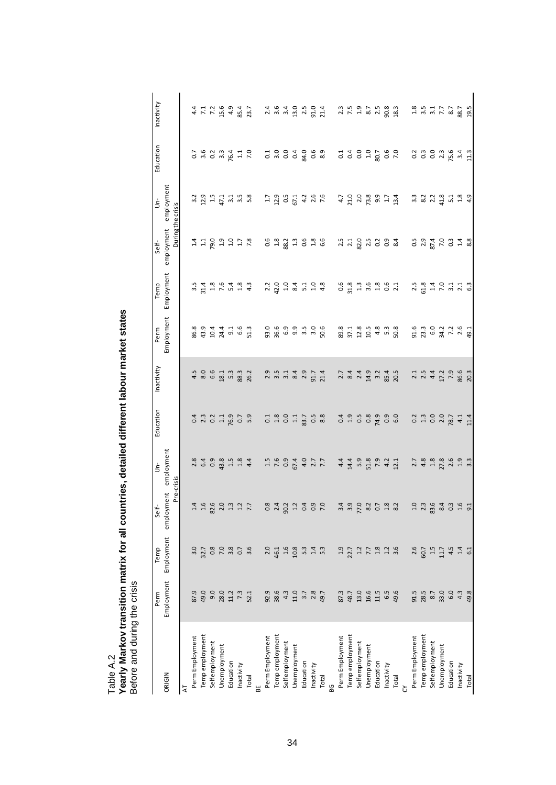| Table A.2                                                                                  |
|--------------------------------------------------------------------------------------------|
| Yearly Markov transition matrix for all countries, detailed different labour market states |
| Before and during the crisis                                                               |

|                 | Perm       | Temp         | Self-                                    | $\dot{\bar{\mathbf{5}}}$             | Education                                                         | Inactivity                         | Perm                                | Temp                                                    | Self-                           | $\dot{\bar{\mathbf{5}}}$                                                                                                      | Education                            | Inactivity                                                                                                                                                                                                                        |
|-----------------|------------|--------------|------------------------------------------|--------------------------------------|-------------------------------------------------------------------|------------------------------------|-------------------------------------|---------------------------------------------------------|---------------------------------|-------------------------------------------------------------------------------------------------------------------------------|--------------------------------------|-----------------------------------------------------------------------------------------------------------------------------------------------------------------------------------------------------------------------------------|
| ORIGIN          | Employment | Employment   | employment                               | employment<br>Pre-crisis             |                                                                   |                                    | Employment                          | Employment                                              | During the crisis<br>employment | employment                                                                                                                    |                                      |                                                                                                                                                                                                                                   |
| $\overline{A}$  |            |              |                                          |                                      |                                                                   |                                    |                                     |                                                         |                                 |                                                                                                                               |                                      |                                                                                                                                                                                                                                   |
| Perm Employment | 87.9       | 3.0          |                                          |                                      |                                                                   |                                    |                                     |                                                         |                                 |                                                                                                                               |                                      |                                                                                                                                                                                                                                   |
| Temp employment | 49.0       | 32.7         |                                          | 2 4 9 8 9 9 9 9<br>2 9 9 9 9 9 9 9   |                                                                   | $4.5$<br>8.0                       | 86.8<br>43.9                        | 31.4                                                    |                                 | $3.2$<br>12.9                                                                                                                 | 0.803.3410<br>0.803.410              | 4 1 1 2 4<br>4 1 2 4 4<br>4 1 2 4                                                                                                                                                                                                 |
| Selfemployment  | 9.0        | 0.8          |                                          |                                      |                                                                   | 6.6                                |                                     | 1.8                                                     |                                 |                                                                                                                               |                                      |                                                                                                                                                                                                                                   |
| Unemployment    | 28.0       | 7.0          |                                          |                                      |                                                                   | 18.1                               |                                     | 7.6                                                     |                                 | $1.5$<br>47.1                                                                                                                 |                                      |                                                                                                                                                                                                                                   |
| Education       | 11.2       | 3.8          |                                          |                                      |                                                                   | 5.3                                |                                     | $5.\overline{4}$<br>$1.\overline{8}$                    |                                 | $3.1$ 5.8                                                                                                                     |                                      |                                                                                                                                                                                                                                   |
| Inactivity      | 7.3        | 0.7          |                                          |                                      |                                                                   | 88.3<br>26.2                       |                                     |                                                         |                                 |                                                                                                                               |                                      | 85.4<br>23.7                                                                                                                                                                                                                      |
| Total<br>띪      | 52.1       | 3.6          |                                          | 4.4                                  |                                                                   |                                    |                                     | 4.3                                                     |                                 |                                                                                                                               |                                      |                                                                                                                                                                                                                                   |
| Perm Employment | 92.9       | 2.0          | $0.\overline{8}$                         |                                      |                                                                   |                                    |                                     |                                                         | 0.6                             |                                                                                                                               |                                      |                                                                                                                                                                                                                                   |
| Temp employment | 38.6       | 46.1         |                                          |                                      |                                                                   | $2.5$<br>$3.5$                     |                                     | $2.2$<br>42.0                                           |                                 | $\begin{array}{cccc}\n1.7 & 0.9 & 0.7 & 0.7 & 0.6 \\ 0.7 & 0.7 & 0.7 & 0.7 & 0.6 \\ 0.7 & 0.7 & 0.7 & 0.7 & 0.7\n\end{array}$ | 3.004                                | $2464$<br>$364$                                                                                                                                                                                                                   |
| Selfemployment  | 4.3        | $1.6$        |                                          |                                      |                                                                   | 3.1                                |                                     | 1.0                                                     | $1.8$<br>88.2                   |                                                                                                                               |                                      |                                                                                                                                                                                                                                   |
| Unemployment    | $11.0$     | 10.8         |                                          |                                      |                                                                   | 8.4                                |                                     |                                                         |                                 |                                                                                                                               |                                      |                                                                                                                                                                                                                                   |
| Education       | 3.7        | 5.3          |                                          |                                      |                                                                   | 2.9                                |                                     | 8 1 1 0 8<br>8 1 1 9 8                                  | $1.3686$<br>$1.368$             |                                                                                                                               |                                      | $13.5$ $0.5$ $0.5$ $1.4$                                                                                                                                                                                                          |
| Inactivity      | 2.8        | $1.4$<br>5.3 |                                          |                                      |                                                                   | 91.7<br>21.4                       |                                     |                                                         |                                 |                                                                                                                               | $84.0$<br>$0.6$<br>$8.9$             |                                                                                                                                                                                                                                   |
| Total           | 49.7       |              |                                          |                                      |                                                                   |                                    |                                     |                                                         |                                 |                                                                                                                               |                                      |                                                                                                                                                                                                                                   |
| 9g              |            |              |                                          |                                      |                                                                   |                                    |                                     |                                                         |                                 |                                                                                                                               |                                      |                                                                                                                                                                                                                                   |
| Perm Employment | 87.3       | 1.9          |                                          |                                      |                                                                   |                                    |                                     |                                                         |                                 |                                                                                                                               |                                      |                                                                                                                                                                                                                                   |
| Temp employment | 48.7       | 22.7         |                                          |                                      |                                                                   |                                    |                                     |                                                         |                                 |                                                                                                                               |                                      | $2.5$<br>$7.5$<br>$1.9$                                                                                                                                                                                                           |
| Selfemployment  | 13.0       | 1.2          |                                          |                                      |                                                                   |                                    |                                     |                                                         |                                 |                                                                                                                               |                                      |                                                                                                                                                                                                                                   |
| Unemployment    | 16.6       | 7.7          | a a b c c c c c a<br>a a b c c c c c a c | 4 4 5 6 7 9 9 9 1<br>4 4 5 6 7 9 9 1 |                                                                   | 2 3 4 4 9 2 4 5<br>2 8 9 2 4 5 9 2 | 8<br>8 5 7 8 5 8 9 8<br>8 7 8 9 8 9 | $0.88788867$ $0.89867$                                  | 2<br>22 23 23 23 24             | $47.089074$<br>$47.089074$                                                                                                    | 1300000000000                        | $\frac{2}{8}$ 5 5 6 7 8 7 8 7 9 8 7 9 8 7 9 8 7 9 8 7 9 8 7 9 8 7 9 8 7 9 8 7 9 8 7 9 8 7 9 8 7 9 8 7 9 8 7 9 8 7 9 8 7 9 8 7 9 8 7 9 8 7 9 8 7 9 8 7 9 8 7 9 8 7 9 8 7 9 8 7 9 8 7 9 8 7 9 8 7 9 8 7 9 8 7 9 8 7 9 8 7 9 8 7 9 8 |
| Education       | 11.5       | $1.8\,$      |                                          |                                      |                                                                   |                                    |                                     |                                                         |                                 |                                                                                                                               |                                      |                                                                                                                                                                                                                                   |
| Inactivity      | 6.5        | 1.2          |                                          |                                      |                                                                   |                                    |                                     |                                                         |                                 |                                                                                                                               |                                      |                                                                                                                                                                                                                                   |
| Total           | 49.6       | 3.6          |                                          |                                      |                                                                   |                                    |                                     |                                                         |                                 |                                                                                                                               |                                      |                                                                                                                                                                                                                                   |
| δ               |            |              |                                          |                                      |                                                                   |                                    |                                     |                                                         |                                 |                                                                                                                               |                                      |                                                                                                                                                                                                                                   |
| Perm Employment | 91.5       | 2.6          | $\overline{0}$                           | $2.7$<br>4.8                         |                                                                   | 2.1                                |                                     |                                                         |                                 |                                                                                                                               |                                      |                                                                                                                                                                                                                                   |
| Temp employment | 28.5       | 60.7         | 2.3                                      |                                      |                                                                   | 2.5                                | 91.6<br>23.3                        |                                                         |                                 | 3. 2. 2.<br>3. 2. 2.                                                                                                          |                                      | $1.8$<br>$3.5$<br>$3.1$                                                                                                                                                                                                           |
| Selfemployment  | 8.7        | $1.5$        | 83.6                                     | $1.8$                                | $\begin{array}{c} 2.3 \\ 0.1 \\ 0.0 \\ 0.0 \\ \hline \end{array}$ | 4.4                                |                                     | $2.5$<br>$61.4$<br>$7.0$                                |                                 |                                                                                                                               | 2 3 9 3 4 5 4 7<br>2 9 9 9 9 9 9 9 9 |                                                                                                                                                                                                                                   |
| Unemployment    | 33.0       | 11.7         |                                          | 27.8                                 |                                                                   | 17.2<br>7.9                        |                                     |                                                         |                                 | 41.8                                                                                                                          |                                      |                                                                                                                                                                                                                                   |
| Education       | 6.0        | 4.5          | $8.3$ $0.5$ $1$                          | 2.6                                  |                                                                   |                                    |                                     | $\frac{1}{2}$ $\frac{1}{2}$ $\frac{1}{2}$ $\frac{1}{2}$ |                                 | $\frac{1}{1}$ , $\frac{3}{4}$ , $\frac{9}{4}$                                                                                 |                                      | 7.7<br>8.7<br>8.7<br>19.5                                                                                                                                                                                                         |
| Inactivity      | 4.3        | $1.4$<br>6.1 |                                          | $1.9$<br>$3.3$                       |                                                                   | 86.6<br>20.3                       |                                     |                                                         |                                 |                                                                                                                               |                                      |                                                                                                                                                                                                                                   |
| Total           | 49.8       |              |                                          |                                      |                                                                   |                                    |                                     |                                                         |                                 |                                                                                                                               |                                      |                                                                                                                                                                                                                                   |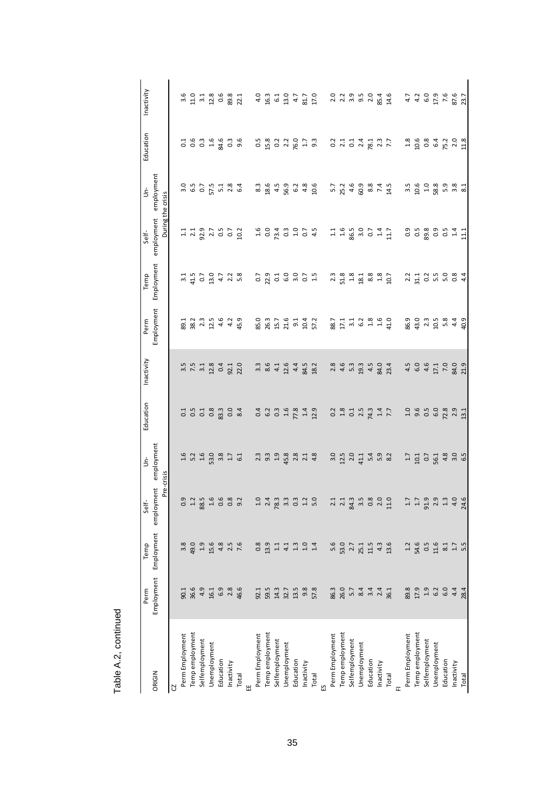|                 | Perm          | Temp                                      | Self-                | $\dot{5}$                                             | Education                  | Inactivity                                         | Perm                             | Temp                                                                                                                                                                                                          | Self-                           | ś                                                                                                    | Education                              | Inactivity                          |
|-----------------|---------------|-------------------------------------------|----------------------|-------------------------------------------------------|----------------------------|----------------------------------------------------|----------------------------------|---------------------------------------------------------------------------------------------------------------------------------------------------------------------------------------------------------------|---------------------------------|------------------------------------------------------------------------------------------------------|----------------------------------------|-------------------------------------|
| ORIGIN          |               | Employment Employment                     | employment<br>È      | employment<br>e-crisis                                |                            |                                                    | Employment                       | Employment                                                                                                                                                                                                    | During the crisis<br>employment | employment                                                                                           |                                        |                                     |
| S               |               |                                           |                      |                                                       |                            |                                                    |                                  |                                                                                                                                                                                                               |                                 |                                                                                                      |                                        |                                     |
| Perm Employment | 90.1          | 3.8                                       | 0.9                  |                                                       |                            |                                                    | 89.1                             |                                                                                                                                                                                                               |                                 |                                                                                                      |                                        |                                     |
| Temp employment | 36.6          | 49.0                                      | 1.2                  |                                                       | $0.15$<br>$0.18$<br>$0.33$ | $3.5$<br>$7.5$<br>$1.8$<br>$2.8$                   |                                  | 1<br>1<br>1<br>1<br>1<br>1<br>2<br>1<br>2<br>1<br>2<br>1<br>2<br>2<br>2<br>2<br>2<br>2<br>2<br>1<br>2<br>2<br>1<br>2<br>2<br>1<br>2<br>2<br>2<br>2<br>1<br>2<br>2<br>1<br>2<br>2<br>1<br>2<br>2<br>2<br>2<br> | 11397000000                     | 8<br>1975<br>1975<br>1979<br>1979                                                                    | $0.16$<br>$0.36$<br>$0.36$             | 5<br>5 1 3 3 9 8 9 7<br>5 1 9 9 9 1 |
| Selfemployment  |               | 1.9                                       | 88.5                 |                                                       |                            |                                                    |                                  |                                                                                                                                                                                                               |                                 |                                                                                                      |                                        |                                     |
| Unemployment    | $4.9$<br>16.1 | 15.6                                      | 1.6                  |                                                       |                            |                                                    |                                  |                                                                                                                                                                                                               |                                 |                                                                                                      |                                        |                                     |
| Education       | 6.9           | 4.8                                       | 0.6                  |                                                       |                            |                                                    |                                  |                                                                                                                                                                                                               |                                 |                                                                                                      | 84.6                                   |                                     |
| Inactivity      | 2.8           | 2.5                                       | 0.8                  | $1.7$ 6.1                                             | $0.0$<br>8.4               | $0.4$<br>92.1<br>22.0                              |                                  |                                                                                                                                                                                                               |                                 |                                                                                                      |                                        |                                     |
| Total           | 46.6          | 7.6                                       | 9.2                  |                                                       |                            |                                                    | 45.9                             |                                                                                                                                                                                                               |                                 |                                                                                                      | $0.\overline{3}$<br>$9.\overline{6}$   |                                     |
| Ш               |               |                                           |                      |                                                       |                            |                                                    |                                  |                                                                                                                                                                                                               |                                 |                                                                                                      |                                        |                                     |
| Perm Employment | 92.1          | 0.8                                       | $1.0\,$              | 2.3                                                   |                            |                                                    | 85.0                             |                                                                                                                                                                                                               |                                 |                                                                                                      |                                        |                                     |
| Temp employment | 59.5          | 13.9                                      | 2.4                  |                                                       |                            |                                                    |                                  |                                                                                                                                                                                                               |                                 |                                                                                                      |                                        |                                     |
| Selfemployment  | 14.3          | $1.1\,$                                   | 78.3                 | $9.\overline{3}$<br>$1.\overline{9}$                  |                            | $3.36$<br>$8.46$<br>$12.6$                         |                                  |                                                                                                                                                                                                               | $1.6$<br>0.0<br>73.4            |                                                                                                      |                                        |                                     |
| Unemployment    | 32.7          | 4.1                                       | 3.3                  | 45.8                                                  |                            |                                                    | 26.3<br>15.7<br>21.6             |                                                                                                                                                                                                               |                                 |                                                                                                      | 0.3<br>0.3<br>0.2<br>76<br>76          |                                     |
| Education       | 13.5          | 1.3                                       | $0.\overline{3}$     | 2.8                                                   |                            | 4.4                                                | 9.1                              | $\frac{5}{2}$<br>$\frac{3}{2}$<br>$\frac{1}{2}$<br>$\frac{5}{2}$<br>$\frac{3}{2}$<br>$\frac{3}{2}$                                                                                                            | 0.3<br>0.5<br>0.7<br>4.5        |                                                                                                      |                                        |                                     |
| Inactivity      | 9.8           | 1.0                                       | 1.2                  | 2.1                                                   |                            | 84.5                                               | 10.4<br>57.2                     | $0.7$<br>$1.5$                                                                                                                                                                                                |                                 |                                                                                                      | $1.7$<br>9.3                           |                                     |
| Total           | 57.8          | 1.4                                       | 5.0                  | 4.8                                                   |                            | 18.2                                               |                                  |                                                                                                                                                                                                               |                                 | 10.6                                                                                                 |                                        |                                     |
|                 |               |                                           |                      |                                                       |                            |                                                    |                                  |                                                                                                                                                                                                               |                                 |                                                                                                      |                                        |                                     |
| Perm Employment |               | 5.6                                       |                      |                                                       |                            |                                                    |                                  |                                                                                                                                                                                                               |                                 |                                                                                                      |                                        |                                     |
| Temp employment | 86.3<br>26.0  | 53.0                                      | $2.1$<br>$2.1$       | $3.0$<br>$12.5$<br>$2.0$<br>$41.1$                    | 0.10.11.11.12.12           | $2.8$<br>$4.5$<br>$5.3$                            | 2011<br>2012 10:00<br>2012 10:00 |                                                                                                                                                                                                               | 116507471<br>11650747           | 5. 7. 4. 9. 8. 4. 5. 7. 7. 7. 9. 8. 7. 7. 7. 7. 9. 8. 7. 7. 7. 7. 7. 9. 9. 8. 7. 7. 7. 7. 7. 7. 7. 7 | 0 2 1 1 4 1 3 2 2<br>0 2 1 1 4 1 3 2 2 | 0 2 3 9 5 0<br>0 7 9 9 9 0          |
| Selfemployment  |               | 2.7                                       | 84.3                 |                                                       |                            |                                                    |                                  |                                                                                                                                                                                                               |                                 |                                                                                                      |                                        |                                     |
| Unemployment    | $5.7$<br>8.4  |                                           | 3.5                  |                                                       |                            | 19.3                                               |                                  |                                                                                                                                                                                                               |                                 |                                                                                                      |                                        |                                     |
| Education       | 3.4           | $25.1$ $11.5$                             | $0.8$<br>2.0         |                                                       |                            | 4.5                                                |                                  |                                                                                                                                                                                                               |                                 |                                                                                                      |                                        |                                     |
| Inactivity      | $2.4$<br>36.1 | 4.3                                       |                      | $\begin{array}{c} 4 & 0 & 2 \\ 0 & 0 & 2 \end{array}$ |                            | 84.0                                               |                                  |                                                                                                                                                                                                               |                                 |                                                                                                      |                                        | 85.4                                |
| Total           |               | 13.6                                      | $11.0$               |                                                       |                            | 23.4                                               | 41.0                             | 10.7                                                                                                                                                                                                          |                                 |                                                                                                      |                                        | 14.6                                |
| ᇎ               |               |                                           |                      |                                                       |                            |                                                    |                                  |                                                                                                                                                                                                               |                                 |                                                                                                      |                                        |                                     |
| Perm Employment | 89.8          | 1.2                                       | 1.7                  |                                                       |                            | 4.5                                                |                                  |                                                                                                                                                                                                               |                                 |                                                                                                      | $1.8$                                  | 4.7                                 |
| Temp employment | 17.9          |                                           |                      |                                                       |                            |                                                    |                                  |                                                                                                                                                                                                               | 0.5<br>0.5<br>80                |                                                                                                      |                                        |                                     |
| Selfemployment  | 1.9           | 54.6<br>0.5                               | $1.7$<br>91.9<br>2.9 | $\frac{17}{10}$ 2 5 4 3<br>1 9 5 5 4 3                |                            | $0.0$<br>$0.4$<br>$0.7$<br>$0.0$<br>$0.7$<br>$0.0$ | 900 m<br>900 m<br>900 m          | $2.3 \times 10^{-10}$<br>$2.3 \times 10^{-10}$                                                                                                                                                                |                                 | 3.5<br>2.9<br>3.9                                                                                    | $10.8$<br>$0.8$<br>$6.4$               | $4.2$<br>6.0                        |
| Unemployment    | 6.2           | 11.6                                      |                      |                                                       |                            |                                                    | 10.5                             |                                                                                                                                                                                                               |                                 | 58.8                                                                                                 |                                        | 17.9                                |
| Education       | 6.0           | 8.1                                       | 1.3                  |                                                       |                            |                                                    | 5.8                              |                                                                                                                                                                                                               | 0.5                             | 5.9                                                                                                  | 75.2                                   | 7.6                                 |
| Inactivity      | 4.4           | $\begin{array}{c} 1.7 \\ 5.5 \end{array}$ | 4.0                  | $3.0$<br>$6.5$                                        | $2.9$<br>$13.1$            | 84.0<br>21.9                                       | 4.4                              | $0.8$<br>4.4                                                                                                                                                                                                  | $1.4$<br>11.1                   | $3.\overline{8}$<br>$8.\overline{1}$                                                                 | $2.0$<br>11.8                          | 87.6<br>23.7                        |
| Total           | 28.4          |                                           | 24.6                 |                                                       |                            |                                                    | 40.9                             |                                                                                                                                                                                                               |                                 |                                                                                                      |                                        |                                     |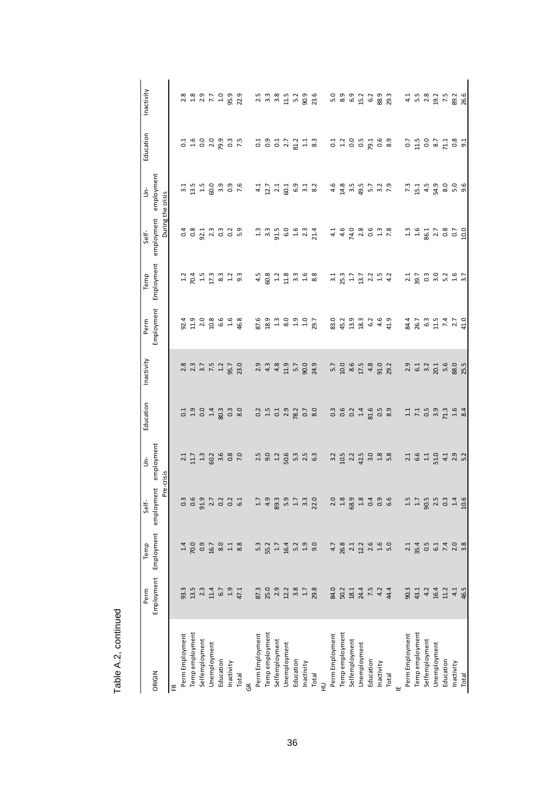|                                     | Perm                                     | Temp                                      | Self-                    | ś                                 | Education                  | Inactivity                                | Perm                       | Temp                                                                                    | Self-                                     | ś                                    | Education                                 | Inactivity                                                                                |
|-------------------------------------|------------------------------------------|-------------------------------------------|--------------------------|-----------------------------------|----------------------------|-------------------------------------------|----------------------------|-----------------------------------------------------------------------------------------|-------------------------------------------|--------------------------------------|-------------------------------------------|-------------------------------------------------------------------------------------------|
| ORIGIN                              | Employment                               | Employment                                | Pre-crisis<br>employment | employment                        |                            |                                           | Employment                 | Employment                                                                              | During the crisis<br>employment           | employment                           |                                           |                                                                                           |
| $\widetilde{E}$                     |                                          |                                           |                          |                                   |                            |                                           |                            |                                                                                         |                                           |                                      |                                           |                                                                                           |
| Perm Employment                     | 93.3                                     |                                           | $0.\overline{3}$         |                                   |                            |                                           |                            |                                                                                         |                                           |                                      |                                           |                                                                                           |
| Temp employment                     | 13.5                                     |                                           | 0.6                      |                                   |                            |                                           | $92.4$<br>$92.0$<br>$12.8$ | $1.3$<br>$7.4$<br>$1.3$<br>$1.3$                                                        | d 8 1 3 3 4 8 9<br>1 8 9 9 9 9 9 9        | $3.1$<br>$1.5$<br>$6.0$              | 19009<br>01009                            | 239770992                                                                                 |
| Selfemployment                      | 2.3                                      | 0.070                                     | 91.9                     |                                   |                            |                                           |                            |                                                                                         |                                           |                                      |                                           |                                                                                           |
| Unemployment                        | 11.4                                     | 16.7                                      | 2.7                      |                                   |                            |                                           |                            |                                                                                         |                                           |                                      |                                           |                                                                                           |
| Education                           | 6.7                                      | 8.0                                       | 0.2                      |                                   |                            |                                           |                            |                                                                                         |                                           |                                      |                                           |                                                                                           |
| Inactivity                          | $1.9$<br>47.1                            | $\begin{array}{c} 1.1 \\ 8.8 \end{array}$ | $0.2$<br>$6.1$           |                                   |                            |                                           | $6.6$<br>1.6               | $\begin{array}{c} 2.3 \\ 3.3 \\ 3.3 \end{array}$                                        |                                           | 9<br>9<br>9<br>9<br>9<br>9<br>7<br>9 | $0.\overline{3}$<br>7.5                   |                                                                                           |
| Total<br>$\widetilde{\mathfrak{s}}$ |                                          |                                           |                          |                                   |                            |                                           | 46.8                       |                                                                                         |                                           |                                      |                                           |                                                                                           |
| Perm Employment                     | 87.3                                     |                                           | 1.7                      |                                   |                            |                                           |                            |                                                                                         |                                           |                                      |                                           |                                                                                           |
| Temp employment                     |                                          | 5.2<br>5.2<br>5.4<br>5.2<br>5.2           | 4.9                      | 2.5<br>3.0<br>3.0<br>5.0          | $0.15$<br>$0.19$<br>$0.28$ | $2.9$<br>$4.3$<br>$4.3$<br>$5.9$<br>$1.3$ |                            | 4.8<br>$\frac{3}{6}$ 2.1 2.1<br>$\frac{3}{1}$ 3.1<br>$\frac{3}{1}$ 3.1<br>$\frac{3}{1}$ | 13<br>13<br>5<br>5                        | 4.771366338                          |                                           | $2.5$ $\frac{3}{2}$ $\frac{3}{2}$ $\frac{3}{2}$ $\frac{3}{2}$ $\frac{3}{2}$ $\frac{3}{2}$ |
| Selfemployment                      | 25.0<br>2.9<br>22.2                      |                                           | 89.3                     |                                   |                            |                                           |                            |                                                                                         |                                           |                                      |                                           |                                                                                           |
| Unemployment                        |                                          |                                           | 5.9                      |                                   |                            |                                           |                            |                                                                                         |                                           |                                      |                                           |                                                                                           |
| Education                           | 3.8                                      |                                           | $1.7\,$                  | 5.3                               |                            | 5.7                                       |                            |                                                                                         | $0.0$<br>$1.3$<br>$0.3$<br>$0.4$<br>$0.3$ |                                      |                                           | 5.2                                                                                       |
| Inactivity                          | $1.7$<br>29.8                            | $1.9$<br>$9.0$                            | $3.\overline{3}$         | $2.5$<br>6.3                      | $0.7$<br>8.0               | 90.0<br>24.9                              |                            | $1.6$<br>8.8                                                                            |                                           |                                      |                                           | 90.9<br>23.6                                                                              |
| Total                               |                                          |                                           | 22.0                     |                                   |                            |                                           | 29.7                       |                                                                                         |                                           |                                      |                                           |                                                                                           |
| $\Rightarrow$                       |                                          |                                           |                          |                                   |                            |                                           |                            |                                                                                         |                                           |                                      |                                           |                                                                                           |
| Perm Employment                     |                                          |                                           |                          |                                   |                            |                                           |                            |                                                                                         |                                           |                                      |                                           |                                                                                           |
| Temp employment                     | 8. 0<br>5. 0. 1. 4. 5.<br>8. 0. 8. 4. 5. | $4.7$<br>$26.8$<br>$2.1$<br>$12.2$        | $2.0$<br>$1.8$           |                                   |                            | $5.7$<br>$0.06$<br>$0.5$<br>$0.5$         | 83 4 3<br>83 4 3           |                                                                                         | $4.1$<br>$4.6$                            | $4.\overline{8}$<br>14.8             |                                           | 0. 0. 0. 0.<br>5. 0. 0. 11                                                                |
| Selfemployment                      |                                          |                                           | 68.9                     |                                   |                            |                                           |                            |                                                                                         | 74.0                                      |                                      |                                           |                                                                                           |
| Unemployment                        |                                          |                                           | $1.8$                    |                                   |                            |                                           | $18.3$                     |                                                                                         |                                           |                                      |                                           |                                                                                           |
| Education                           |                                          | 2.6                                       | 0.4                      |                                   |                            | 4.8                                       |                            |                                                                                         | 280000000000                              |                                      | 79.1                                      |                                                                                           |
| Inactivity                          | 4.2                                      | $1.6$<br>$5.0$                            | 0.9                      |                                   | $0.5$ 8.9                  | 91.0<br>29.2                              | $6.2$<br>4.6               |                                                                                         |                                           |                                      | $0.6$<br>8.9                              | 6.389                                                                                     |
| Total                               | 44.4                                     |                                           | 6.6                      |                                   |                            |                                           | 41.9                       |                                                                                         |                                           |                                      |                                           | 29.3                                                                                      |
|                                     |                                          |                                           |                          |                                   |                            |                                           |                            |                                                                                         |                                           |                                      |                                           |                                                                                           |
| Perm Employment                     | 90.3                                     |                                           | 1.5                      |                                   |                            |                                           |                            |                                                                                         |                                           |                                      |                                           |                                                                                           |
| Temp employment                     |                                          |                                           | 1.7                      |                                   |                            |                                           |                            |                                                                                         |                                           |                                      |                                           |                                                                                           |
| Selfemployment                      | 43.1<br>4.2<br>16.4                      | $214$ $35$ $61$                           | 90.5                     | $2.1$<br>$6.6$<br>$1.1$<br>$51.0$ |                            | $2.9$<br>$6.1$<br>$3.2$<br>$20.1$         |                            |                                                                                         |                                           | 7.1<br>11<br>4.5<br>5<br>5<br>3      | $0.7$<br>$1.5$<br>$0.8$<br>$7.1$<br>$7.1$ | $4.58275$<br>$7.58275$                                                                    |
| Unemployment                        |                                          |                                           | 2.5                      |                                   |                            |                                           |                            |                                                                                         |                                           |                                      |                                           |                                                                                           |
| Education                           | 11.2                                     | 7.4                                       | $0.\overline{3}$         | 4.1                               | 71.3                       | 5.6                                       |                            |                                                                                         |                                           | 8.0                                  |                                           |                                                                                           |
| Inactivity                          | 4.1                                      | $2.0$<br>$3.8$                            | $1.4$<br>10.6            | 2.9<br>5.2                        | $1.6$<br>8.4               | 88.0<br>25.5                              |                            | $1.6$<br>3.7                                                                            |                                           | 5.0<br>9.6                           | $0.8$<br>$9.1$                            | 89.2<br>26.6                                                                              |
| Total                               | 46.5                                     |                                           |                          |                                   |                            |                                           |                            |                                                                                         |                                           |                                      |                                           |                                                                                           |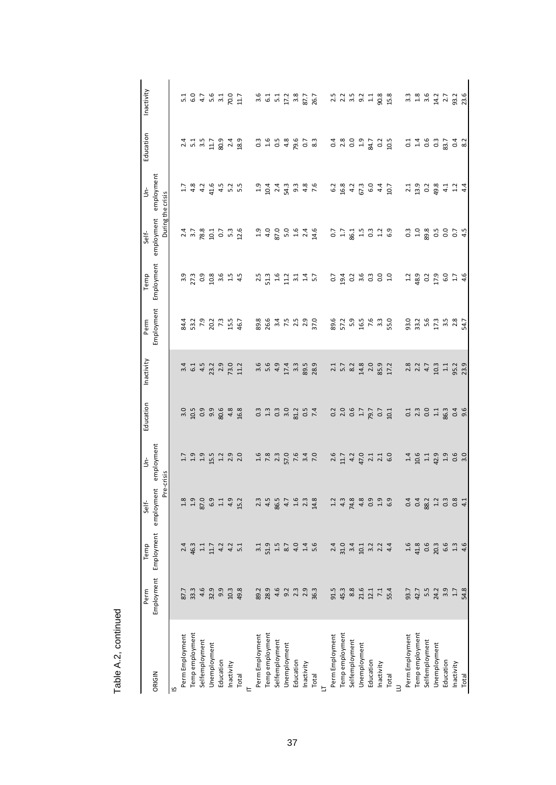|                 | Perm       | Temp         | Self-                 | $\dot{\mathbf{5}}$                | Education                                               | Inactivity       | Perm                     | Temp                          | Self-                           | $\dot{\mathsf{s}}$                                                                                                                               | Education                         | Inactivity                                                                                                    |
|-----------------|------------|--------------|-----------------------|-----------------------------------|---------------------------------------------------------|------------------|--------------------------|-------------------------------|---------------------------------|--------------------------------------------------------------------------------------------------------------------------------------------------|-----------------------------------|---------------------------------------------------------------------------------------------------------------|
| ORIGIN          | Employment | Employment   | èم<br>P<br>employment | employment<br>crisis              |                                                         |                  | Employment               | Employment                    | During the crisis<br>employment | employment                                                                                                                                       |                                   |                                                                                                               |
| $\overline{6}$  |            |              |                       |                                   |                                                         |                  |                          |                               |                                 |                                                                                                                                                  |                                   |                                                                                                               |
| Perm Employment | 87.7       | 2.4          | 1.8                   |                                   | 3.0                                                     |                  |                          |                               |                                 | 1.7                                                                                                                                              |                                   |                                                                                                               |
| Tempemployment  | 33.3       | 46.3         | 1.9                   |                                   | 10.5                                                    | $3.4$<br>$6.1$   |                          | 3.3                           | $2.4$<br>3.7                    | 4.8                                                                                                                                              |                                   | $\frac{1}{6}$ .0                                                                                              |
| Selfemployment  | 4.6        | 1.1          | 87.0                  |                                   | 0.9                                                     | 4.5              |                          |                               | 78.8                            | 4.2                                                                                                                                              |                                   |                                                                                                               |
| Unemployment    | 32.9       | 11.7         | 6.9                   | $1.39$<br>$1.9$<br>$1.5$<br>$1.5$ | 9.9                                                     | 23.2             |                          | $0.9$<br>10.8                 | 10.1                            | 41.6                                                                                                                                             | 11.7                              | $4.7$<br>5.6                                                                                                  |
| Education       | 9.9        | 4.2          | 1.1                   | $1.2\,$                           | 80.6                                                    | 2.9              |                          | 3.6                           |                                 | 4.5                                                                                                                                              | 80.9                              | $3.1\,$                                                                                                       |
| Inactivity      | 10.3       | 4.2          | 4.9                   | 2.9                               | 4.8                                                     | 73.0<br>11.2     | 15.5                     | 1.5                           | 0.7<br>5.3<br>12.6              | $\begin{array}{c} 5.5 \\ 5.5 \end{array}$                                                                                                        | $2.4$<br>18.9                     | 70.0                                                                                                          |
| Total           | 49.8       | 5.1          | 15.2                  | 2.0                               | 16.8                                                    |                  | 46.7                     | π.<br>4                       |                                 |                                                                                                                                                  |                                   | 11.7                                                                                                          |
| Perm Employment | 89.2       | 3.1          | $2.\overline{3}$      |                                   | $0.\overline{3}$                                        |                  | 89.8                     | 2.5                           | 1.9                             | 1.9                                                                                                                                              | $0.\overline{3}$                  |                                                                                                               |
| Temp employment | 28.9       | 51.9         | 4.5                   | $1.6$<br>7.8                      | $1.3$                                                   | 6<br>5.6         |                          | 51.3                          |                                 |                                                                                                                                                  |                                   | 8.5 12 8 26.7<br>6.1 12 8 26.7                                                                                |
| Selfemployment  | 4.6        | 1.5          | 86.5                  | 2.3                               | $0.\overline{3}$                                        | 4.9              | 26 4 5 5 9<br>26 7 7 9 9 |                               | $4000004$<br>$50004$            | 1<br>1<br>1<br>1<br>1<br>1<br>1<br>2<br>1<br>2<br>2<br>2<br>2<br>2<br>2<br>2<br>2<br>2<br>2<br>1<br>2<br>1<br>2<br>1<br>2<br>1<br>1<br><br>2<br> | $1.5$<br>$0.5$<br>$0.8$<br>$79.6$ |                                                                                                               |
| Unemployment    | 9.2        | 8.7          | 4.7                   |                                   | 3.0                                                     | 17.4             |                          | $1.2$<br>$1.2$<br>$3.1$       |                                 |                                                                                                                                                  |                                   |                                                                                                               |
| Education       | 2.3        | 4.0          | $1.6$<br>2.3          | 57.6<br>7.6<br>57.0               | 81.2                                                    | $3.\overline{3}$ |                          |                               |                                 |                                                                                                                                                  |                                   |                                                                                                               |
| Inactivity      | 2.9        | 1.4          |                       |                                   | 0.5                                                     | 89.5             |                          | $1.4$<br>5.7                  |                                 | $4.8$<br>7.6                                                                                                                                     | $0.7$<br>8.3                      |                                                                                                               |
| Total           | 36.3       | 5.6          | 14.8                  |                                   | 7.4                                                     | 28.9             | 37.0                     |                               | 14.6                            |                                                                                                                                                  |                                   |                                                                                                               |
| Ë               |            |              |                       |                                   |                                                         |                  |                          |                               |                                 |                                                                                                                                                  |                                   |                                                                                                               |
| Perm Employment | 91.5       | 2.4          | 1.2                   | 2.6                               | 0.2                                                     | 2.1              | 89.6                     | 0.7                           |                                 | 6.2                                                                                                                                              | 0.4                               |                                                                                                               |
| Tempemployment  | 45.3       | 31.0         | 4.3                   |                                   | $2.06$<br>$1.7$                                         | 5.7<br>8.2       |                          | 19.4                          | $0.7$ $1.7$                     | 16.8                                                                                                                                             | $2.8$<br>$0.0$<br>$1.9$           |                                                                                                               |
| Selfemployment  | 8.8        | 3.4          | 74.8                  | $11.7$<br>$4.2$<br>$47.0$         |                                                         |                  |                          |                               |                                 | $4.2$<br>67.3                                                                                                                                    |                                   |                                                                                                               |
| Unemployment    | 21.6       | 10.1         | 4.8                   |                                   |                                                         | 14.8             |                          |                               |                                 |                                                                                                                                                  |                                   |                                                                                                               |
| Education       | 12.1       | $3.2$<br>2.2 | 0.9                   | $2.1$<br>$2.1$<br>$6.0$           | $79.7$<br>0.7<br>10.1                                   | 2.0              |                          | 2<br>0 3 3 9 9 9<br>0 3 9 9 9 |                                 | 6.4<br>4.7<br>9.7                                                                                                                                | 84.7                              | 2 2 3 3 4 5 6 7 8 9 2 2 3 9 2 7 8 9 2 8 2 2 3 9 2 7 8 9 2 8 7 8 9 2 7 7 8 9 2 7 7 8 9 2 7 7 7 7 7 8 9 2 7 7 7 |
| Inactivity      | 71         |              | 1.9                   |                                   |                                                         | 85.9             |                          |                               |                                 |                                                                                                                                                  | $0.2$<br>10.5                     |                                                                                                               |
| Total           | 55.4       | 4.4          | 6.9                   |                                   |                                                         | 17.2             | 55.0                     |                               |                                 |                                                                                                                                                  |                                   | 15.8                                                                                                          |
| $\exists$       |            |              |                       |                                   |                                                         |                  |                          |                               |                                 |                                                                                                                                                  |                                   |                                                                                                               |
| Perm Employment | 93.7       | 1.6          | 0.4                   |                                   |                                                         | 2.8              |                          | 1.2                           | 0.3                             |                                                                                                                                                  | 0.1                               | $3.\overline{3}$                                                                                              |
| Tempemployment  | 42.7       | 41.8         | 0.4                   | $1.4$<br>10.6                     | $\frac{1}{2}$ $\frac{3}{2}$ $\frac{3}{2}$ $\frac{1}{2}$ | 2.2              | 93.2<br>33.2             | 48.9                          | 1.0                             | $2.1$<br>13.9                                                                                                                                    | 1.4                               | 1.8                                                                                                           |
| Selfemployment  | 5.5        | 0.6          | 88.2                  | 11                                |                                                         | 4.7              | 5.6                      | $0.2$<br>17.9                 | 89.8                            | 0.2                                                                                                                                              | $0.6$<br>$0.3$                    | 3.6                                                                                                           |
| Unemployment    | 24.2       | 20.3         | 1.2                   | 42.9                              | 11                                                      | 10.3             | 17.3                     |                               | 0.5                             | 49.8                                                                                                                                             |                                   | 14.2                                                                                                          |
| Education       | 3.9        | 6.6          | $0.\overline{3}$      |                                   | 86.3                                                    | 1.1              | $3.\overline{5}$<br>2.8  | $6.0$<br>1.7                  |                                 |                                                                                                                                                  | 83.7                              | 2.7                                                                                                           |
| Inactivity      | 1.7        | 1.3          | 0.8                   | $1.9$ 0.0                         | 0.4                                                     | 95.2             |                          |                               | 0.7                             | $4.1$<br>$1.2$                                                                                                                                   | 0.4                               | 93.2                                                                                                          |
| Total           | 54.8       | 4.6          | 4.1                   |                                   | 9.6                                                     | 23.9             | 54.7                     | 4.6                           | 4.5                             | 4.4                                                                                                                                              | 8.2                               | 23.6                                                                                                          |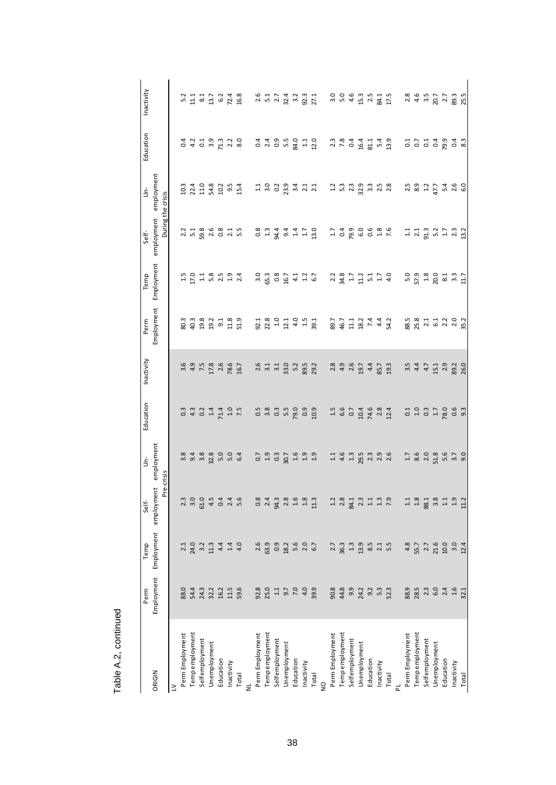|                 | Perm                                          | Temp                     | Self-                                     | ś                                         | Education                                          | Inactivity                       | Perm                                 | Temp                              | Self-                                | ś                                                                                                                       | Education                                           | Inactivity                             |
|-----------------|-----------------------------------------------|--------------------------|-------------------------------------------|-------------------------------------------|----------------------------------------------------|----------------------------------|--------------------------------------|-----------------------------------|--------------------------------------|-------------------------------------------------------------------------------------------------------------------------|-----------------------------------------------------|----------------------------------------|
| ORIGIN          | Employment                                    | Employment               | employment                                | employment                                |                                                    |                                  | Employment                           | Employment                        | employment                           | employment                                                                                                              |                                                     |                                        |
|                 |                                               |                          | č                                         | e-crisis                                  |                                                    |                                  |                                      |                                   | During the crisis                    |                                                                                                                         |                                                     |                                        |
| $\geq$          |                                               |                          |                                           |                                           |                                                    |                                  |                                      |                                   |                                      |                                                                                                                         |                                                     |                                        |
| Perm Employment | 88.0                                          | 2.1                      | 2.3                                       | 3.8                                       |                                                    | 3.6                              |                                      |                                   |                                      | 10.3                                                                                                                    |                                                     |                                        |
| Temp employment | 54.4                                          |                          | 3.0                                       | 9.3<br>9.30<br>9.20                       |                                                    | $4.9$<br>7.5                     |                                      | $1.5$<br>$17.0$                   |                                      | 22.4                                                                                                                    |                                                     |                                        |
| Selfemployment  |                                               | 24.0<br>3.2<br>11.3      |                                           |                                           |                                                    |                                  |                                      |                                   |                                      |                                                                                                                         |                                                     |                                        |
| Unemployment    | 24.3<br>32.2                                  |                          | 61.5<br>4.5                               |                                           |                                                    | 17.8                             | ន<br>ខុ 3 ន<br>ខុ 3 ន                | 1.380                             |                                      | 11.0<br>54.8                                                                                                            |                                                     |                                        |
| Education       | 16.2                                          | 4.4                      | 0.4                                       |                                           | 0 4 0 4 4 9 10<br>0 4 0 4 4 9 10                   | 2.6                              | $\overline{9}$ :1                    |                                   | 2 1 2 3 9 9 9 1 9<br>2 1 9 9 0 9 1 9 | 10.2                                                                                                                    | d 4 0 10 11<br>0 4 0 11 12                          |                                        |
| Inactivity      | 11.5                                          | 1.4                      | 2.4                                       | $5.0$<br>$5.0$<br>$6.4$                   |                                                    | 78.6                             | $11.8$                               | $1.9$<br>$2.4$                    |                                      | $9.5$<br>15.4                                                                                                           | $2.2$<br>8.0                                        |                                        |
| Total           | 59.6                                          | 4.0                      | 5.6                                       |                                           |                                                    | 16.7                             | 51.9                                 |                                   |                                      |                                                                                                                         |                                                     | 16.8                                   |
|                 |                                               |                          |                                           |                                           |                                                    |                                  |                                      |                                   |                                      |                                                                                                                         |                                                     |                                        |
| Perm Employment |                                               | 2.6                      | 0.8                                       |                                           |                                                    |                                  |                                      |                                   |                                      |                                                                                                                         |                                                     |                                        |
| Temp employment | 92.8<br>25.0                                  | 63.9                     | 2.4                                       |                                           |                                                    |                                  |                                      |                                   |                                      |                                                                                                                         |                                                     |                                        |
| Selfemployment  |                                               | 0.9                      | 94.3                                      | $0.7$<br>$0.9$<br>$0.3$<br>$0.7$<br>$0.6$ | 5.8.9.9.9<br>0.8.9.9.9                             |                                  | $92.1$<br>$2.8$<br>$1.0$<br>$1.1$    |                                   |                                      |                                                                                                                         | d 4 9 19 0<br>4 4 9 19 0<br>0 1 0 10 2              |                                        |
| Unemployment    | $1.1$<br>$9.7$<br>$7.0$                       | 18.2                     |                                           |                                           |                                                    |                                  |                                      |                                   |                                      |                                                                                                                         |                                                     |                                        |
| Education       |                                               | 5.6                      | $2.8$<br>$1.6$                            |                                           |                                                    | 5.2                              |                                      |                                   | 8 3 4 4 4 5 6<br>8 4 4 4 5 6 9       | $\begin{array}{cccccc} 1 & 3 & 0 & 0 & 4 & 1 & 1 \\ 2 & 0 & 0 & 0 & 4 & 1 & 1 \\ 0 & 0 & 0 & 0 & 4 & 1 & 1 \end{array}$ |                                                     | 2.5.7.4.23.7.1<br>2.7.4.2.3.7.1.1      |
| Inactivity      | 4.0                                           | $2.0$<br>6.7             | $1.8\,$                                   | 1.9                                       | 0.9                                                | 89.5                             | $4.5$<br>$4.5$<br>$39.1$             |                                   |                                      |                                                                                                                         | $\Xi$                                               |                                        |
| Total           | 39.9                                          |                          | 11.3                                      | 1.9                                       | 10.9                                               | 29.2                             |                                      |                                   |                                      |                                                                                                                         | 12.0                                                |                                        |
| $\frac{1}{2}$   |                                               |                          |                                           |                                           |                                                    |                                  |                                      |                                   |                                      |                                                                                                                         |                                                     |                                        |
| Perm Employment |                                               |                          |                                           | 1.1                                       |                                                    |                                  | 89.7                                 |                                   |                                      |                                                                                                                         |                                                     |                                        |
| Temp employment |                                               |                          | $\begin{array}{c} 1.2 \\ 2.8 \end{array}$ |                                           |                                                    |                                  |                                      |                                   |                                      |                                                                                                                         |                                                     |                                        |
| Selfemployment  | 8 8 9 9 1 9 1 9<br>8 4 9 1 9 1<br>8 4 9 1 9 1 | $2.7$<br>$36.3$<br>$1.3$ |                                           | $4.3$<br>$1.3$<br>$29.5$                  | 1.6074684<br>1.6024224                             |                                  | $45.7$<br>$45.7$<br>$45.7$<br>$45.7$ |                                   | $\frac{560}{1.4}$                    | 13.3333728                                                                                                              | $7.8$<br>$7.8$<br>$0.4$                             | a 5 4 5 5 5 5 7<br>9 7 5 7 9 7 9 7 9 7 |
| Unemployment    |                                               | $13.9$<br>$8.5$          |                                           |                                           |                                                    | 19.7                             |                                      |                                   |                                      |                                                                                                                         |                                                     |                                        |
| Education       |                                               |                          | 84.1<br>2.3<br>1.1<br>1.3                 | $2.\overline{3}$                          |                                                    | 4.4                              |                                      |                                   | 0<br>0 0 8 0<br>0 0 1 0              |                                                                                                                         | $16.4$<br>81.1                                      |                                        |
| Inactivity      |                                               | 2.1                      |                                           | $2.9$<br>$2.6$                            |                                                    | 85.7                             |                                      |                                   |                                      |                                                                                                                         | $5.4$<br>13.9                                       |                                        |
| Total           | 52.3                                          | 5.5                      | 7.9                                       |                                           |                                                    | 19.3                             |                                      |                                   |                                      |                                                                                                                         |                                                     |                                        |
|                 |                                               |                          |                                           |                                           |                                                    |                                  |                                      |                                   |                                      |                                                                                                                         |                                                     |                                        |
| Perm Employment | 88.9                                          | 4.8                      | 1.1                                       | 1.7                                       |                                                    | 3.5                              |                                      |                                   |                                      |                                                                                                                         |                                                     | 2.8                                    |
| Temp employment | 28.5                                          |                          | $1.8$                                     |                                           |                                                    |                                  |                                      |                                   |                                      |                                                                                                                         |                                                     |                                        |
| Selfemployment  | 2.3                                           | 55.7<br>2.7              | 88.1                                      | 8.6<br>2.0                                | $0.1$<br>$0.3$<br>$0.7$<br>$0.5$<br>$0.7$<br>$0.0$ | $4.7$<br>$4.7$<br>$1.9$<br>$2.9$ |                                      | $5.0$<br>$5.3$<br>$5.3$<br>$20.0$ | $113$ $313$ $153$ $133$              | $2.5$<br>$8.3$<br>$2.7$<br>$47.7$                                                                                       | $3.749$<br>$3.749$                                  | $4.6$<br>$3.5$<br>$2.7$<br>$2.7$       |
| Unemployment    | 6.0                                           | 21.6<br>10.0             | 3.8                                       | 51.8                                      |                                                    |                                  |                                      |                                   |                                      |                                                                                                                         |                                                     |                                        |
| Education       | 2.4                                           |                          | $1.1\,$                                   | 5.6                                       |                                                    |                                  |                                      | $\overline{8.1}$                  |                                      | 5.4                                                                                                                     |                                                     |                                        |
| Inactivity      | 1.6                                           | 3.0                      | 1.9                                       | $3.7$<br>9.0                              | $0.6$<br>9.3                                       | 89.2<br>26.0                     |                                      | $3.3$<br>11.7                     |                                      | $2.6$<br>$6.0$                                                                                                          | $\begin{smallmatrix} 4 \\ 2 \\ 8 \end{smallmatrix}$ | 89.3<br>25.5                           |
| Total           | 32.1                                          | 12.4                     | 11.2                                      |                                           |                                                    |                                  |                                      |                                   |                                      |                                                                                                                         |                                                     |                                        |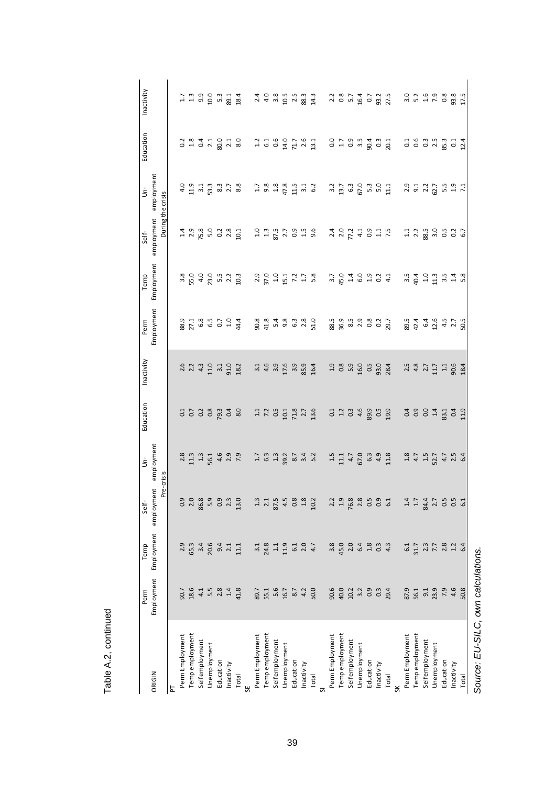|                                    | Perm             | Temp       | Self-              | $\dot{\bar{\mathbf{5}}}$                                                                                                                                                                                                                                                                        | Education                                                                         | Inactivity                | Perm                                       | Temp                                  | Self-                                                                                            | $\dot{\mathbf{5}}$                                                                                                                                                                                                                                                                                         | Education                                         | Inactivity                                           |
|------------------------------------|------------------|------------|--------------------|-------------------------------------------------------------------------------------------------------------------------------------------------------------------------------------------------------------------------------------------------------------------------------------------------|-----------------------------------------------------------------------------------|---------------------------|--------------------------------------------|---------------------------------------|--------------------------------------------------------------------------------------------------|------------------------------------------------------------------------------------------------------------------------------------------------------------------------------------------------------------------------------------------------------------------------------------------------------------|---------------------------------------------------|------------------------------------------------------|
|                                    |                  |            |                    |                                                                                                                                                                                                                                                                                                 |                                                                                   |                           |                                            |                                       |                                                                                                  |                                                                                                                                                                                                                                                                                                            |                                                   |                                                      |
| ORIGIN                             | Employment       | Employment | Pre-<br>employment | employment<br>crisis                                                                                                                                                                                                                                                                            |                                                                                   |                           | Employment                                 | Employment                            | During the crisis<br>employment                                                                  | employment                                                                                                                                                                                                                                                                                                 |                                                   |                                                      |
| 눈                                  |                  |            |                    |                                                                                                                                                                                                                                                                                                 |                                                                                   |                           |                                            |                                       |                                                                                                  |                                                                                                                                                                                                                                                                                                            |                                                   |                                                      |
| Perm Employment                    | 90.7             | 2.9        | 0.9                |                                                                                                                                                                                                                                                                                                 |                                                                                   |                           |                                            |                                       |                                                                                                  |                                                                                                                                                                                                                                                                                                            |                                                   |                                                      |
| Temp employment                    | 18.6             | 65.3       | 2.0                |                                                                                                                                                                                                                                                                                                 |                                                                                   |                           |                                            |                                       |                                                                                                  |                                                                                                                                                                                                                                                                                                            |                                                   |                                                      |
| Selfemployment                     | 4.1              | 3.4        | 86.8               |                                                                                                                                                                                                                                                                                                 |                                                                                   |                           |                                            | 8<br>8 0 0 0 0 m N m<br>9 4 m n n 0 0 |                                                                                                  |                                                                                                                                                                                                                                                                                                            | 0.234101023                                       |                                                      |
| Unemployment                       | 5.5              | 20.6       | 5.9                |                                                                                                                                                                                                                                                                                                 |                                                                                   |                           |                                            |                                       |                                                                                                  |                                                                                                                                                                                                                                                                                                            |                                                   |                                                      |
| Education                          | 2.8              | 9.4        | 0.9                |                                                                                                                                                                                                                                                                                                 |                                                                                   |                           |                                            |                                       |                                                                                                  |                                                                                                                                                                                                                                                                                                            |                                                   |                                                      |
| Inactivity                         | 1.4              | 2.1        | 2.3                |                                                                                                                                                                                                                                                                                                 |                                                                                   |                           |                                            |                                       |                                                                                                  |                                                                                                                                                                                                                                                                                                            |                                                   |                                                      |
| Total                              | 41.8             | 11.1       | 13.0               |                                                                                                                                                                                                                                                                                                 |                                                                                   |                           | 8<br>8 5 7 8 9 7 9 4<br>8 9 7 8 9 9 7 9 4  |                                       | 1.980281                                                                                         |                                                                                                                                                                                                                                                                                                            |                                                   |                                                      |
| 55                                 |                  |            |                    |                                                                                                                                                                                                                                                                                                 |                                                                                   |                           |                                            |                                       |                                                                                                  |                                                                                                                                                                                                                                                                                                            |                                                   |                                                      |
| Perm Employment                    | 89.7             | 3.1        | 1.3                |                                                                                                                                                                                                                                                                                                 |                                                                                   |                           |                                            |                                       |                                                                                                  |                                                                                                                                                                                                                                                                                                            |                                                   |                                                      |
| Temp employment                    | 55.1             | 24.8       | 2.1                |                                                                                                                                                                                                                                                                                                 |                                                                                   | $3.16$<br>$4.9$<br>$3.9$  |                                            |                                       |                                                                                                  |                                                                                                                                                                                                                                                                                                            |                                                   |                                                      |
| Selfemployment                     | 5.6              | 11         | 87.5               |                                                                                                                                                                                                                                                                                                 |                                                                                   |                           |                                            |                                       |                                                                                                  |                                                                                                                                                                                                                                                                                                            |                                                   |                                                      |
| Unemployment                       | 16.7             | 11.9       | 4.5                |                                                                                                                                                                                                                                                                                                 |                                                                                   | $17.6$<br>$3.9$           |                                            |                                       |                                                                                                  |                                                                                                                                                                                                                                                                                                            |                                                   |                                                      |
| Education                          | 8.7              | 6.1        | 0.8                |                                                                                                                                                                                                                                                                                                 |                                                                                   |                           |                                            |                                       |                                                                                                  |                                                                                                                                                                                                                                                                                                            |                                                   |                                                      |
| Inactivity                         | 4.2              | 2.0        | $1.8$              | 1 6 1 2 2 2 3 4 7<br>1 6 1 2 3 2 3 4 7                                                                                                                                                                                                                                                          | 17.59187746                                                                       | 85.9<br>16.4              |                                            |                                       |                                                                                                  | $\begin{array}{cccccc} 1.5 & 8 & 8 & 8 & 15 & 15 \\ 9 & 9 & 15 & 15 & 15 & 15 \\ 1 & 15 & 15 & 15 & 15 & 15 \\ 15 & 15 & 15 & 15 & 15 & 15 \\ 15 & 15 & 15 & 15 & 15 & 15 \\ 15 & 15 & 15 & 15 & 15 & 15 \\ 15 & 15 & 15 & 15 & 15 & 15 \\ 15 & 15 & 15 & 15 & 15 & 15 \\ 15 & 15 & 15 & 15 & 15 & 15 \\ $ |                                                   |                                                      |
| <b>Total</b>                       | 50.0             | 4.7        | 10.2               |                                                                                                                                                                                                                                                                                                 |                                                                                   |                           |                                            |                                       |                                                                                                  |                                                                                                                                                                                                                                                                                                            | 1 1 1 0 0 1 0 1<br>1 0 0 1 1 0 1<br>1 1 0 1 1 0 1 |                                                      |
| 5                                  |                  |            |                    |                                                                                                                                                                                                                                                                                                 |                                                                                   |                           |                                            |                                       |                                                                                                  |                                                                                                                                                                                                                                                                                                            |                                                   |                                                      |
| Perm Employment                    | 90.6             | 3.8        | 2.2                |                                                                                                                                                                                                                                                                                                 |                                                                                   |                           |                                            |                                       |                                                                                                  |                                                                                                                                                                                                                                                                                                            |                                                   |                                                      |
| Temp employment                    | 40.0             | 45.0       | 1.9                |                                                                                                                                                                                                                                                                                                 |                                                                                   |                           |                                            |                                       |                                                                                                  |                                                                                                                                                                                                                                                                                                            |                                                   |                                                      |
| Selfemployment                     | 10.2             | 2.0        | 76.8               |                                                                                                                                                                                                                                                                                                 |                                                                                   |                           |                                            |                                       |                                                                                                  |                                                                                                                                                                                                                                                                                                            |                                                   |                                                      |
| Unemployment                       | 3.2              | 6.4        | 2.8                | $\begin{array}{cccccc} 1.5 & 0.5 & 0.5 & 0.5 \\ 1.5 & 0.5 & 0.5 & 0.5 \\ 0.5 & 0.5 & 0.5 & 0.5 \\ 0.5 & 0.5 & 0.5 & 0.5 \\ 0.5 & 0.5 & 0.5 & 0.5 \\ 0.5 & 0.5 & 0.5 & 0.5 \\ 0.5 & 0.5 & 0.5 & 0.5 \\ 0.5 & 0.5 & 0.5 & 0.5 \\ 0.5 & 0.5 & 0.5 & 0.5 \\ 0.5 & 0.5 & 0.5 & 0.5 \\ 0.5 & 0.5 & 0$ | 1<br>1<br>1<br>1<br>1<br>1<br>1<br>2<br>2<br>2<br>2<br>2<br>2<br>2<br>2<br>2<br>1 | $1.8900$<br>$1.600$       | 8 8 8 8 9 9 9 9 0 1<br>8 9 8 9 9 0 9 9 9 9 |                                       |                                                                                                  |                                                                                                                                                                                                                                                                                                            |                                                   | 2.3<br>2.8<br>5.7<br>2.7<br>2.7<br>2.7<br>2.7<br>2.7 |
| Education                          | 0.9              | $1.8$      | 0.5                |                                                                                                                                                                                                                                                                                                 |                                                                                   |                           |                                            |                                       |                                                                                                  |                                                                                                                                                                                                                                                                                                            |                                                   |                                                      |
| Inactivity                         | $0.\overline{3}$ | 0.3        | 0.9                |                                                                                                                                                                                                                                                                                                 |                                                                                   |                           |                                            |                                       |                                                                                                  |                                                                                                                                                                                                                                                                                                            |                                                   |                                                      |
| Total                              | 29.4             | 4.3        | 6.1                |                                                                                                                                                                                                                                                                                                 |                                                                                   | $0.5$<br>$93.4$<br>$28.4$ |                                            |                                       |                                                                                                  | $3.789$<br>$3.799$<br>$3.799$<br>$3.99$<br>$3.11$<br>$3.799$<br>$3.99$<br>$3.11$                                                                                                                                                                                                                           | 0.79949201                                        |                                                      |
| $\frac{8}{100}$                    |                  |            |                    |                                                                                                                                                                                                                                                                                                 |                                                                                   |                           |                                            |                                       |                                                                                                  |                                                                                                                                                                                                                                                                                                            |                                                   |                                                      |
| Perm Employment                    | 87.9             | 6.1        | 1.4                |                                                                                                                                                                                                                                                                                                 |                                                                                   |                           |                                            |                                       |                                                                                                  |                                                                                                                                                                                                                                                                                                            |                                                   |                                                      |
| Temp employment                    | 56.1             | 31.7       | 1.7                |                                                                                                                                                                                                                                                                                                 |                                                                                   |                           |                                            |                                       |                                                                                                  |                                                                                                                                                                                                                                                                                                            |                                                   |                                                      |
| Selfemployment                     | 9.1              | 2.3        | 84.4               |                                                                                                                                                                                                                                                                                                 |                                                                                   |                           |                                            |                                       |                                                                                                  |                                                                                                                                                                                                                                                                                                            | 1 6 7 9 7 9<br>0 0 0 1 9 9                        |                                                      |
| Unemployment                       | 23.9             | 7.7        | 2.7                |                                                                                                                                                                                                                                                                                                 |                                                                                   |                           |                                            |                                       |                                                                                                  |                                                                                                                                                                                                                                                                                                            |                                                   |                                                      |
| Education                          | 7.9              | 2.8        | 0.5                | 14124264                                                                                                                                                                                                                                                                                        | a 9 0 4 4 9 9<br>0 0 0 4 4 9 9 1                                                  | 2.3 2.7 1.4 2.9 2.4       | 89 d q d 4 y<br>89 d q 4 y                 | n 4 0 m 1 m 4 m<br>2 4 0 m 1 m 4 m    | $\begin{array}{c}\n 1 & 2 & 3 & 5 & 6 \\  7 & 1 & 2 & 5 & 6 \\  8 & 3 & 5 & 6 & 6\n \end{array}$ |                                                                                                                                                                                                                                                                                                            |                                                   |                                                      |
| Inactivity                         | 4.6              | 1.2        | 0.5                |                                                                                                                                                                                                                                                                                                 |                                                                                   |                           |                                            |                                       |                                                                                                  |                                                                                                                                                                                                                                                                                                            | C <sub>1</sub>                                    | 93.5<br>17.5                                         |
| Total                              | 50.8             | 6.4        | 6.1                |                                                                                                                                                                                                                                                                                                 |                                                                                   |                           | 50.5                                       |                                       |                                                                                                  |                                                                                                                                                                                                                                                                                                            | 12.4                                              |                                                      |
| Source: EU-SILC, own calculations. |                  |            |                    |                                                                                                                                                                                                                                                                                                 |                                                                                   |                           |                                            |                                       |                                                                                                  |                                                                                                                                                                                                                                                                                                            |                                                   |                                                      |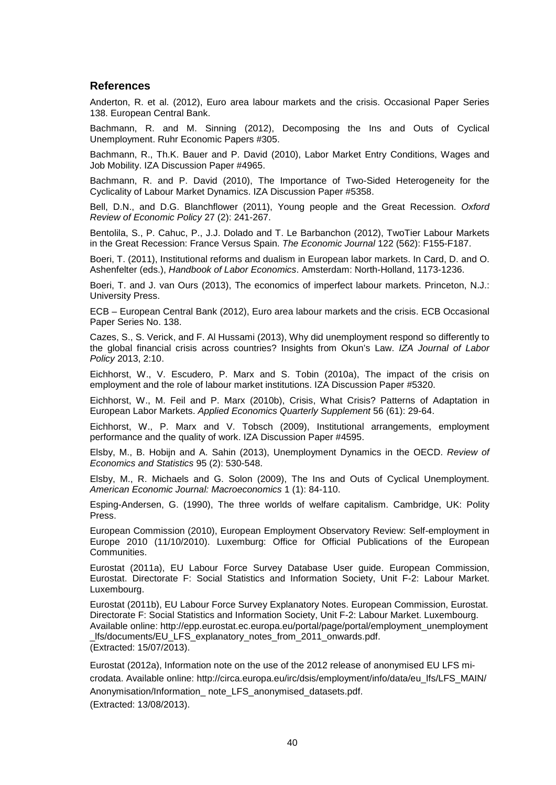#### **References**

Anderton, R. et al. (2012), Euro area labour markets and the crisis. Occasional Paper Series 138. European Central Bank.

Bachmann, R. and M. Sinning (2012), Decomposing the Ins and Outs of Cyclical Unemployment. Ruhr Economic Papers #305.

Bachmann, R., Th.K. Bauer and P. David (2010), Labor Market Entry Conditions, Wages and Job Mobility. IZA Discussion Paper #4965.

Bachmann, R. and P. David (2010), The Importance of Two-Sided Heterogeneity for the Cyclicality of Labour Market Dynamics. IZA Discussion Paper #5358.

Bell, D.N., and D.G. Blanchflower (2011), Young people and the Great Recession. *Oxford Review of Economic Policy* 27 (2): 241-267.

Bentolila, S., P. Cahuc, P., J.J. Dolado and T. Le Barbanchon (2012), TwoTier Labour Markets in the Great Recession: France Versus Spain. *The Economic Journal* 122 (562): F155-F187.

Boeri, T. (2011), Institutional reforms and dualism in European labor markets. In Card, D. and O. Ashenfelter (eds.), *Handbook of Labor Economics*. Amsterdam: North-Holland, 1173-1236.

Boeri, T. and J. van Ours (2013), The economics of imperfect labour markets. Princeton, N.J.: University Press.

ECB – European Central Bank (2012), Euro area labour markets and the crisis. ECB Occasional Paper Series No. 138.

Cazes, S., S. Verick, and F. Al Hussami (2013), Why did unemployment respond so differently to the global financial crisis across countries? Insights from Okun's Law. *IZA Journal of Labor Policy* 2013, 2:10.

Eichhorst, W., V. Escudero, P. Marx and S. Tobin (2010a), The impact of the crisis on employment and the role of labour market institutions. IZA Discussion Paper #5320.

Eichhorst, W., M. Feil and P. Marx (2010b), Crisis, What Crisis? Patterns of Adaptation in European Labor Markets. *Applied Economics Quarterly Supplement* 56 (61): 29-64.

Eichhorst, W., P. Marx and V. Tobsch (2009), Institutional arrangements, employment performance and the quality of work. IZA Discussion Paper #4595.

Elsby, M., B. Hobijn and A. Sahin (2013), Unemployment Dynamics in the OECD. *Review of Economics and Statistics* 95 (2): 530-548.

Elsby, M., R. Michaels and G. Solon (2009), The Ins and Outs of Cyclical Unemployment. *American Economic Journal: Macroeconomics* 1 (1): 84-110.

Esping-Andersen, G. (1990), The three worlds of welfare capitalism. Cambridge, UK: Polity Press.

European Commission (2010), European Employment Observatory Review: Self-employment in Europe 2010 (11/10/2010). Luxemburg: Office for Official Publications of the European Communities.

Eurostat (2011a), EU Labour Force Survey Database User guide. European Commission, Eurostat. Directorate F: Social Statistics and Information Society, Unit F-2: Labour Market. Luxembourg.

Eurostat (2011b), EU Labour Force Survey Explanatory Notes. European Commission, Eurostat. Directorate F: Social Statistics and Information Society, Unit F-2: Labour Market. Luxembourg. Available online: http://epp.eurostat.ec.europa.eu/portal/page/portal/employment\_unemployment \_lfs/documents/EU\_LFS\_explanatory\_notes\_from\_2011\_onwards.pdf. (Extracted: 15/07/2013).

Eurostat (2012a), Information note on the use of the 2012 release of anonymised EU LFS microdata. Available online: http://circa.europa.eu/irc/dsis/employment/info/data/eu\_lfs/LFS\_MAIN/ Anonymisation/Information note LFS anonymised datasets.pdf. (Extracted: 13/08/2013).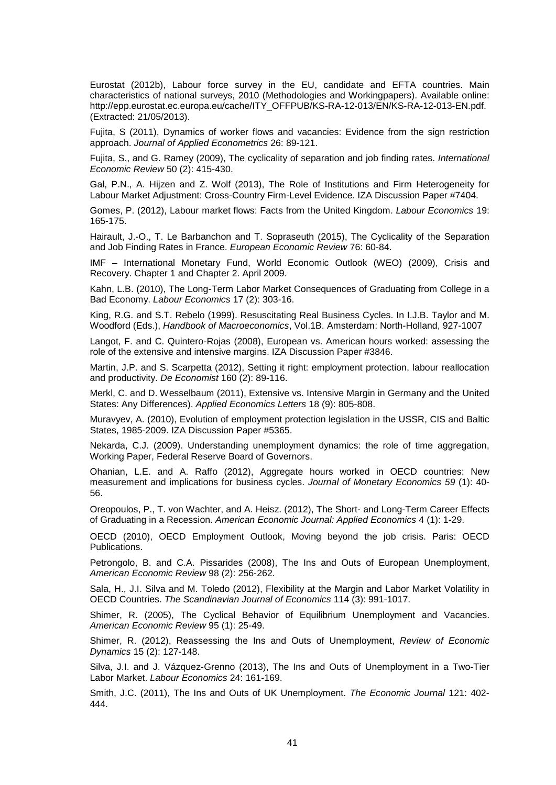Eurostat (2012b), Labour force survey in the EU, candidate and EFTA countries. Main characteristics of national surveys, 2010 (Methodologies and Workingpapers). Available online: http://epp.eurostat.ec.europa.eu/cache/ITY\_OFFPUB/KS-RA-12-013/EN/KS-RA-12-013-EN.pdf. (Extracted: 21/05/2013).

Fujita, S (2011), Dynamics of worker flows and vacancies: Evidence from the sign restriction approach. *Journal of Applied Econometrics* 26: 89-121.

Fujita, S., and G. Ramey (2009), The cyclicality of separation and job finding rates. *International Economic Review* 50 (2): 415-430.

Gal, P.N., A. Hijzen and Z. Wolf (2013), The Role of Institutions and Firm Heterogeneity for Labour Market Adjustment: Cross-Country Firm-Level Evidence. IZA Discussion Paper #7404.

Gomes, P. (2012), Labour market flows: Facts from the United Kingdom. *Labour Economics* 19: 165-175.

Hairault, J.-O., T. Le Barbanchon and T. Sopraseuth (2015), The Cyclicality of the Separation and Job Finding Rates in France. *European Economic Review* 76: 60-84.

IMF – International Monetary Fund, World Economic Outlook (WEO) (2009), Crisis and Recovery. Chapter 1 and Chapter 2. April 2009.

Kahn, L.B. (2010), The Long-Term Labor Market Consequences of Graduating from College in a Bad Economy. *Labour Economics* 17 (2): 303-16.

King, R.G. and S.T. Rebelo (1999). Resuscitating Real Business Cycles. In I.J.B. Taylor and M. Woodford (Eds.), *Handbook of Macroeconomics*, Vol.1B. Amsterdam: North-Holland, 927-1007

Langot, F. and C. Quintero-Rojas (2008), European vs. American hours worked: assessing the role of the extensive and intensive margins. IZA Discussion Paper #3846.

Martin, J.P. and S. Scarpetta (2012), Setting it right: employment protection, labour reallocation and productivity. *De Economist* 160 (2): 89-116.

Merkl, C. and D. Wesselbaum (2011), Extensive vs. Intensive Margin in Germany and the United States: Any Differences). *Applied Economics Letters* 18 (9): 805-808.

Muravyev, A. (2010), Evolution of employment protection legislation in the USSR, CIS and Baltic States, 1985-2009. IZA Discussion Paper #5365.

Nekarda, C.J. (2009). Understanding unemployment dynamics: the role of time aggregation, Working Paper, Federal Reserve Board of Governors.

Ohanian, L.E. and A. Raffo (2012), Aggregate hours worked in OECD countries: New measurement and implications for business cycles. *Journal of Monetary Economics 59* (1): 40- 56.

Oreopoulos, P., T. von Wachter, and A. Heisz. (2012), The Short- and Long-Term Career Effects of Graduating in a Recession. *American Economic Journal: Applied Economics* 4 (1): 1-29.

OECD (2010), OECD Employment Outlook, Moving beyond the job crisis. Paris: OECD Publications.

Petrongolo, B. and C.A. Pissarides (2008), The Ins and Outs of European Unemployment, *American Economic Review* 98 (2): 256-262.

Sala, H., J.I. Silva and M. Toledo (2012), Flexibility at the Margin and Labor Market Volatility in OECD Countries. *The Scandinavian Journal of Economics* 114 (3): 991-1017.

Shimer, R. (2005), The Cyclical Behavior of Equilibrium Unemployment and Vacancies. *American Economic Review* 95 (1): 25-49.

Shimer, R. (2012), Reassessing the Ins and Outs of Unemployment, *Review of Economic Dynamics* 15 (2): 127-148.

Silva, J.I. and J. Vázquez-Grenno (2013), The Ins and Outs of Unemployment in a Two-Tier Labor Market. *Labour Economics* 24: 161-169.

Smith, J.C. (2011), The Ins and Outs of UK Unemployment. *The Economic Journal* 121: 402- 444.